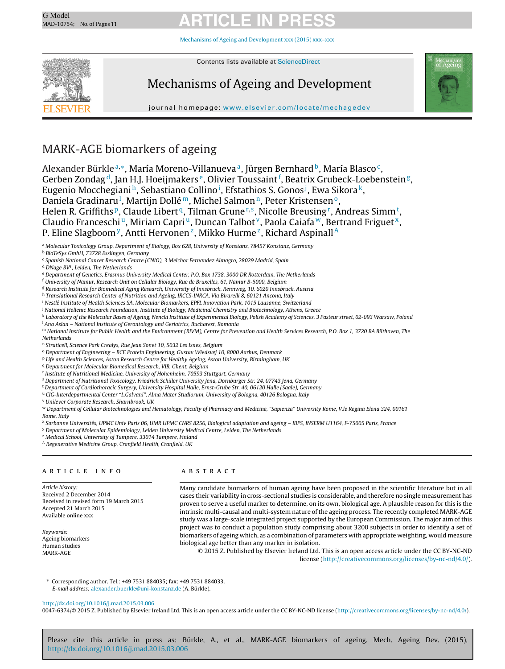# G Model G Model **ARTICLE IN PRESS**

Mechanisms of Ageing and [Development](dx.doi.org/10.1016/j.mad.2015.03.006) xxx (2015) xxx–xxx



Contents lists available at [ScienceDirect](http://www.sciencedirect.com/science/journal/00476374)

## Mechanisms of Ageing and Development



jour nal home page: [www.elsevier.com/locate/mechagedev](http://www.elsevier.com/locate/mechagedev)

### MARK-AGE biomarkers of ageing

Alexander Bürkle<sup>a,∗</sup>, María Moreno-Villanueva<sup>a</sup>, Jürgen Bernhard<sup>b</sup>, María Blasco<sup>c</sup>, Gerben Zondag<sup>d</sup>, Jan H.J. Hoeijmakers <sup>e</sup>, Olivier Toussaint <sup>f</sup>, Beatrix Grubeck-Loebenstein <sup>g</sup>, Eugenio Mocchegianih, Sebastiano Collino<sup>i</sup>, Efstathios S. Gonos<sup>j</sup>, Ewa Sikora<sup>k</sup>, Daniela Gradinaru<sup>l</sup>, Martijn Dollém, Michel Salmonn, Peter Kristensen<sup>o</sup>, Helen R. Griffiths <sup>p</sup>, Claude Libert <sup>q</sup>, Tilman Grune <u>r,s, Nicolle Breusing r, Andreas Simm t,</u> Claudio Franceschi<sup>u</sup>, Miriam Capri<sup>u</sup>, Duncan Talbot<sup>v</sup>, Paola Caiafa<sup>w</sup>, Bertrand Friguet<sup>x</sup>, P. Eline Slagboom<sup>y</sup>, Antti Hervonen<sup>z</sup>, Mikko Hurme<sup>z</sup>, Richard Aspinall<sup>A</sup>

<sup>a</sup> Molecular Toxicology Group, Department of Biology, Box 628, University of Konstanz, 78457 Konstanz, Germany

<sup>b</sup> BioTeSys GmbH, 73728 Esslingen, Germany

 $d$  DNage BV<sup>1</sup>, Leiden, The Netherlands

<sup>e</sup> Department of Genetics, Erasmus University Medical Center, P.O. Box 1738, 3000 DR Rotterdam, The Netherlands

<sup>f</sup> University of Namur, Research Unit on Cellular Biology, Rue de Bruxelles, 61, Namur B-5000, Belgium

<sup>g</sup> Research Institute for Biomedical Aging Research, University of Innsbruck, Rennweg, 10, 6020 Innsbruck, Austria

h Translational Research Center of Nutrition and Ageing, IRCCS-INRCA, Via Birarelli 8, 60121 Ancona, Italy

<sup>i</sup> Nestlé Institute of Health Sciences SA, Molecular Biomarkers, EPFL Innovation Park, 1015 Lausanne, Switzerland

<sup>j</sup> National Hellenic Research Foundation, Institute of Biology, Medicinal Chemistry and Biotechnology, Athens, Greece

k Laboratory of the Molecular Bases of Ageing, Nencki Institute of Experimental Biology, Polish Academy of Sciences, 3 Pasteur street, 02-093 Warsaw, Poland <sup>1</sup> Ana Aslan – National Institute of Gerontology and Geriatrics, Bucharest, Romania

<sup>m</sup> National Institute for Public Health and the Environment (RIVM), Centre for Prevention and Health Services Research, P.O. Box 1, 3720 BA Bilthoven, The

Netherlands

<sup>n</sup> Straticell, Science Park Crealys, Rue Jean Sonet 10, 5032 Les Isnes, Belgium

<sup>o</sup> Department of Engineering – BCE Protein Engineering, Gustav Wiedsvej 10, 8000 Aarhus, Denmark

<sup>p</sup> Life and Health Sciences, Aston Research Centre for Healthy Ageing, Aston University, Birmingham, UK

<sup>q</sup> Department for Molecular Biomedical Research, VIB, Ghent, Belgium

<sup>r</sup> Institute of Nutritional Medicine, University of Hohenheim, 70593 Stuttgart, Germany

<sup>s</sup> Department of Nutritional Toxicology, Friedrich Schiller University Jena, Dornburger Str. 24, 07743 Jena, Germany

<sup>t</sup> Department of Cardiothoracic Surgery, University Hospital Halle, Ernst-Grube Str. 40, 06120 Halle (Saale), Germany

<sup>u</sup> CIG-Interdepartmental Center "L.Galvani", Alma Mater Studiorum, University of Bologna, 40126 Bologna, Italy

<sup>v</sup> Unilever Corporate Research, Sharnbrook, UK

<sup>w</sup> Department of Cellular Biotechnologies and Hematology, Faculty of Pharmacy and Medicine, "Sapienza" University Rome, V.le Regina Elena 324, 00161 Rome, Italy

<sup>x</sup> Sorbonne Universités, UPMC Univ Paris 06, UMR UPMC CNRS 8256, Biological adaptation and ageing – IBPS, INSERM U1164, F-75005 Paris, France

<sup>y</sup> Department of Molecular Epidemiology, Leiden University Medical Centre, Leiden, The Netherlands

<sup>2</sup> Medical School, University of Tampere, 33014 Tampere, Finland

<sup>A</sup> Regenerative Medicine Group, Cranfield Health, Cranfield, UK

### a r t i c l e i n f o

Article history: Received 2 December 2014 Received in revised form 19 March 2015 Accepted 21 March 2015 Available online xxx

Keywords: Ageing biomarkers Human studies MARK-AGE

### A B S T R A C T

Many candidate biomarkers of human ageing have been proposed in the scientific literature but in all cases their variability in cross-sectional studies is considerable, and therefore no single measurement has proven to serve a useful marker to determine, on its own, biological age. A plausible reason for this is the intrinsic multi-causal and multi-system nature of the ageing process. The recently completed MARK-AGE study was a large-scale integrated project supported by the European Commission. The major aim of this project was to conduct a population study comprising about 3200 subjects in order to identify a set of biomarkers of ageing which, as a combination of parameters with appropriate weighting, would measure biological age better than any marker in isolation.

© 2015 Z. Published by Elsevier Ireland Ltd. This is an open access article under the CC BY-NC-ND license [\(http://creativecommons.org/licenses/by-nc-nd/4.0/](http://creativecommons.org/licenses/by-nc-nd/4.0/)).

∗ Corresponding author. Tel.: +49 7531 884035; fax: +49 7531 884033. E-mail address: [alexander.buerkle@uni-konstanz.de](mailto:alexander.buerkle@uni-konstanz.de) (A. Bürkle).

#### [http://dx.doi.org/10.1016/j.mad.2015.03.006](dx.doi.org/10.1016/j.mad.2015.03.006)

0047-6374/© 2015 Z. Published by Elsevier Ireland Ltd. This is an open access article under the CC BY-NC-ND license (<http://creativecommons.org/licenses/by-nc-nd/4.0/>).

<sup>c</sup> Spanish National Cancer Research Centre (CNIO), 3 Melchor Fernandez Almagro, 28029 Madrid, Spain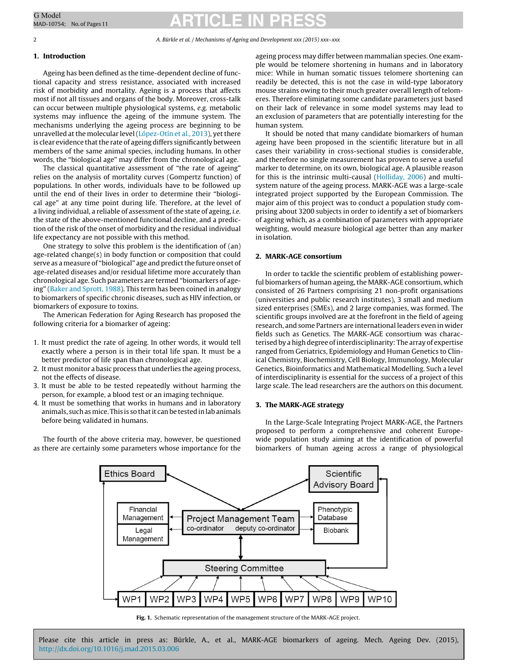# <span id="page-1-0"></span>G Model G Model **ARTICLE IN PRESS**

#### 2 A. Bürkle et al. / Mechanisms of Ageing and Development xxx (2015) xxx–xxx

#### **1. Introduction**

Ageing has been defined as the time-dependent decline of functional capacity and stress resistance, associated with increased risk of morbidity and mortality. Ageing is a process that affects most if not all tissues and organs of the body. Moreover, cross-talk can occur between multiple physiological systems, e.g. metabolic systems may influence the ageing of the immune system. The mechanisms underlying the ageing process are beginning to be unravelled at the molecular level [\(López-Otín](#page-9-0) et [al.,](#page-9-0) [2013\),](#page-9-0) yet there is clear evidence that the rate of ageing differs significantly between members of the same animal species, including humans. In other words, the "biological age" may differ from the chronological age.

The classical quantitative assessment of "the rate of ageing" relies on the analysis of mortality curves (Gompertz function) of populations. In other words, individuals have to be followed up until the end of their lives in order to determine their "biological age" at any time point during life. Therefore, at the level of a living individual, a reliable of assessment of the state of ageing, i.e. the state of the above-mentioned functional decline, and a prediction of the risk of the onset of morbidity and the residual individual life expectancy are not possible with this method.

One strategy to solve this problem is the identification of (an) age-related change(s) in body function or composition that could serve as a measure of "biological" age and predict the future onset of age-related diseases and/or residual lifetime more accurately than chronological age. Such parameters are termed "biomarkers of ageing" [\(Baker](#page-8-0) [and](#page-8-0) [Sprott,](#page-8-0) [1988\).](#page-8-0) This term has been coined in analogy to biomarkers of specific chronic diseases, such as HIV infection, or biomarkers of exposure to toxins.

The American Federation for Aging Research has proposed the following criteria for a biomarker of ageing:

- 1. It must predict the rate of ageing. In other words, it would tell exactly where a person is in their total life span. It must be a better predictor of life span than chronological age.
- 2. It must monitor a basic process that underlies the ageing process, not the effects of disease.
- 3. It must be able to be tested repeatedly without harming the person, for example, a blood test or an imaging technique.
- 4. It must be something that works in humans and in laboratory animals, such as mice. This is so that it can be tested in lab animals before being validated in humans.

The fourth of the above criteria may, however, be questioned as there are certainly some parameters whose importance for the

ageing process may differ between mammalian species. One example would be telomere shortening in humans and in laboratory mice: While in human somatic tissues telomere shortening can readily be detected, this is not the case in wild-type laboratory mouse strains owing to their much greater overall length of telomeres. Therefore eliminating some candidate parameters just based on their lack of relevance in some model systems may lead to an exclusion of parameters that are potentially interesting for the human system.

It should be noted that many candidate biomarkers of human ageing have been proposed in the scientific literature but in all cases their variability in cross-sectional studies is considerable, and therefore no single measurement has proven to serve a useful marker to determine, on its own, biological age. A plausible reason for this is the intrinsic multi-causal [\(Holliday,](#page-9-0) [2006\)](#page-9-0) and multisystem nature of the ageing process. MARK-AGE was a large-scale integrated project supported by the European Commission. The major aim of this project was to conduct a population study comprising about 3200 subjects in order to identify a set of biomarkers of ageing which, as a combination of parameters with appropriate weighting, would measure biological age better than any marker in isolation.

#### **2. MARK-AGE consortium**

In order to tackle the scientific problem of establishing powerful biomarkers of human ageing, the MARK-AGE consortium, which consisted of 26 Partners comprising 21 non-profit organisations (universities and public research institutes), 3 small and medium sized enterprises (SMEs), and 2 large companies, was formed. The scientific groups involved are at the forefront in the field of ageing research, and some Partners are international leaders even in wider fields such as Genetics. The MARK-AGE consortium was characterised by a high degree of interdisciplinarity: The array of expertise ranged from Geriatrics, Epidemiology and Human Genetics to Clinical Chemistry, Biochemistry, Cell Biology, Immunology, Molecular Genetics, Bioinformatics and Mathematical Modelling. Such a level of interdisciplinarity is essential for the success of a project of this large scale. The lead researchers are the authors on this document.

### **3. The MARK-AGE strategy**

In the Large-Scale Integrating Project MARK-AGE, the Partners proposed to perform a comprehensive and coherent Europewide population study aiming at the identification of powerful biomarkers of human ageing across a range of physiological



**Fig. 1.** Schematic representation of the management structure of the MARK-AGE project.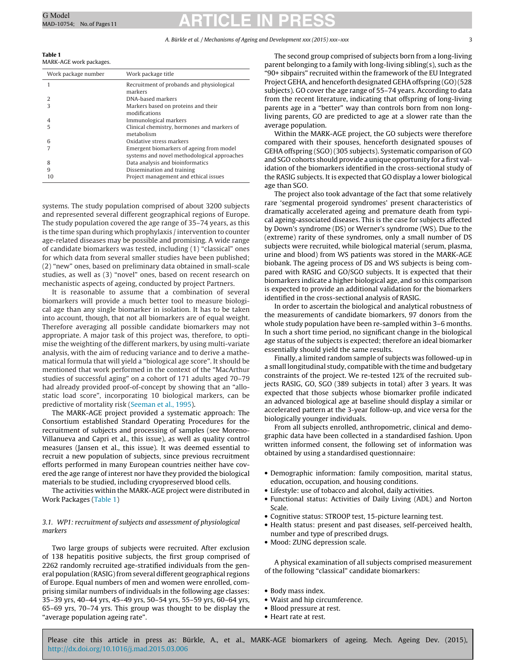#### A. Bürkle et al. / Mechanisms of Ageing and Development xxx (2015) xxx-xxx 33

#### **Table 1** MARK-AGE work packages.

| Work package number | Work package title                                   |
|---------------------|------------------------------------------------------|
|                     | Recruitment of probands and physiological<br>markers |
| $\mathcal{D}$       | DNA-based markers                                    |
| 3                   | Markers based on proteins and their                  |
|                     | modifications                                        |
| 4                   | Immunological markers                                |
| 5                   | Clinical chemistry, hormones and markers of          |
|                     | metabolism                                           |
| 6                   | Oxidative stress markers                             |
|                     | Emergent biomarkers of ageing from model             |
|                     | systems and novel methodological approaches          |
| 8                   | Data analysis and bioinformatics                     |
| q                   | Dissemination and training                           |
| 10                  | Project management and ethical issues                |

systems. The study population comprised of about 3200 subjects and represented several different geographical regions of Europe. The study population covered the age range of 35–74 years, as this is the time span during which prophylaxis / intervention to counter age-related diseases may be possible and promising. A wide range of candidate biomarkers was tested, including (1) "classical" ones for which data from several smaller studies have been published; (2) "new" ones, based on preliminary data obtained in small-scale studies, as well as (3) "novel" ones, based on recent research on mechanistic aspects of ageing, conducted by project Partners.

It is reasonable to assume that a combination of several biomarkers will provide a much better tool to measure biological age than any single biomarker in isolation. It has to be taken into account, though, that not all biomarkers are of equal weight. Therefore averaging all possible candidate biomarkers may not appropriate. A major task of this project was, therefore, to optimise the weighting of the different markers, by using multi-variate analysis, with the aim of reducing variance and to derive a mathematical formula that will yield a "biological age score". It should be mentioned that work performed in the context of the "MacArthur studies of successful aging" on a cohort of 171 adults aged 70–79 had already provided proof-of-concept by showing that an "allostatic load score", incorporating 10 biological markers, can be predictive of mortality risk [\(Seeman](#page-9-0) et [al.,](#page-9-0) [1995\).](#page-9-0)

The MARK-AGE project provided a systematic approach: The Consortium established Standard Operating Procedures for the recruitment of subjects and processing of samples (see Moreno-Villanueva and Capri et al., this issue), as well as quality control measures (Jansen et al., this issue). It was deemed essential to recruit a new population of subjects, since previous recruitment efforts performed in many European countries neither have covered the age range of interest nor have they provided the biological materials to be studied, including cryopreserved blood cells.

The activities within the MARK-AGE project were distributed in Work Packages (Table 1)

### 3.1. WP1: recruitment of subjects and assessment of physiological markers

Two large groups of subjects were recruited. After exclusion of 138 hepatitis positive subjects, the first group comprised of 2262 randomly recruited age-stratified individuals from the general population (RASIG) from several different geographical regions of Europe. Equal numbers of men and women were enrolled, comprising similar numbers of individuals in the following age classes: 35–39 yrs, 40–44 yrs, 45–49 yrs, 50–54 yrs, 55–59 yrs, 60–64 yrs, 65–69 yrs, 70–74 yrs. This group was thought to be display the "average population ageing rate".

The second group comprised of subjects born from a long-living parent belonging to a family with long-living sibling(s), such as the "90+ sibpairs" recruited within the framework of the EU Integrated Project GEHA, and henceforth designated GEHA offspring (GO)(528 subjects). GO cover the age range of 55–74 years. According to data from the recent literature, indicating that offspring of long-living parents age in a "better" way than controls born from non longliving parents, GO are predicted to age at a slower rate than the average population.

Within the MARK-AGE project, the GO subjects were therefore compared with their spouses, henceforth designated spouses of GEHA offspring (SGO) (305 subjects). Systematic comparison of GO and SGO cohorts should provide a unique opportunity for a first validation of the biomarkers identified in the cross-sectional study of the RASIG subjects. It is expected that GO display a lower biological age than SGO.

The project also took advantage of the fact that some relatively rare 'segmental progeroid syndromes' present characteristics of dramatically accelerated ageing and premature death from typical ageing-associated diseases. This is the case for subjects affected by Down's syndrome (DS) or Werner's syndrome (WS). Due to the (extreme) rarity of these syndromes, only a small number of DS subjects were recruited, while biological material (serum, plasma, urine and blood) from WS patients was stored in the MARK-AGE biobank. The ageing process of DS and WS subjects is being compared with RASIG and GO/SGO subjects. It is expected that their biomarkers indicate a higher biological age, and so this comparison is expected to provide an additional validation for the biomarkers identified in the cross-sectional analysis of RASIG.

In order to ascertain the biological and analytical robustness of the measurements of candidate biomarkers, 97 donors from the whole study population have been re-sampled within 3–6 months. In such a short time period, no significant change in the biological age status of the subjects is expected; therefore an ideal biomarker essentially should yield the same results.

Finally, a limited random sample of subjects was followed-up in a small longitudinal study, compatible with the time and budgetary constraints of the project. We re-tested 12% of the recruited subjects RASIG, GO, SGO (389 subjects in total) after 3 years. It was expected that those subjects whose biomarker profile indicated an advanced biological age at baseline should display a similar or accelerated pattern at the 3-year follow-up, and vice versa for the biologically younger individuals.

From all subjects enrolled, anthropometric, clinical and demographic data have been collected in a standardised fashion. Upon written informed consent, the following set of information was obtained by using a standardised questionnaire:

- Demographic information: family composition, marital status, education, occupation, and housing conditions.
- Lifestyle: use of tobacco and alcohol, daily activities.
- Functional status: Activities of Daily Living (ADL) and Norton Scale.
- Cognitive status: STROOP test, 15-picture learning test.
- Health status: present and past diseases, self-perceived health, number and type of prescribed drugs.
- Mood: ZUNG depression scale.

A physical examination of all subjects comprised measurement of the following "classical" candidate biomarkers:

- Body mass index.
- Waist and hip circumference.
- Blood pressure at rest.
- Heart rate at rest.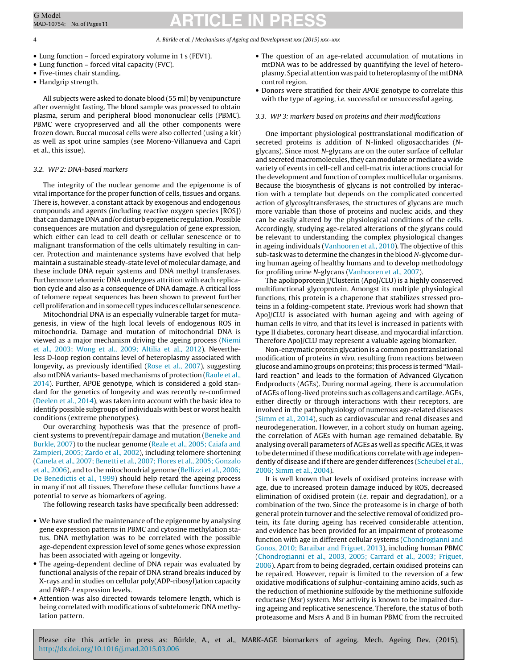4 A. Bürkle et al. / Mechanisms of Ageing and Development xxx (2015) xxx–xxx

- Lung function forced expiratory volume in 1 s (FEV1).
- Lung function forced vital capacity (FVC).
- Five-times chair standing.
- Handgrip strength.

All subjects were asked to donate blood (55 ml) by venipuncture after overnight fasting. The blood sample was processed to obtain plasma, serum and peripheral blood mononuclear cells (PBMC). PBMC were cryopreserved and all the other components were frozen down. Buccal mucosal cells were also collected (using a kit) as well as spot urine samples (see Moreno-Villanueva and Capri et al., this issue).

### 3.2. WP 2: DNA-based markers

The integrity of the nuclear genome and the epigenome is of vital importance for the proper function of cells, tissues and organs. There is, however, a constant attack by exogenous and endogenous compounds and agents (including reactive oxygen species [ROS]) that can damage DNAand/or disturb epigenetic regulation. Possible consequences are mutation and dysregulation of gene expression, which either can lead to cell death or cellular senescence or to malignant transformation of the cells ultimately resulting in cancer. Protection and maintenance systems have evolved that help maintain a sustainable steady-state level of molecular damage, and these include DNA repair systems and DNA methyl transferases. Furthermore telomeric DNA undergoes attrition with each replication cycle and also as a consequence of DNA damage. A critical loss of telomere repeat sequences has been shown to prevent further cell proliferation and in some celltypes induces cellular senescence.

Mitochondrial DNA is an especially vulnerable target for mutagenesis, in view of the high local levels of endogenous ROS in mitochondria. Damage and mutation of mitochondrial DNA is viewed as a major mechanism driving the ageing process [\(Niemi](#page-9-0) et [al.,](#page-9-0) [2003;](#page-9-0) [Wong](#page-9-0) et [al.,](#page-9-0) [2009;](#page-9-0) [Altilia](#page-9-0) et [al.,](#page-9-0) [2012\).](#page-9-0) Nevertheless D-loop region contains level of heteroplasmy associated with longevity, as previously identified [\(Rose](#page-9-0) et [al.,](#page-9-0) [2007\),](#page-9-0) suggesting also mtDNA variants- based mechanisms of protection ([Raule](#page-9-0) et [al.,](#page-9-0) [2014\).](#page-9-0) Further, APOE genotype, which is considered a gold standard for the genetics of longevity and was recently re-confirmed ([Deelen](#page-8-0) et [al.,](#page-8-0) [2014\),](#page-8-0) was taken into account with the basic idea to identify possible subgroups of individuals with best or worst health conditions (extreme phenotypes).

Our overarching hypothesis was that the presence of proficient systems to prevent/repair damage and mutation ([Beneke](#page-8-0) [and](#page-8-0) [Burkle,](#page-8-0) [2007\)](#page-8-0) to the nuclear genome [\(Reale](#page-9-0) et [al.,](#page-9-0) [2005;](#page-9-0) [Caiafa](#page-9-0) [and](#page-9-0) [Zampieri,](#page-9-0) [2005;](#page-9-0) [Zardo](#page-9-0) et [al.,](#page-9-0) [2002\),](#page-9-0) including telomere shortening ([Canela](#page-8-0) et [al.,](#page-8-0) [2007;](#page-8-0) [Benetti](#page-8-0) et [al.,](#page-8-0) [2007;](#page-8-0) [Flores](#page-8-0) et [al.,](#page-8-0) [2005;](#page-8-0) [Gonzalo](#page-8-0) et [al.,](#page-8-0) [2006\),](#page-8-0) and to the mitochondrial genome ([Bellizzi](#page-8-0) et [al.,](#page-8-0) [2006;](#page-8-0) [De](#page-8-0) [Benedictis](#page-8-0) et [al.,](#page-8-0) [1999\)](#page-8-0) should help retard the ageing process in many if not all tissues. Therefore these cellular functions have a potential to serve as biomarkers of ageing.

The following research tasks have specifically been addressed:

- We have studied the maintenance of the epigenome by analysing gene expression patterns in PBMC and cytosine methylation status. DNA methylation was to be correlated with the possible age-dependent expression level of some genes whose expression has been associated with ageing or longevity.
- The ageing-dependent decline of DNA repair was evaluated by functional analysis of the repair of DNA strand breaks induced by X-rays and in studies on cellular poly(ADP-ribosyl)ation capacity and PARP-1 expression levels.
- Attention was also directed towards telomere length, which is being correlated with modifications of subtelomeric DNA methylation pattern.
- The question of an age-related accumulation of mutations in mtDNA was to be addressed by quantifying the level of heteroplasmy. Special attention was paid to heteroplasmy of the mtDNA control region.
- Donors were stratified for their APOE genotype to correlate this with the type of ageing, i.e. successful or unsuccessful ageing.
- 3.3. WP 3: markers based on proteins and their modifications

One important physiological posttranslational modification of secreted proteins is addition of N-linked oligosaccharides (Nglycans). Since most N-glycans are on the outer surface of cellular and secreted macromolecules, they can modulate or mediate a wide variety of events in cell-cell and cell-matrix interactions crucial for the development and function of complex multicellular organisms. Because the biosynthesis of glycans is not controlled by interaction with a template but depends on the complicated concerted action of glycosyltransferases, the structures of glycans are much more variable than those of proteins and nucleic acids, and they can be easily altered by the physiological conditions of the cells. Accordingly, studying age-related alterations of the glycans could be relevant to understanding the complex physiological changes in ageing individuals [\(Vanhooren](#page-10-0) et [al.,](#page-10-0) [2010\).](#page-10-0) The objective of this sub-task was to determine the changes in the blood N-glycome during human ageing of healthy humans and to develop methodology for profiling urine N-glycans [\(Vanhooren](#page-9-0) et [al.,](#page-9-0) [2007\).](#page-9-0)

The apolipoprotein J/Clusterin (ApoJ/CLU) is a highly conserved multifunctional glycoprotein. Amongst its multiple physiological functions, this protein is a chaperone that stabilizes stressed proteins in a folding-competent state. Previous work had shown that ApoJ/CLU is associated with human ageing and with ageing of human cells in vitro, and that its level is increased in patients with type II diabetes, coronary heart disease, and myocardial infarction. Therefore ApoJ/CLU may represent a valuable ageing biomarker.

Non-enzymatic protein glycation is a common posttranslational modification of proteins in vivo, resulting from reactions between glucose and amino groups on proteins;this process is termed "Maillard reaction" and leads to the formation of Advanced Glycation Endproducts (AGEs). During normal ageing, there is accumulation of AGEs of long-lived proteins such as collagens and cartilage. AGEs, either directly or through interactions with their receptors, are involved in the pathophysiology of numerous age-related diseases [\(Simm](#page-9-0) et [al.,](#page-9-0) [2014\),](#page-9-0) such as cardiovascular and renal diseases and neurodegeneration. However, in a cohort study on human ageing, the correlation of AGEs with human age remained debatable. By analysing overall parameters ofAGEs as well as specificAGEs, it was to be determined if these modifications correlate with age indepen-dently of disease and if there are gender differences ([Scheubel](#page-9-0) et [al.,](#page-9-0) [2006;](#page-9-0) [Simm](#page-9-0) et [al.,](#page-9-0) [2004\).](#page-9-0)

It is well known that levels of oxidised proteins increase with age, due to increased protein damage induced by ROS, decreased elimination of oxidised protein (i.e. repair and degradation), or a combination of the two. Since the proteasome is in charge of both general protein turnover and the selective removal of oxidized protein, its fate during ageing has received considerable attention, and evidence has been provided for an impairment of proteasome function with age in different cellular systems [\(Chondrogianni](#page-8-0) [and](#page-8-0) [Gonos,](#page-8-0) [2010;](#page-8-0) [Baraibar](#page-8-0) [and](#page-8-0) [Friguet,](#page-8-0) [2013\),](#page-8-0) including human PBMC [\(Chondrogianni](#page-8-0) et [al.,](#page-8-0) [2003,](#page-8-0) [2005;](#page-8-0) [Carrard](#page-8-0) et [al.,](#page-8-0) [2003;](#page-8-0) [Friguet,](#page-8-0) [2006\).](#page-8-0) Apart from to being degraded, certain oxidised proteins can be repaired. However, repair is limited to the reversion of a few oxidative modifications of sulphur-containing amino acids, such as the reduction of methionine sulfoxide by the methionine sulfoxide reductase (Msr) system. Msr activity is known to be impaired during ageing and replicative senescence. Therefore, the status of both proteasome and Msrs A and B in human PBMC from the recruited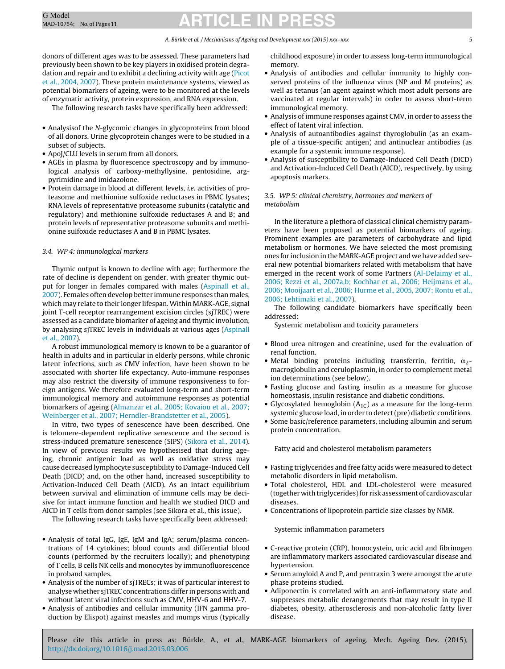# G Model G Model **ARTICLE IN PRESS**

#### A. Bürkle et al. / Mechanisms of Ageing and Development xxx (2015) xxx-xxx 5

donors of different ages was to be assessed. These parameters had previously been shown to be key players in oxidised protein degradation and repair and to exhibit a declining activity with age [\(Picot](#page-9-0) et [al.,](#page-9-0) [2004,](#page-9-0) [2007\).](#page-9-0) These protein maintenance systems, viewed as potential biomarkers of ageing, were to be monitored at the levels of enzymatic activity, protein expression, and RNA expression.

The following research tasks have specifically been addressed:

- Analysisof the N-glycomic changes in glycoproteins from blood of all donors. Urine glycoprotein changes were to be studied in a subset of subjects.
- ApoJ/CLU levels in serum from all donors.
- AGEs in plasma by fluorescence spectroscopy and by immunological analysis of carboxy-methyllysine, pentosidine, argpyrimidine and imidazolone.
- Protein damage in blood at different levels, i.e. activities of proteasome and methionine sulfoxide reductases in PBMC lysates; RNA levels of representative proteasome subunits (catalytic and regulatory) and methionine sulfoxide reductases A and B; and protein levels of representative proteasome subunits and methionine sulfoxide reductases A and B in PBMC lysates.

### 3.4. WP 4: immunological markers

Thymic output is known to decline with age; furthermore the rate of decline is dependent on gender, with greater thymic output for longer in females compared with males [\(Aspinall](#page-8-0) et [al.,](#page-8-0) [2007\).](#page-8-0) Females often develop better immune responses than males, which may relate to their longer lifespan.Within MARK-AGE, signal joint T-cell receptor rearrangement excision circles (sjTREC) were assessed as a candidate biomarker of ageing and thymic involution, by analysing sjTREC levels in individuals at various ages [\(Aspinall](#page-8-0) et [al.,](#page-8-0) [2007\).](#page-8-0)

A robust immunological memory is known to be a guarantor of health in adults and in particular in elderly persons, while chronic latent infections, such as CMV infection, have been shown to be associated with shorter life expectancy. Auto-immune responses may also restrict the diversity of immune responsiveness to foreign antigens. We therefore evaluated long-term and short-term immunological memory and autoimmune responses as potential biomarkers of ageing [\(Almanzar](#page-8-0) et [al.,](#page-8-0) [2005;](#page-8-0) [Kovaiou](#page-8-0) et [al.,](#page-8-0) [2007;](#page-8-0) [Weinberger](#page-8-0) et [al.,](#page-8-0) [2007;](#page-8-0) [Herndler-Brandstetter](#page-8-0) et [al.,](#page-8-0) [2005\).](#page-8-0)

In vitro, two types of senescence have been described. One is telomere-dependent replicative senescence and the second is stress-induced premature senescence (SIPS) [\(Sikora](#page-9-0) et [al.,](#page-9-0) [2014\).](#page-9-0) In view of previous results we hypothesised that during ageing, chronic antigenic load as well as oxidative stress may cause decreased lymphocyte susceptibility to Damage-Induced Cell Death (DICD) and, on the other hand, increased susceptibility to Activation-Induced Cell Death (AICD). As an intact equilibrium between survival and elimination of immune cells may be decisive for intact immune function and health we studied DICD and AICD in T cells from donor samples (see Sikora et al., this issue).

The following research tasks have specifically been addressed:

- Analysis of total IgG, IgE, IgM and IgA; serum/plasma concentrations of 14 cytokines; blood counts and differential blood counts (performed by the recruiters locally); and phenotyping of T cells, B cells NK cells and monocytes by immunofluorescence in proband samples.
- Analysis of the number of sjTRECs; it was of particular interest to analyse whether sjTREC concentrations differ in persons with and without latent viral infections such as CMV, HHV-6 and HHV-7.
- Analysis of antibodies and cellular immunity (IFN gamma production by Elispot) against measles and mumps virus (typically

childhood exposure) in order to assess long-term immunological memory.

- Analysis of antibodies and cellular immunity to highly conserved proteins of the influenza virus (NP and M proteins) as well as tetanus (an agent against which most adult persons are vaccinated at regular intervals) in order to assess short-term immunological memory.
- Analysis of immune responses against CMV, in order to assess the effect of latent viral infection.
- Analysis of autoantibodies against thyroglobulin (as an example of a tissue-specific antigen) and antinuclear antibodies (as example for a systemic immune response).
- Analysis of susceptibility to Damage-Induced Cell Death (DICD) and Activation-Induced Cell Death (AICD), respectively, by using apoptosis markers.

### 3.5. WP 5: clinical chemistry, hormones and markers of metabolism

In the literature a plethora of classical clinical chemistry parameters have been proposed as potential biomarkers of ageing. Prominent examples are parameters of carbohydrate and lipid metabolism or hormones. We have selected the most promising ones for inclusion in the MARK-AGE project and we have added several new potential biomarkers related with metabolism that have emerged in the recent work of some Partners ([Al-Delaimy](#page-8-0) et [al.,](#page-8-0) [2006;](#page-8-0) [Rezzi](#page-8-0) et [al.,](#page-8-0) [2007a,b;](#page-8-0) [Kochhar](#page-8-0) et [al.,](#page-8-0) [2006;](#page-8-0) [Heijmans](#page-8-0) et [al.,](#page-8-0) [2006;](#page-8-0) [Mooijaart](#page-8-0) et [al.,](#page-8-0) [2006;](#page-8-0) [Hurme](#page-8-0) et [al.,](#page-8-0) [2005,](#page-8-0) [2007;](#page-8-0) [Rontu](#page-8-0) et [al.,](#page-8-0) [2006;](#page-8-0) [Lehtimaki](#page-8-0) et [al.,](#page-8-0) [2007\).](#page-8-0)

The following candidate biomarkers have specifically been addressed:

Systemic metabolism and toxicity parameters

- Blood urea nitrogen and creatinine, used for the evaluation of renal function.
- Metal binding proteins including transferrin, ferritin,  $\alpha_2$ macroglobulin and ceruloplasmin, in order to complement metal ion determinations (see below).
- Fasting glucose and fasting insulin as a measure for glucose homeostasis, insulin resistance and diabetic conditions.
- Glycosylated hemoglobin  $(A_{1C})$  as a measure for the long-term systemic glucose load, in order to detect(pre) diabetic conditions.
- Some basic/reference parameters, including albumin and serum protein concentration.

Fatty acid and cholesterol metabolism parameters

- Fasting triglycerides and free fatty acids were measured to detect metabolic disorders in lipid metabolism.
- Total cholesterol, HDL and LDL-cholesterol were measured (together with triglycerides) for risk assessment of cardiovascular diseases.
- Concentrations of lipoprotein particle size classes by NMR.

Systemic inflammation parameters

- C-reactive protein (CRP), homocystein, uric acid and fibrinogen are inflammatory markers associated cardiovascular disease and hypertension.
- Serum amyloid A and P, and pentraxin 3 were amongst the acute phase proteins studied.
- Adiponectin is correlated with an anti-inflammatory state and suppresses metabolic derangements that may result in type II diabetes, obesity, atherosclerosis and non-alcoholic fatty liver disease.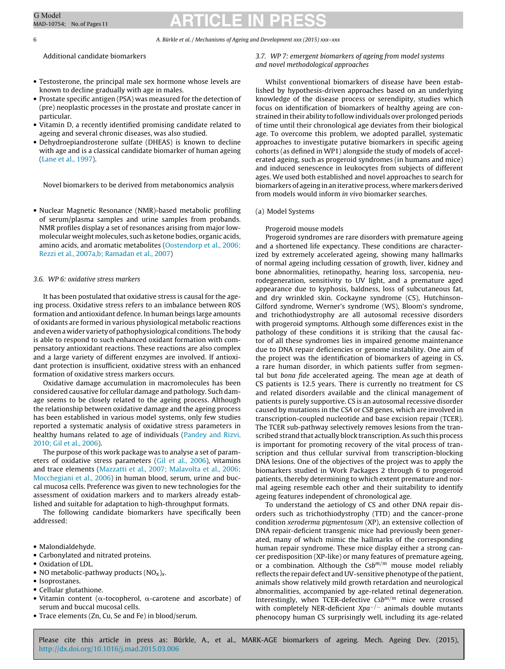#### 6 A. Bürkle et al. / Mechanisms of Ageing and Development xxx (2015) xxx–xxx

Additional candidate biomarkers

- Testosterone, the principal male sex hormone whose levels are known to decline gradually with age in males.
- Prostate specific antigen (PSA) was measured for the detection of (pre) neoplastic processes in the prostate and prostate cancer in particular.
- Vitamin D, a recently identified promising candidate related to ageing and several chronic diseases, was also studied.
- Dehydroepiandrosterone sulfate (DHEAS) is known to decline with age and is a classical candidate biomarker of human ageing [\(Lane](#page-9-0) et [al.,](#page-9-0) [1997\).](#page-9-0)

Novel biomarkers to be derived from metabonomics analysis

• Nuclear Magnetic Resonance (NMR)-based metabolic profiling of serum/plasma samples and urine samples from probands. NMR profiles display a set of resonances arising from major lowmolecular weight molecules, such as ketone bodies, organic acids, amino acids, and aromatic metabolites ([Oostendorp](#page-9-0) et [al.,](#page-9-0) [2006;](#page-9-0) [Rezzi](#page-9-0) et [al.,](#page-9-0) [2007a,b;](#page-9-0) [Ramadan](#page-9-0) et [al.,](#page-9-0) [2007\)](#page-9-0)

### 3.6. WP 6: oxidative stress markers

It has been postulated that oxidative stress is causal for the ageing process. Oxidative stress refers to an imbalance between ROS formation and antioxidant defence. In human beings large amounts of oxidants are formed in various physiological metabolic reactions and even a wider variety of pathophysiological conditions. The body is able to respond to such enhanced oxidant formation with compensatory antioxidant reactions. These reactions are also complex and a large variety of different enzymes are involved. If antioxidant protection is insufficient, oxidative stress with an enhanced formation of oxidative stress markers occurs.

Oxidative damage accumulation in macromolecules has been considered causative for cellular damage and pathology. Such damage seems to be closely related to the ageing process. Although the relationship between oxidative damage and the ageing process has been established in various model systems, only few studies reported a systematic analysis of oxidative stress parameters in healthy humans related to age of individuals [\(Pandey](#page-9-0) [and](#page-9-0) [Rizvi,](#page-9-0) [2010;](#page-9-0) [Gil](#page-9-0) et [al.,](#page-9-0) [2006\).](#page-9-0)

The purpose of this work package was to analyse a set of parameters of oxidative stress parameters ([Gil](#page-8-0) et [al.,](#page-8-0) [2006\),](#page-8-0) vitamins and trace elements ([Mazzatti](#page-9-0) et [al.,](#page-9-0) [2007;](#page-9-0) [Malavolta](#page-9-0) et [al.,](#page-9-0) [2006;](#page-9-0) [Mocchegiani](#page-9-0) et [al.,](#page-9-0) [2006\)](#page-9-0) in human blood, serum, urine and buccal mucosa cells. Preference was given to new technologies for the assessment of oxidation markers and to markers already established and suitable for adaptation to high-throughput formats.

The following candidate biomarkers have specifically been addressed:

- Malondialdehyde.
- Carbonylated and nitrated proteins.
- Oxidation of LDL.
- NO metabolic-pathway products  $(NO<sub>x</sub>)<sub>x</sub>$ .
- Isoprostanes.
- Cellular glutathione.
- $\bullet$  Vitamin content ( $\alpha$ -tocopherol,  $\alpha$ -carotene and ascorbate) of serum and buccal mucosal cells.
- Trace elements (Zn, Cu, Se and Fe) in blood/serum.

[http://dx.doi.org/10.1016/j.mad.2015.03.006](dx.doi.org/10.1016/j.mad.2015.03.006)

### 3.7. WP 7: emergent biomarkers of ageing from model systems and novel methodological approaches

Whilst conventional biomarkers of disease have been established by hypothesis-driven approaches based on an underlying knowledge of the disease process or serendipity, studies which focus on identification of biomarkers of healthy ageing are constrained in their ability to follow individuals over prolonged periods of time until their chronological age deviates from their biological age. To overcome this problem, we adopted parallel, systematic approaches to investigate putative biomarkers in specific ageing cohorts (as defined in WP1) alongside the study of models of accelerated ageing, such as progeroid syndromes (in humans and mice) and induced senescence in leukocytes from subjects of different ages. We used both established and novel approaches to search for biomarkers of ageing in an iterative process, where markers derived from models would inform in vivo biomarker searches.

#### (a) Model Systems

#### Progeroid mouse models

Progeroid syndromes are rare disorders with premature ageing and a shortened life expectancy. These conditions are characterized by extremely accelerated ageing, showing many hallmarks of normal ageing including cessation of growth, liver, kidney and bone abnormalities, retinopathy, hearing loss, sarcopenia, neurodegeneration, sensitivity to UV light, and a premature aged appearance due to kyphosis, baldness, loss of subcutaneous fat, and dry wrinkled skin. Cockayne syndrome (CS), Hutchinson-Gilford syndrome, Werner's syndrome (WS), Bloom's syndrome, and trichothiodystrophy are all autosomal recessive disorders with progeroid symptoms. Although some differences exist in the pathology of these conditions it is striking that the causal factor of all these syndromes lies in impaired genome maintenance due to DNA repair deficiencies or genome instability. One aim of the project was the identification of biomarkers of ageing in CS, a rare human disorder, in which patients suffer from segmental but bona fide accelerated ageing. The mean age at death of CS patients is 12.5 years. There is currently no treatment for CS and related disorders available and the clinical management of patients is purely supportive. CS is an autosomal recessive disorder caused by mutations in the CSA or CSB genes, which are involved in transcription-coupled nucleotide and base excision repair (TCER). The TCER sub-pathway selectively removes lesions from the transcribed strand that actually block transcription. As such this process is important for promoting recovery of the vital process of transcription and thus cellular survival from transcription-blocking DNA lesions. One of the objectives of the project was to apply the biomarkers studied in Work Packages 2 through 6 to progeroid patients, thereby determining to which extent premature and normal ageing resemble each other and their suitability to identify ageing features independent of chronological age.

To understand the aetiology of CS and other DNA repair disorders such as trichothiodystrophy (TTD) and the cancer-prone condition xeroderma pigmentosum (XP), an extensive collection of DNA repair-deficient transgenic mice had previously been generated, many of which mimic the hallmarks of the corresponding human repair syndrome. These mice display either a strong cancer predisposition (XP-like) or many features of premature ageing, or a combination. Although the  $Cs^{m/m}$  mouse model reliably reflects the repair defect and UV-sensitive phenotype of the patient, animals show relatively mild growth retardation and neurological abnormalities, accompanied by age-related retinal degeneration. Interestingly, when TCER-defective  $Csb^{m/m}$  mice were crossed with completely NER-deficient  $Xpa^{-/-}$  animals double mutants phenocopy human CS surprisingly well, including its age-related

Please cite this article in press as: Bürkle, A., et al., MARK-AGE biomarkers of ageing. Mech. Ageing Dev. (2015),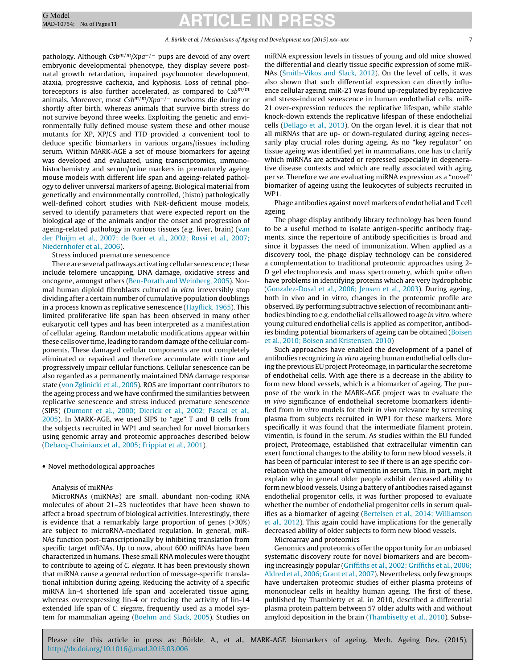#### A. Bürkle et al. / Mechanisms of Ageing and Development xxx (2015) xxx–xxx 7

pathology. Although  $Cs^{pm/m}/Xpa^{-/-}$  pups are devoid of any overt embryonic developmental phenotype, they display severe postnatal growth retardation, impaired psychomotor development, ataxia, progressive cachexia, and kyphosis. Loss of retinal photoreceptors is also further accelerated, as compared to  $Cs b^{m/m}$ animals. Moreover, most  $Cs^{pm/m}/Xpa^{-/-}$  newborns die during or shortly after birth, whereas animals that survive birth stress do not survive beyond three weeks. Exploiting the genetic and environmentally fully defined mouse system these and other mouse mutants for XP, XP/CS and TTD provided a convenient tool to deduce specific biomarkers in various organs/tissues including serum. Within MARK-AGE a set of mouse biomarkers for ageing was developed and evaluated, using transcriptomics, immunohistochemistry and serum/urine markers in prematurely ageing mouse models with different life span and ageing-related pathology to deliver universal markers of ageing. Biological material from genetically and environmentally controlled, (histo) pathologically well-defined cohort studies with NER-deficient mouse models, served to identify parameters that were expected report on the biological age of the animals and/or the onset and progression of ageing-related pathology in various tissues (e.g. liver, brain) [\(van](#page-9-0) [der](#page-9-0) [Pluijm](#page-9-0) et [al.,](#page-9-0) [2007;](#page-9-0) [de](#page-9-0) [Boer](#page-9-0) et [al.,](#page-9-0) [2002;](#page-9-0) [Rossi](#page-9-0) et [al.,](#page-9-0) [2007;](#page-9-0) [Niedernhofer](#page-9-0) et [al.,](#page-9-0) [2006\).](#page-9-0)

#### Stress induced premature senescence

There are several pathways activating cellular senescence;these include telomere uncapping, DNA damage, oxidative stress and oncogene, amongst others ([Ben-Porath](#page-8-0) [and](#page-8-0) [Weinberg,](#page-8-0) [2005\).](#page-8-0) Normal human diploid fibroblasts cultured in vitro irreversibly stop dividing after a certain number of cumulative population doublings in a process known as replicative senescence [\(Hayflick,](#page-9-0) [1965\).](#page-9-0) This limited proliferative life span has been observed in many other eukaryotic cell types and has been interpreted as a manifestation of cellular ageing. Random metabolic modifications appear within these cells over time, leading to random damage of the cellular components. These damaged cellular components are not completely eliminated or repaired and therefore accumulate with time and progressively impair cellular functions. Cellular senescence can be also regarded as a permanently maintained DNA damage response state [\(von](#page-10-0) [Zglinicki](#page-10-0) et [al.,](#page-10-0) [2005\).](#page-10-0) ROS are important contributors to the ageing process and we have confirmed the similarities between replicative senescence and stress induced premature senescence (SIPS) [\(Dumont](#page-8-0) et [al.,](#page-8-0) [2000;](#page-8-0) [Dierick](#page-8-0) et [al.,](#page-8-0) [2002;](#page-8-0) [Pascal](#page-8-0) et [al.,](#page-8-0) [2005\).](#page-8-0) In MARK-AGE, we used SIPS to "age" T and B cells from the subjects recruited in WP1 and searched for novel biomarkers using genomic array and proteomic approaches described below ([Debacq-Chainiaux](#page-8-0) et [al.,](#page-8-0) [2005;](#page-8-0) [Frippiat](#page-8-0) et [al.,](#page-8-0) [2001\).](#page-8-0)

#### • Novel methodological approaches

### Analysis of miRNAs

MicroRNAs (miRNAs) are small, abundant non-coding RNA molecules of about 21–23 nucleotides that have been shown to affect a broad spectrum of biological activities. Interestingly, there is evidence that a remarkably large proportion of genes (>30%) are subject to microRNA-mediated regulation. In general, miR-NAs function post-transcriptionally by inhibiting translation from specific target mRNAs. Up to now, about 600 miRNAs have been characterized in humans. These small RNA molecules were thought to contribute to ageing of C. elegans. It has been previously shown that miRNA cause a general reduction of message-specific translational inhibition during ageing. Reducing the activity of a specific miRNA lin-4 shortened life span and accelerated tissue aging, whereas overexpressing lin-4 or reducing the activity of lin-14 extended life span of C. elegans, frequently used as a model system for mammalian ageing ([Boehm](#page-8-0) [and](#page-8-0) [Slack,](#page-8-0) [2005\).](#page-8-0) Studies on

miRNA expression levels in tissues of young and old mice showed the differential and clearly tissue specific expression of some miR-NAs ([Smith-Vikos](#page-9-0) [and](#page-9-0) [Slack,](#page-9-0) [2012\).](#page-9-0) On the level of cells, it was also shown that such differential expression can directly influence cellular ageing. miR-21 was found up-regulated by replicative and stress-induced senescence in human endothelial cells. miR-21 over-expression reduces the replicative lifespan, while stable knock-down extends the replicative lifespan of these endothelial cells [\(Dellago](#page-8-0) et [al.,](#page-8-0) [2013\).](#page-8-0) On the organ level, it is clear that not all miRNAs that are up- or down-regulated during ageing necessarily play crucial roles during ageing. As no "key regulator" on tissue ageing was identified yet in mammalians, one has to clarify which miRNAs are activated or repressed especially in degenerative disease contexts and which are really associated with aging per se. Therefore we are evaluating miRNA expression as a "novel" biomarker of ageing using the leukocytes of subjects recruited in WP1.

Phage antibodies against novel markers of endothelial and T cell ageing

The phage display antibody library technology has been found to be a useful method to isolate antigen-specific antibody fragments, since the repertoire of antibody specificities is broad and since it bypasses the need of immunization. When applied as a discovery tool, the phage display technology can be considered a complementation to traditional proteomic approaches using 2- D gel electrophoresis and mass spectrometry, which quite often have problems in identifying proteins which are very hydrophobic [\(Gonzalez-Dosal](#page-8-0) et [al.,](#page-8-0) [2006;](#page-8-0) [Jensen](#page-8-0) et [al.,](#page-8-0) [2003\).](#page-8-0) During ageing, both in vivo and in vitro, changes in the proteomic profile are observed. By performing subtractive selection of recombinant antibodies binding to e.g. endothelial cells allowed to age in vitro, where young cultured endothelial cells is applied as competitor, antibod-ies binding potential biomarkers of ageing can be obtained [\(Boisen](#page-8-0) et [al.,](#page-8-0) [2010;](#page-8-0) [Boisen](#page-8-0) [and](#page-8-0) [Kristensen,](#page-8-0) [2010\)](#page-8-0)

Such approaches have enabled the development of a panel of antibodies recognizing in vitro ageing human endothelial cells during the previous EU project Proteomage, in particular the secretome of endothelial cells. With age there is a decrease in the ability to form new blood vessels, which is a biomarker of ageing. The purpose of the work in the MARK-AGE project was to evaluate the in vivo significance of endothelial secretome biomarkers identified from in vitro models for their in vivo relevance by screening plasma from subjects recruited in WP1 for these markers. More specifically it was found that the intermediate filament protein, vimentin, is found in the serum. As studies within the EU funded project, Proteomage, established that extracellular vimentin can exert functional changes to the ability to form new blood vessels, it has been of particular interest to see if there is an age specific correlation with the amount of vimentin in serum. This, in part, might explain why in general older people exhibit decreased ability to form new blood vessels. Using a battery of antibodies raised against endothelial progenitor cells, it was further proposed to evaluate whether the number of endothelial progenitor cells in serum qualifies as a biomarker of ageing ([Bertelsen](#page-8-0) et [al.,](#page-8-0) [2014;](#page-8-0) [Williamson](#page-8-0) et [al.,](#page-8-0) [2012\).](#page-8-0) This again could have implications for the generally decreased ability of older subjects to form new blood vessels.

Microarray and proteomics

Genomics and proteomics offer the opportunity for an unbiased systematic discovery route for novel biomarkers and are becoming increasingly popular [\(Griffiths](#page-9-0) et [al.,](#page-9-0) [2002;](#page-9-0) [Griffiths](#page-9-0) et [al.,](#page-9-0) [2006;](#page-9-0) Aldred et [al.,](#page-9-0) [2006;](#page-9-0) [Grant](#page-9-0) et al., [2007\).](#page-9-0) Nevertheless, only few groups have undertaken proteomic studies of either plasma proteins of mononuclear cells in healthy human ageing. The first of these, published by Thambietty et al. in 2010, described a differential plasma protein pattern between 57 older adults with and without amyloid deposition in the brain ([Thambisetty](#page-9-0) et [al.,](#page-9-0) [2010\).](#page-9-0) Subse-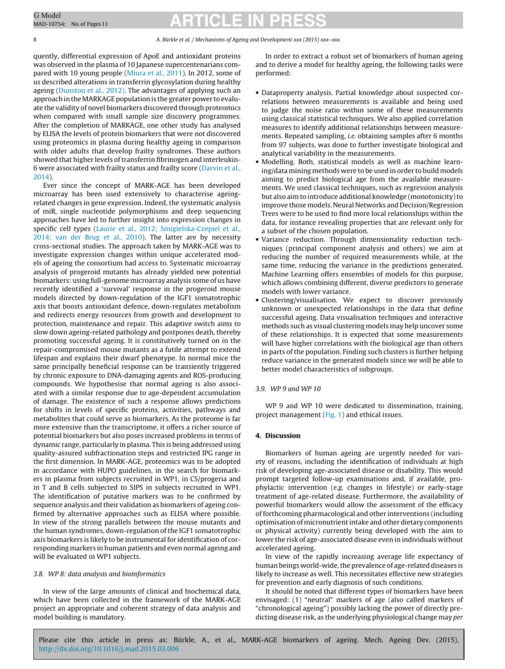8 A. Bürkle et al. / Mechanisms of Ageing and Development xxx (2015) xxx–xxx

quently, differential expression of ApoE and antioxidant proteins was observed in the plasma of 10 Japanese supercentenarians compared with 10 young people [\(Miura](#page-9-0) et [al.,](#page-9-0) [2011\).](#page-9-0) In 2012, some of us described alterations in transferrin glycosylation during healthy ageing ([Dunston](#page-8-0) et [al.,](#page-8-0) [2012\).](#page-8-0) The advantages of applying such an approach in the MARKAGE population is the greater power to evaluate the validity of novel biomarkers discovered through proteomics when compared with small sample size discovery programmes. After the completion of MARKAGE, one other study has analysed by ELISA the levels of protein biomarkers that were not discovered using proteomics in plasma during healthy ageing in comparison with older adults that develop frailty syndromes. These authors showed that higher levels of transferrin fibrinogen and interleukin-6 were associated with frailty status and frailty score [\(Darvin](#page-8-0) et [al.,](#page-8-0) [2014\).](#page-8-0)

Ever since the concept of MARK-AGE has been developed microarray has been used extensively to characterise ageingrelated changes in gene expression. Indeed, the systematic analysis of miR, single nucleotide polymorphisms and deep sequencing approaches have led to further insight into expression changes in specific cell types [\(Laurie](#page-9-0) et [al.,](#page-9-0) [2012;](#page-9-0) [Smigielska-Czepiel](#page-9-0) et [al.,](#page-9-0) [2014;](#page-9-0) [van](#page-9-0) [der](#page-9-0) [Brug](#page-9-0) et [al.,](#page-9-0) [2010\).](#page-9-0) The latter are by necessity cross-sectional studies. The approach taken by MARK-AGE was to investigate expression changes within unique accelerated models of ageing the consortium had access to. Systematic microarray analysis of progeroid mutants has already yielded new potential biomarkers: using full-genome microarray analysis some of us have recently identified a 'survival' response in the progeroid mouse models directed by down-regulation of the IGF1 somatotrophic axis that boosts antioxidant defence, down-regulates metabolism and redirects energy resources from growth and development to protection, maintenance and repair. This adaptive switch aims to slow down ageing-related pathology and postpones death, thereby promoting successful ageing. It is constitutively turned on in the repair-compromised mouse mutants as a futile attempt to extend lifespan and explains their dwarf phenotype. In normal mice the same principally beneficial response can be transiently triggered by chronic exposure to DNA-damaging agents and ROS-producing compounds. We hypothesise that normal ageing is also associated with a similar response due to age-dependent accumulation of damage. The existence of such a response allows predictions for shifts in levels of specific proteins, activities, pathways and metabolites that could serve as biomarkers. As the proteome is far more extensive than the transcriptome, it offers a richer source of potential biomarkers but also poses increased problems in terms of dynamic range, particularly in plasma. This is being addressed using quality-assured subfractionation steps and restricted IPG range in the first dimension. In MARK-AGE, proteomics was to be adopted in accordance with HUPO guidelines, in the search for biomarkers in plasma from subjects recruited in WP1, in CS/progeria and in T and B cells subjected to SIPS in subjects recruited in WP1. The identification of putative markers was to be confirmed by sequence analysis and their validation as biomarkers of ageing confirmed by alternative approaches such as ELISA where possible. In view of the strong parallels between the mouse mutants and the human syndromes, down-regulation of the IGF1 somatotrophic axis biomarkers is likely to be instrumental for identification of corresponding markers in human patients and even normal ageing and will be evaluated in WP1 subjects.

#### 3.8. WP 8: data analysis and bioinformatics

In view of the large amounts of clinical and biochemical data, which have been collected in the framework of the MARK-AGE project an appropriate and coherent strategy of data analysis and model building is mandatory.

In order to extract a robust set of biomarkers of human ageing and to derive a model for healthy ageing, the following tasks were performed:

- Dataproperty analysis. Partial knowledge about suspected correlations between measurements is available and being used to judge the noise ratio within some of these measurements using classical statistical techniques. We also applied correlation measures to identify additional relationships between measurements. Repeated sampling, i.e. obtaining samples after 6 months from 97 subjects, was done to further investigate biological and analytical variability in the measurements.
- Modelling. Both, statistical models as well as machine learning/data mining methods were to be used in order to build models aiming to predict biological age from the available measurements. We used classical techniques, such as regression analysis but also aim to introduce additional knowledge (monotonicity) to improve thosemodels. Neural Networks and Decision/Regression Trees were to be used to find more local relationships within the data, for instance revealing properties that are relevant only for a subset of the chosen population.
- Variance reduction. Through dimensionality reduction techniques (principal component analysis and others) we aim at reducing the number of required measurements while, at the same time, reducing the variance in the predictions generated. Machine Learning offers ensembles of models for this purpose, which allows combining different, diverse predictors to generate models with lower variance.
- Clustering/visualisation. We expect to discover previously unknown or unexpected relationships in the data that define successful ageing. Data visualisation techniques and interactive methods such as visual clustering models may help uncover some of these relationships. It is expected that some measurements will have higher correlations with the biological age than others in parts of the population. Finding such clusters is further helping reduce variance in the generated models since we will be able to better model characteristics of subgroups.

#### 3.9. WP 9 and WP 10

WP 9 and WP 10 were dedicated to dissemination, training, project management ([Fig.](#page-1-0) 1) and ethical issues.

#### **4. Discussion**

Biomarkers of human ageing are urgently needed for variety of reasons, including the identification of individuals at high risk of developing age-associated disease or disability. This would prompt targeted follow-up examinations and, if available, prophylactic intervention (e.g. changes in lifestyle) or early-stage treatment of age-related disease. Furthermore, the availability of powerful biomarkers would allow the assessment of the efficacy of forthcoming pharmacological and other interventions (including optimisation of micronutrient intake and other dietary components or physical activity) currently being developed with the aim to lower the risk of age-associated disease even in individuals without accelerated ageing.

In view of the rapidly increasing average life expectancy of human beings world-wide, the prevalence of age-related diseases is likely to increase as well. This necessitates effective new strategies for prevention and early diagnosis of such conditions.

It should be noted that different types of biomarkers have been envisaged: (1) "neutral" markers of age (also called markers of "chronological ageing") possibly lacking the power of directly predicting disease risk, as the underlying physiological change may per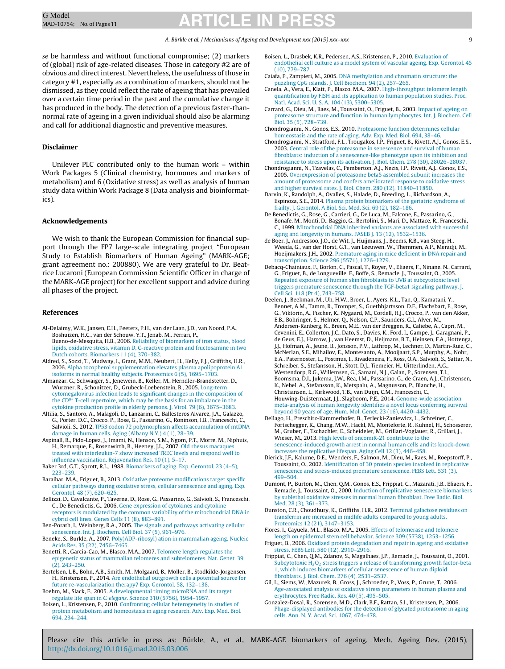A. Bürkle et al. / Mechanisms of Ageing and Development xxx (2015) xxx-xxx 99

<span id="page-8-0"></span>se be harmless and without functional compromise; (2) markers of (global) risk of age-related diseases. Those in category #2 are of obvious and direct interest. Nevertheless, the usefulness of those in category #1, especially as a combination of markers, should not be dismissed, as they could reflect the rate of ageing that has prevailed over a certain time period in the past and the cumulative change it has produced in the body. The detection of a previous faster-thannormal rate of ageing in a given individual should also be alarming and call for additional diagnostic and preventive measures.

### **Disclaimer**

Unilever PLC contributed only to the human work – within Work Packages 5 (Clinical chemistry, hormones and markers of metabolism) and 6 (Oxidative stress) as well as analysis of human study data within Work Package 8 (Data analysis and bioinformatics).

#### **Acknowledgements**

We wish to thank the European Commission for financial support through the FP7 large-scale integrating project "European Study to Establish Biomarkers of Human Ageing" (MARK-AGE; grant agreement no.: 200880). We are very grateful to Dr. Beatrice Lucaroni (European Commission Scientific Officer in charge of the MARK-AGE project) for her excellent support and advice during all phases of the project.

#### **References**

- Al-Delaimy, W.K., Jansen, E.H., Peeters, P.H., van der Laan, J.D., van Noord, P.A., Boshuizen, H.C., van der Schouw, Y.T., Jenab, M., Ferrari, P., Bueno-de-Mesquita, H.B., 2006. [Reliability](http://refhub.elsevier.com/S0047-6374(15)00031-7/sbref0005) [of](http://refhub.elsevier.com/S0047-6374(15)00031-7/sbref0005) [biomarkers](http://refhub.elsevier.com/S0047-6374(15)00031-7/sbref0005) [of](http://refhub.elsevier.com/S0047-6374(15)00031-7/sbref0005) [iron](http://refhub.elsevier.com/S0047-6374(15)00031-7/sbref0005) [status,](http://refhub.elsevier.com/S0047-6374(15)00031-7/sbref0005) [blood](http://refhub.elsevier.com/S0047-6374(15)00031-7/sbref0005) [lipids,](http://refhub.elsevier.com/S0047-6374(15)00031-7/sbref0005) [oxidative](http://refhub.elsevier.com/S0047-6374(15)00031-7/sbref0005) [stress,](http://refhub.elsevier.com/S0047-6374(15)00031-7/sbref0005) [vitamin](http://refhub.elsevier.com/S0047-6374(15)00031-7/sbref0005) [D,](http://refhub.elsevier.com/S0047-6374(15)00031-7/sbref0005) [C-reactive](http://refhub.elsevier.com/S0047-6374(15)00031-7/sbref0005) [protein](http://refhub.elsevier.com/S0047-6374(15)00031-7/sbref0005) [and](http://refhub.elsevier.com/S0047-6374(15)00031-7/sbref0005) [fructosamine](http://refhub.elsevier.com/S0047-6374(15)00031-7/sbref0005) [in](http://refhub.elsevier.com/S0047-6374(15)00031-7/sbref0005) [two](http://refhub.elsevier.com/S0047-6374(15)00031-7/sbref0005) [Dutch](http://refhub.elsevier.com/S0047-6374(15)00031-7/sbref0005) [cohorts.](http://refhub.elsevier.com/S0047-6374(15)00031-7/sbref0005) [Biomarkers](http://refhub.elsevier.com/S0047-6374(15)00031-7/sbref0005) [11](http://refhub.elsevier.com/S0047-6374(15)00031-7/sbref0005) [\(4\),](http://refhub.elsevier.com/S0047-6374(15)00031-7/sbref0005) [370–382.](http://refhub.elsevier.com/S0047-6374(15)00031-7/sbref0005)
- Aldred, S., Sozzi, T., Mudway, I., Grant, M.M., Neubert, H., Kelly, F.J., Griffiths, H.R., 2006. [Alpha](http://refhub.elsevier.com/S0047-6374(15)00031-7/sbref0010) [tocopherol](http://refhub.elsevier.com/S0047-6374(15)00031-7/sbref0010) [supplementation](http://refhub.elsevier.com/S0047-6374(15)00031-7/sbref0010) [elevates](http://refhub.elsevier.com/S0047-6374(15)00031-7/sbref0010) [plasma](http://refhub.elsevier.com/S0047-6374(15)00031-7/sbref0010) [apolipoprotein](http://refhub.elsevier.com/S0047-6374(15)00031-7/sbref0010) [A1](http://refhub.elsevier.com/S0047-6374(15)00031-7/sbref0010) [isoforms](http://refhub.elsevier.com/S0047-6374(15)00031-7/sbref0010) [in](http://refhub.elsevier.com/S0047-6374(15)00031-7/sbref0010) [normal](http://refhub.elsevier.com/S0047-6374(15)00031-7/sbref0010) [healthy](http://refhub.elsevier.com/S0047-6374(15)00031-7/sbref0010) [subjects.](http://refhub.elsevier.com/S0047-6374(15)00031-7/sbref0010) [Proteomics](http://refhub.elsevier.com/S0047-6374(15)00031-7/sbref0010) [6](http://refhub.elsevier.com/S0047-6374(15)00031-7/sbref0010) [\(5\),](http://refhub.elsevier.com/S0047-6374(15)00031-7/sbref0010) [1695](http://refhub.elsevier.com/S0047-6374(15)00031-7/sbref0010)–[1703.](http://refhub.elsevier.com/S0047-6374(15)00031-7/sbref0010)
- Almanzar, G., Schwaiger, S., Jenewein, B., Keller, M., Herndler-Brandstetter, D., Wurzner, R., Schonitzer, D., Grubeck-Loebenstein, B., 2005. [Long-term](http://refhub.elsevier.com/S0047-6374(15)00031-7/sbref0015) [cytomegalovirus](http://refhub.elsevier.com/S0047-6374(15)00031-7/sbref0015) [infection](http://refhub.elsevier.com/S0047-6374(15)00031-7/sbref0015) [leads](http://refhub.elsevier.com/S0047-6374(15)00031-7/sbref0015) [to](http://refhub.elsevier.com/S0047-6374(15)00031-7/sbref0015) [significant](http://refhub.elsevier.com/S0047-6374(15)00031-7/sbref0015) [changes](http://refhub.elsevier.com/S0047-6374(15)00031-7/sbref0015) [in](http://refhub.elsevier.com/S0047-6374(15)00031-7/sbref0015) [the](http://refhub.elsevier.com/S0047-6374(15)00031-7/sbref0015) [composition](http://refhub.elsevier.com/S0047-6374(15)00031-7/sbref0015) [of](http://refhub.elsevier.com/S0047-6374(15)00031-7/sbref0015) [the](http://refhub.elsevier.com/S0047-6374(15)00031-7/sbref0015) CD<sup>8+</sup> [T-cell](http://refhub.elsevier.com/S0047-6374(15)00031-7/sbref0015) [repertoire,](http://refhub.elsevier.com/S0047-6374(15)00031-7/sbref0015) [which](http://refhub.elsevier.com/S0047-6374(15)00031-7/sbref0015) [may](http://refhub.elsevier.com/S0047-6374(15)00031-7/sbref0015) [be](http://refhub.elsevier.com/S0047-6374(15)00031-7/sbref0015) the [basis](http://refhub.elsevier.com/S0047-6374(15)00031-7/sbref0015) [for](http://refhub.elsevier.com/S0047-6374(15)00031-7/sbref0015) [an](http://refhub.elsevier.com/S0047-6374(15)00031-7/sbref0015) [imbalance](http://refhub.elsevier.com/S0047-6374(15)00031-7/sbref0015) [in](http://refhub.elsevier.com/S0047-6374(15)00031-7/sbref0015) the<br>[cytokine](http://refhub.elsevier.com/S0047-6374(15)00031-7/sbref0015) [production](http://refhub.elsevier.com/S0047-6374(15)00031-7/sbref0015) [profile](http://refhub.elsevier.com/S0047-6374(15)00031-7/sbref0015) in [elderly](http://refhub.elsevier.com/S0047-6374(15)00031-7/sbref0015) [persons.](http://refhub.elsevier.com/S0047-6374(15)00031-7/sbref0015) [J.](http://refhub.elsevier.com/S0047-6374(15)00031-7/sbref0015) [Virol.](http://refhub.elsevier.com/S0047-6374(15)00031-7/sbref0015) [79](http://refhub.elsevier.com/S0047-6374(15)00031-7/sbref0015) [\(6\),](http://refhub.elsevier.com/S0047-6374(15)00031-7/sbref0015) [3675–3683.](http://refhub.elsevier.com/S0047-6374(15)00031-7/sbref0015)
- Altilia, S., Santoro, A., Malagoli, D., Lanzarini, C., Ballesteros Alvarez, J.A., Galazzo, G., Porter, D.C., Crocco, P., Rose, G., Passarino, G., Roninson, I.B., Franceschi, C., Salvioli, S., 2012. [TP53](http://refhub.elsevier.com/S0047-6374(15)00031-7/sbref0020) [codon](http://refhub.elsevier.com/S0047-6374(15)00031-7/sbref0020) [72](http://refhub.elsevier.com/S0047-6374(15)00031-7/sbref0020) [polymorphism](http://refhub.elsevier.com/S0047-6374(15)00031-7/sbref0020) [affects](http://refhub.elsevier.com/S0047-6374(15)00031-7/sbref0020) [accumulation](http://refhub.elsevier.com/S0047-6374(15)00031-7/sbref0020) [of](http://refhub.elsevier.com/S0047-6374(15)00031-7/sbref0020) [mtDNA](http://refhub.elsevier.com/S0047-6374(15)00031-7/sbref0020) [damage](http://refhub.elsevier.com/S0047-6374(15)00031-7/sbref0020) [in](http://refhub.elsevier.com/S0047-6374(15)00031-7/sbref0020) [human](http://refhub.elsevier.com/S0047-6374(15)00031-7/sbref0020) [cells.](http://refhub.elsevier.com/S0047-6374(15)00031-7/sbref0020) [Aging](http://refhub.elsevier.com/S0047-6374(15)00031-7/sbref0020) [\(Albany](http://refhub.elsevier.com/S0047-6374(15)00031-7/sbref0020) [N.Y.\)](http://refhub.elsevier.com/S0047-6374(15)00031-7/sbref0020) [4](http://refhub.elsevier.com/S0047-6374(15)00031-7/sbref0020) [\(1\),](http://refhub.elsevier.com/S0047-6374(15)00031-7/sbref0020) [28](http://refhub.elsevier.com/S0047-6374(15)00031-7/sbref0020)–[39.](http://refhub.elsevier.com/S0047-6374(15)00031-7/sbref0020)
- Aspinall, R., Pido-Lopez, J., Imami, N., Henson, S.M., Ngom, P.T., Morre, M., Niphuis, H., Remarque, E., Rosenwirth, B., Heeney, J.L., 2007. [Old](http://refhub.elsevier.com/S0047-6374(15)00031-7/sbref0025) [rhesus](http://refhub.elsevier.com/S0047-6374(15)00031-7/sbref0025) [macaques](http://refhub.elsevier.com/S0047-6374(15)00031-7/sbref0025) [treated](http://refhub.elsevier.com/S0047-6374(15)00031-7/sbref0025) [with](http://refhub.elsevier.com/S0047-6374(15)00031-7/sbref0025) [interleukin-7](http://refhub.elsevier.com/S0047-6374(15)00031-7/sbref0025) [show](http://refhub.elsevier.com/S0047-6374(15)00031-7/sbref0025) [increased](http://refhub.elsevier.com/S0047-6374(15)00031-7/sbref0025) [TREC](http://refhub.elsevier.com/S0047-6374(15)00031-7/sbref0025) [levels](http://refhub.elsevier.com/S0047-6374(15)00031-7/sbref0025) [and](http://refhub.elsevier.com/S0047-6374(15)00031-7/sbref0025) [respond](http://refhub.elsevier.com/S0047-6374(15)00031-7/sbref0025) [well](http://refhub.elsevier.com/S0047-6374(15)00031-7/sbref0025) [to](http://refhub.elsevier.com/S0047-6374(15)00031-7/sbref0025) [influenza](http://refhub.elsevier.com/S0047-6374(15)00031-7/sbref0025) [vaccination.](http://refhub.elsevier.com/S0047-6374(15)00031-7/sbref0025) [Rejuvenation](http://refhub.elsevier.com/S0047-6374(15)00031-7/sbref0025) [Res.](http://refhub.elsevier.com/S0047-6374(15)00031-7/sbref0025) [10](http://refhub.elsevier.com/S0047-6374(15)00031-7/sbref0025) [\(1\),](http://refhub.elsevier.com/S0047-6374(15)00031-7/sbref0025) [5–17.](http://refhub.elsevier.com/S0047-6374(15)00031-7/sbref0025)
- Baker 3rd, G.T., Sprott, R.L., 1988. [Biomarkers](http://refhub.elsevier.com/S0047-6374(15)00031-7/sbref0030) [of](http://refhub.elsevier.com/S0047-6374(15)00031-7/sbref0030) [aging.](http://refhub.elsevier.com/S0047-6374(15)00031-7/sbref0030) [Exp.](http://refhub.elsevier.com/S0047-6374(15)00031-7/sbref0030) [Gerontol.](http://refhub.elsevier.com/S0047-6374(15)00031-7/sbref0030) [23](http://refhub.elsevier.com/S0047-6374(15)00031-7/sbref0030) [\(4–5\),](http://refhub.elsevier.com/S0047-6374(15)00031-7/sbref0030) [223–239.](http://refhub.elsevier.com/S0047-6374(15)00031-7/sbref0030)
- Baraibar, M.A., Friguet, B., 2013. [Oxidative](http://refhub.elsevier.com/S0047-6374(15)00031-7/sbref0035) [proteome](http://refhub.elsevier.com/S0047-6374(15)00031-7/sbref0035) [modifications](http://refhub.elsevier.com/S0047-6374(15)00031-7/sbref0035) [target](http://refhub.elsevier.com/S0047-6374(15)00031-7/sbref0035) [specific](http://refhub.elsevier.com/S0047-6374(15)00031-7/sbref0035) [cellular](http://refhub.elsevier.com/S0047-6374(15)00031-7/sbref0035) [pathways](http://refhub.elsevier.com/S0047-6374(15)00031-7/sbref0035) [during](http://refhub.elsevier.com/S0047-6374(15)00031-7/sbref0035) [oxidative](http://refhub.elsevier.com/S0047-6374(15)00031-7/sbref0035) [stress,](http://refhub.elsevier.com/S0047-6374(15)00031-7/sbref0035) [cellular](http://refhub.elsevier.com/S0047-6374(15)00031-7/sbref0035) [senescence](http://refhub.elsevier.com/S0047-6374(15)00031-7/sbref0035) [and](http://refhub.elsevier.com/S0047-6374(15)00031-7/sbref0035) [aging.](http://refhub.elsevier.com/S0047-6374(15)00031-7/sbref0035) [Exp.](http://refhub.elsevier.com/S0047-6374(15)00031-7/sbref0035) [Gerontol.](http://refhub.elsevier.com/S0047-6374(15)00031-7/sbref0035) [48](http://refhub.elsevier.com/S0047-6374(15)00031-7/sbref0035) [\(7\),](http://refhub.elsevier.com/S0047-6374(15)00031-7/sbref0035) [620–625.](http://refhub.elsevier.com/S0047-6374(15)00031-7/sbref0035)
- Bellizzi, D., Cavalcante, P., Taverna, D., Rose, G., Passarino, G., Salvioli, S., Franceschi, C., De Benedictis, G., 2006. [Gene](http://refhub.elsevier.com/S0047-6374(15)00031-7/sbref0040) [expression](http://refhub.elsevier.com/S0047-6374(15)00031-7/sbref0040) [of](http://refhub.elsevier.com/S0047-6374(15)00031-7/sbref0040) [cytokines](http://refhub.elsevier.com/S0047-6374(15)00031-7/sbref0040) [and](http://refhub.elsevier.com/S0047-6374(15)00031-7/sbref0040) [cytokine](http://refhub.elsevier.com/S0047-6374(15)00031-7/sbref0040) [receptors](http://refhub.elsevier.com/S0047-6374(15)00031-7/sbref0040) [is](http://refhub.elsevier.com/S0047-6374(15)00031-7/sbref0040) [modulated](http://refhub.elsevier.com/S0047-6374(15)00031-7/sbref0040) [by](http://refhub.elsevier.com/S0047-6374(15)00031-7/sbref0040) [the](http://refhub.elsevier.com/S0047-6374(15)00031-7/sbref0040) [common](http://refhub.elsevier.com/S0047-6374(15)00031-7/sbref0040) [variability](http://refhub.elsevier.com/S0047-6374(15)00031-7/sbref0040) [of](http://refhub.elsevier.com/S0047-6374(15)00031-7/sbref0040) [the](http://refhub.elsevier.com/S0047-6374(15)00031-7/sbref0040) [mitochondrial](http://refhub.elsevier.com/S0047-6374(15)00031-7/sbref0040) [DNA](http://refhub.elsevier.com/S0047-6374(15)00031-7/sbref0040) [in](http://refhub.elsevier.com/S0047-6374(15)00031-7/sbref0040) [cybrid](http://refhub.elsevier.com/S0047-6374(15)00031-7/sbref0040) [cell](http://refhub.elsevier.com/S0047-6374(15)00031-7/sbref0040) [lines.](http://refhub.elsevier.com/S0047-6374(15)00031-7/sbref0040) [Genes](http://refhub.elsevier.com/S0047-6374(15)00031-7/sbref0040) [Cells](http://refhub.elsevier.com/S0047-6374(15)00031-7/sbref0040) [11](http://refhub.elsevier.com/S0047-6374(15)00031-7/sbref0040) [\(8\),](http://refhub.elsevier.com/S0047-6374(15)00031-7/sbref0040) [883–891.](http://refhub.elsevier.com/S0047-6374(15)00031-7/sbref0040)
- Ben-Porath, I., Weinberg, R.A., 2005. [The](http://refhub.elsevier.com/S0047-6374(15)00031-7/sbref0045) [signals](http://refhub.elsevier.com/S0047-6374(15)00031-7/sbref0045) [and](http://refhub.elsevier.com/S0047-6374(15)00031-7/sbref0045) [pathways](http://refhub.elsevier.com/S0047-6374(15)00031-7/sbref0045) [activating](http://refhub.elsevier.com/S0047-6374(15)00031-7/sbref0045) [cellular](http://refhub.elsevier.com/S0047-6374(15)00031-7/sbref0045) [senescence.](http://refhub.elsevier.com/S0047-6374(15)00031-7/sbref0045) [Int.](http://refhub.elsevier.com/S0047-6374(15)00031-7/sbref0045) [J.](http://refhub.elsevier.com/S0047-6374(15)00031-7/sbref0045) [Biochem.](http://refhub.elsevier.com/S0047-6374(15)00031-7/sbref0045) [Cell](http://refhub.elsevier.com/S0047-6374(15)00031-7/sbref0045) [Biol.](http://refhub.elsevier.com/S0047-6374(15)00031-7/sbref0045) [37](http://refhub.elsevier.com/S0047-6374(15)00031-7/sbref0045) [\(5\),](http://refhub.elsevier.com/S0047-6374(15)00031-7/sbref0045) [961–976.](http://refhub.elsevier.com/S0047-6374(15)00031-7/sbref0045)
- Beneke, S., Burkle, A., 2007. [Poly\(ADP-ribosyl\)](http://refhub.elsevier.com/S0047-6374(15)00031-7/sbref0050) [ation](http://refhub.elsevier.com/S0047-6374(15)00031-7/sbref0050) [in](http://refhub.elsevier.com/S0047-6374(15)00031-7/sbref0050) [mammalian](http://refhub.elsevier.com/S0047-6374(15)00031-7/sbref0050) [ageing.](http://refhub.elsevier.com/S0047-6374(15)00031-7/sbref0050) [Nucleic](http://refhub.elsevier.com/S0047-6374(15)00031-7/sbref0050) [Acids](http://refhub.elsevier.com/S0047-6374(15)00031-7/sbref0050) [Res.](http://refhub.elsevier.com/S0047-6374(15)00031-7/sbref0050) [35](http://refhub.elsevier.com/S0047-6374(15)00031-7/sbref0050) [\(22\),](http://refhub.elsevier.com/S0047-6374(15)00031-7/sbref0050) [7456–7465.](http://refhub.elsevier.com/S0047-6374(15)00031-7/sbref0050)
- Benetti, R., Garcia-Cao, M., Blasco, M.A., 2007. [Telomere](http://refhub.elsevier.com/S0047-6374(15)00031-7/sbref0055) [length](http://refhub.elsevier.com/S0047-6374(15)00031-7/sbref0055) [regulates](http://refhub.elsevier.com/S0047-6374(15)00031-7/sbref0055) [the](http://refhub.elsevier.com/S0047-6374(15)00031-7/sbref0055) [epigenetic](http://refhub.elsevier.com/S0047-6374(15)00031-7/sbref0055) [status](http://refhub.elsevier.com/S0047-6374(15)00031-7/sbref0055) [of](http://refhub.elsevier.com/S0047-6374(15)00031-7/sbref0055) [mammalian](http://refhub.elsevier.com/S0047-6374(15)00031-7/sbref0055) [telomeres](http://refhub.elsevier.com/S0047-6374(15)00031-7/sbref0055) [and](http://refhub.elsevier.com/S0047-6374(15)00031-7/sbref0055) [subtelomeres.](http://refhub.elsevier.com/S0047-6374(15)00031-7/sbref0055) [Nat.](http://refhub.elsevier.com/S0047-6374(15)00031-7/sbref0055) [Genet.](http://refhub.elsevier.com/S0047-6374(15)00031-7/sbref0055) [39](http://refhub.elsevier.com/S0047-6374(15)00031-7/sbref0055) [\(2\),](http://refhub.elsevier.com/S0047-6374(15)00031-7/sbref0055) [243](http://refhub.elsevier.com/S0047-6374(15)00031-7/sbref0055)–[250.](http://refhub.elsevier.com/S0047-6374(15)00031-7/sbref0055)
- Bertelsen, L.B., Bohn, A.B., Smith, M., Molgaard, B., Moller, B., Stodkilde-Jorgensen, H., Kristensen, P., 2014. [Are](http://refhub.elsevier.com/S0047-6374(15)00031-7/sbref0060) [endothelial](http://refhub.elsevier.com/S0047-6374(15)00031-7/sbref0060) [outgrowth](http://refhub.elsevier.com/S0047-6374(15)00031-7/sbref0060) [cells](http://refhub.elsevier.com/S0047-6374(15)00031-7/sbref0060) [a](http://refhub.elsevier.com/S0047-6374(15)00031-7/sbref0060) [potential](http://refhub.elsevier.com/S0047-6374(15)00031-7/sbref0060) [source](http://refhub.elsevier.com/S0047-6374(15)00031-7/sbref0060) [for](http://refhub.elsevier.com/S0047-6374(15)00031-7/sbref0060) [future](http://refhub.elsevier.com/S0047-6374(15)00031-7/sbref0060) [re-vascularization](http://refhub.elsevier.com/S0047-6374(15)00031-7/sbref0060) [therapy?](http://refhub.elsevier.com/S0047-6374(15)00031-7/sbref0060) [Exp.](http://refhub.elsevier.com/S0047-6374(15)00031-7/sbref0060) [Gerontol.](http://refhub.elsevier.com/S0047-6374(15)00031-7/sbref0060) [58,](http://refhub.elsevier.com/S0047-6374(15)00031-7/sbref0060) [132](http://refhub.elsevier.com/S0047-6374(15)00031-7/sbref0060)–[138.](http://refhub.elsevier.com/S0047-6374(15)00031-7/sbref0060)
- Boehm, M., Slack, F., 2005. [A](http://refhub.elsevier.com/S0047-6374(15)00031-7/sbref0065) [developmental](http://refhub.elsevier.com/S0047-6374(15)00031-7/sbref0065) [timing](http://refhub.elsevier.com/S0047-6374(15)00031-7/sbref0065) [microRNA](http://refhub.elsevier.com/S0047-6374(15)00031-7/sbref0065) [and](http://refhub.elsevier.com/S0047-6374(15)00031-7/sbref0065) [its](http://refhub.elsevier.com/S0047-6374(15)00031-7/sbref0065) [target](http://refhub.elsevier.com/S0047-6374(15)00031-7/sbref0065) [regulate](http://refhub.elsevier.com/S0047-6374(15)00031-7/sbref0065) [life](http://refhub.elsevier.com/S0047-6374(15)00031-7/sbref0065) [span](http://refhub.elsevier.com/S0047-6374(15)00031-7/sbref0065) [in](http://refhub.elsevier.com/S0047-6374(15)00031-7/sbref0065) [C.](http://refhub.elsevier.com/S0047-6374(15)00031-7/sbref0065) [elegans](http://refhub.elsevier.com/S0047-6374(15)00031-7/sbref0065). [Science](http://refhub.elsevier.com/S0047-6374(15)00031-7/sbref0065) [310](http://refhub.elsevier.com/S0047-6374(15)00031-7/sbref0065) [\(5756\),](http://refhub.elsevier.com/S0047-6374(15)00031-7/sbref0065) [1954–1957.](http://refhub.elsevier.com/S0047-6374(15)00031-7/sbref0065)
- Boisen, L., Kristensen, P., 2010. [Confronting](http://refhub.elsevier.com/S0047-6374(15)00031-7/sbref0070) [cellular](http://refhub.elsevier.com/S0047-6374(15)00031-7/sbref0070) [heterogeneity](http://refhub.elsevier.com/S0047-6374(15)00031-7/sbref0070) [in](http://refhub.elsevier.com/S0047-6374(15)00031-7/sbref0070) [studies](http://refhub.elsevier.com/S0047-6374(15)00031-7/sbref0070) [of](http://refhub.elsevier.com/S0047-6374(15)00031-7/sbref0070) [protein](http://refhub.elsevier.com/S0047-6374(15)00031-7/sbref0070) [metabolism](http://refhub.elsevier.com/S0047-6374(15)00031-7/sbref0070) [and](http://refhub.elsevier.com/S0047-6374(15)00031-7/sbref0070) [homeostasis](http://refhub.elsevier.com/S0047-6374(15)00031-7/sbref0070) [in](http://refhub.elsevier.com/S0047-6374(15)00031-7/sbref0070) [aging](http://refhub.elsevier.com/S0047-6374(15)00031-7/sbref0070) [research.](http://refhub.elsevier.com/S0047-6374(15)00031-7/sbref0070) [Adv.](http://refhub.elsevier.com/S0047-6374(15)00031-7/sbref0070) [Exp.](http://refhub.elsevier.com/S0047-6374(15)00031-7/sbref0070) [Med.](http://refhub.elsevier.com/S0047-6374(15)00031-7/sbref0070) [Biol.](http://refhub.elsevier.com/S0047-6374(15)00031-7/sbref0070) [694,](http://refhub.elsevier.com/S0047-6374(15)00031-7/sbref0070) [234–244.](http://refhub.elsevier.com/S0047-6374(15)00031-7/sbref0070)
- Boisen, L., Drasbek, K.R., Pedersen, A.S., Kristensen, P., 2010. [Evaluation](http://refhub.elsevier.com/S0047-6374(15)00031-7/sbref0075) [of](http://refhub.elsevier.com/S0047-6374(15)00031-7/sbref0075) [endothelial](http://refhub.elsevier.com/S0047-6374(15)00031-7/sbref0075) [cell](http://refhub.elsevier.com/S0047-6374(15)00031-7/sbref0075) [culture](http://refhub.elsevier.com/S0047-6374(15)00031-7/sbref0075) [as](http://refhub.elsevier.com/S0047-6374(15)00031-7/sbref0075) [a](http://refhub.elsevier.com/S0047-6374(15)00031-7/sbref0075) [model](http://refhub.elsevier.com/S0047-6374(15)00031-7/sbref0075) [system](http://refhub.elsevier.com/S0047-6374(15)00031-7/sbref0075) [of](http://refhub.elsevier.com/S0047-6374(15)00031-7/sbref0075) [vascular](http://refhub.elsevier.com/S0047-6374(15)00031-7/sbref0075) [ageing.](http://refhub.elsevier.com/S0047-6374(15)00031-7/sbref0075) [Exp.](http://refhub.elsevier.com/S0047-6374(15)00031-7/sbref0075) [Gerontol.](http://refhub.elsevier.com/S0047-6374(15)00031-7/sbref0075) [45](http://refhub.elsevier.com/S0047-6374(15)00031-7/sbref0075) [\(10\),](http://refhub.elsevier.com/S0047-6374(15)00031-7/sbref0075) [779](http://refhub.elsevier.com/S0047-6374(15)00031-7/sbref0075)–[787.](http://refhub.elsevier.com/S0047-6374(15)00031-7/sbref0075)
- Caiafa, P., Zampieri, M., 2005. [DNA](http://refhub.elsevier.com/S0047-6374(15)00031-7/sbref0080) [methylation](http://refhub.elsevier.com/S0047-6374(15)00031-7/sbref0080) [and](http://refhub.elsevier.com/S0047-6374(15)00031-7/sbref0080) [chromatin](http://refhub.elsevier.com/S0047-6374(15)00031-7/sbref0080) [structure:](http://refhub.elsevier.com/S0047-6374(15)00031-7/sbref0080) [the](http://refhub.elsevier.com/S0047-6374(15)00031-7/sbref0080) [puzzling](http://refhub.elsevier.com/S0047-6374(15)00031-7/sbref0080) [CpG](http://refhub.elsevier.com/S0047-6374(15)00031-7/sbref0080) [islands.](http://refhub.elsevier.com/S0047-6374(15)00031-7/sbref0080) [J.](http://refhub.elsevier.com/S0047-6374(15)00031-7/sbref0080) [Cell](http://refhub.elsevier.com/S0047-6374(15)00031-7/sbref0080) [Biochem.](http://refhub.elsevier.com/S0047-6374(15)00031-7/sbref0080) [94](http://refhub.elsevier.com/S0047-6374(15)00031-7/sbref0080) [\(2\),](http://refhub.elsevier.com/S0047-6374(15)00031-7/sbref0080) [257](http://refhub.elsevier.com/S0047-6374(15)00031-7/sbref0080)–[265.](http://refhub.elsevier.com/S0047-6374(15)00031-7/sbref0080)
- Canela, A., Vera, E., Klatt, P., Blasco, M.A., 2007. [High-throughput](http://refhub.elsevier.com/S0047-6374(15)00031-7/sbref0085) [telomere](http://refhub.elsevier.com/S0047-6374(15)00031-7/sbref0085) [length](http://refhub.elsevier.com/S0047-6374(15)00031-7/sbref0085) [quantification](http://refhub.elsevier.com/S0047-6374(15)00031-7/sbref0085) [by](http://refhub.elsevier.com/S0047-6374(15)00031-7/sbref0085) [FISH](http://refhub.elsevier.com/S0047-6374(15)00031-7/sbref0085) [and](http://refhub.elsevier.com/S0047-6374(15)00031-7/sbref0085) [its](http://refhub.elsevier.com/S0047-6374(15)00031-7/sbref0085) [application](http://refhub.elsevier.com/S0047-6374(15)00031-7/sbref0085) [to](http://refhub.elsevier.com/S0047-6374(15)00031-7/sbref0085) [human](http://refhub.elsevier.com/S0047-6374(15)00031-7/sbref0085) [population](http://refhub.elsevier.com/S0047-6374(15)00031-7/sbref0085) [studies.](http://refhub.elsevier.com/S0047-6374(15)00031-7/sbref0085) [Proc.](http://refhub.elsevier.com/S0047-6374(15)00031-7/sbref0085) [Natl.](http://refhub.elsevier.com/S0047-6374(15)00031-7/sbref0085) [Acad.](http://refhub.elsevier.com/S0047-6374(15)00031-7/sbref0085) [Sci.](http://refhub.elsevier.com/S0047-6374(15)00031-7/sbref0085) [U.](http://refhub.elsevier.com/S0047-6374(15)00031-7/sbref0085) [S.](http://refhub.elsevier.com/S0047-6374(15)00031-7/sbref0085) [A.](http://refhub.elsevier.com/S0047-6374(15)00031-7/sbref0085) [104](http://refhub.elsevier.com/S0047-6374(15)00031-7/sbref0085) [\(13\),](http://refhub.elsevier.com/S0047-6374(15)00031-7/sbref0085) [5300](http://refhub.elsevier.com/S0047-6374(15)00031-7/sbref0085)–[5305.](http://refhub.elsevier.com/S0047-6374(15)00031-7/sbref0085)
- Carrard, G., Dieu, M., Raes, M., Toussaint, O., Friguet, B., 2003. [Impact](http://refhub.elsevier.com/S0047-6374(15)00031-7/sbref0090) [of](http://refhub.elsevier.com/S0047-6374(15)00031-7/sbref0090) [ageing](http://refhub.elsevier.com/S0047-6374(15)00031-7/sbref0090) [on](http://refhub.elsevier.com/S0047-6374(15)00031-7/sbref0090) [proteasome](http://refhub.elsevier.com/S0047-6374(15)00031-7/sbref0090) [structure](http://refhub.elsevier.com/S0047-6374(15)00031-7/sbref0090) [and](http://refhub.elsevier.com/S0047-6374(15)00031-7/sbref0090) [function](http://refhub.elsevier.com/S0047-6374(15)00031-7/sbref0090) [in](http://refhub.elsevier.com/S0047-6374(15)00031-7/sbref0090) [human](http://refhub.elsevier.com/S0047-6374(15)00031-7/sbref0090) [lymphocytes.](http://refhub.elsevier.com/S0047-6374(15)00031-7/sbref0090) [Int.](http://refhub.elsevier.com/S0047-6374(15)00031-7/sbref0090) [J.](http://refhub.elsevier.com/S0047-6374(15)00031-7/sbref0090) [Biochem.](http://refhub.elsevier.com/S0047-6374(15)00031-7/sbref0090) [Cell](http://refhub.elsevier.com/S0047-6374(15)00031-7/sbref0090) [Biol.](http://refhub.elsevier.com/S0047-6374(15)00031-7/sbref0090) [35](http://refhub.elsevier.com/S0047-6374(15)00031-7/sbref0090) [\(5\),](http://refhub.elsevier.com/S0047-6374(15)00031-7/sbref0090) [728–739.](http://refhub.elsevier.com/S0047-6374(15)00031-7/sbref0090)
- Chondrogianni, N., Gonos, E.S., 2010. [Proteasome](http://refhub.elsevier.com/S0047-6374(15)00031-7/sbref0095) [function](http://refhub.elsevier.com/S0047-6374(15)00031-7/sbref0095) [determines](http://refhub.elsevier.com/S0047-6374(15)00031-7/sbref0095) [cellular](http://refhub.elsevier.com/S0047-6374(15)00031-7/sbref0095) [homeostasis](http://refhub.elsevier.com/S0047-6374(15)00031-7/sbref0095) [and](http://refhub.elsevier.com/S0047-6374(15)00031-7/sbref0095) [the](http://refhub.elsevier.com/S0047-6374(15)00031-7/sbref0095) [rate](http://refhub.elsevier.com/S0047-6374(15)00031-7/sbref0095) [of](http://refhub.elsevier.com/S0047-6374(15)00031-7/sbref0095) [aging.](http://refhub.elsevier.com/S0047-6374(15)00031-7/sbref0095) [Adv.](http://refhub.elsevier.com/S0047-6374(15)00031-7/sbref0095) [Exp.](http://refhub.elsevier.com/S0047-6374(15)00031-7/sbref0095) [Med.](http://refhub.elsevier.com/S0047-6374(15)00031-7/sbref0095) [Biol.](http://refhub.elsevier.com/S0047-6374(15)00031-7/sbref0095) [694,](http://refhub.elsevier.com/S0047-6374(15)00031-7/sbref0095) [38–46.](http://refhub.elsevier.com/S0047-6374(15)00031-7/sbref0095)
- Chondrogianni, N., Stratford, F.L., Trougakos, I.P., Friguet, B., Rivett, A.J., Gonos, E.S., 2003. [Central](http://refhub.elsevier.com/S0047-6374(15)00031-7/sbref0100) [role](http://refhub.elsevier.com/S0047-6374(15)00031-7/sbref0100) [of](http://refhub.elsevier.com/S0047-6374(15)00031-7/sbref0100) [the](http://refhub.elsevier.com/S0047-6374(15)00031-7/sbref0100) [proteasome](http://refhub.elsevier.com/S0047-6374(15)00031-7/sbref0100) [in](http://refhub.elsevier.com/S0047-6374(15)00031-7/sbref0100) [senescence](http://refhub.elsevier.com/S0047-6374(15)00031-7/sbref0100) [and](http://refhub.elsevier.com/S0047-6374(15)00031-7/sbref0100) [survival](http://refhub.elsevier.com/S0047-6374(15)00031-7/sbref0100) [of](http://refhub.elsevier.com/S0047-6374(15)00031-7/sbref0100) [human](http://refhub.elsevier.com/S0047-6374(15)00031-7/sbref0100) [fibroblasts:](http://refhub.elsevier.com/S0047-6374(15)00031-7/sbref0100) [induction](http://refhub.elsevier.com/S0047-6374(15)00031-7/sbref0100) [of](http://refhub.elsevier.com/S0047-6374(15)00031-7/sbref0100) [a](http://refhub.elsevier.com/S0047-6374(15)00031-7/sbref0100) [senescence-like](http://refhub.elsevier.com/S0047-6374(15)00031-7/sbref0100) [phenotype](http://refhub.elsevier.com/S0047-6374(15)00031-7/sbref0100) [upon](http://refhub.elsevier.com/S0047-6374(15)00031-7/sbref0100) [its](http://refhub.elsevier.com/S0047-6374(15)00031-7/sbref0100) [inhibition](http://refhub.elsevier.com/S0047-6374(15)00031-7/sbref0100) [and](http://refhub.elsevier.com/S0047-6374(15)00031-7/sbref0100) [resistance](http://refhub.elsevier.com/S0047-6374(15)00031-7/sbref0100) [to](http://refhub.elsevier.com/S0047-6374(15)00031-7/sbref0100) [stress](http://refhub.elsevier.com/S0047-6374(15)00031-7/sbref0100) [upon](http://refhub.elsevier.com/S0047-6374(15)00031-7/sbref0100) [its](http://refhub.elsevier.com/S0047-6374(15)00031-7/sbref0100) [activation.](http://refhub.elsevier.com/S0047-6374(15)00031-7/sbref0100) [J.](http://refhub.elsevier.com/S0047-6374(15)00031-7/sbref0100) [Biol.](http://refhub.elsevier.com/S0047-6374(15)00031-7/sbref0100) [Chem.](http://refhub.elsevier.com/S0047-6374(15)00031-7/sbref0100) [278](http://refhub.elsevier.com/S0047-6374(15)00031-7/sbref0100) [\(30\),](http://refhub.elsevier.com/S0047-6374(15)00031-7/sbref0100) [28026–28037.](http://refhub.elsevier.com/S0047-6374(15)00031-7/sbref0100)
- Chondrogianni, N., Tzavelas, C., Pemberton, A.J., Nezis, I.P., Rivett, A.J., Gonos, E.S., 2005. [Overexpression](http://refhub.elsevier.com/S0047-6374(15)00031-7/sbref0105) [of](http://refhub.elsevier.com/S0047-6374(15)00031-7/sbref0105) [proteasome](http://refhub.elsevier.com/S0047-6374(15)00031-7/sbref0105) [beta5](http://refhub.elsevier.com/S0047-6374(15)00031-7/sbref0105) [assembled](http://refhub.elsevier.com/S0047-6374(15)00031-7/sbref0105) [subunit](http://refhub.elsevier.com/S0047-6374(15)00031-7/sbref0105) [increases](http://refhub.elsevier.com/S0047-6374(15)00031-7/sbref0105) [the](http://refhub.elsevier.com/S0047-6374(15)00031-7/sbref0105) [amount](http://refhub.elsevier.com/S0047-6374(15)00031-7/sbref0105) [of](http://refhub.elsevier.com/S0047-6374(15)00031-7/sbref0105) [proteasome](http://refhub.elsevier.com/S0047-6374(15)00031-7/sbref0105) [and](http://refhub.elsevier.com/S0047-6374(15)00031-7/sbref0105) [confers](http://refhub.elsevier.com/S0047-6374(15)00031-7/sbref0105) [ameliorated](http://refhub.elsevier.com/S0047-6374(15)00031-7/sbref0105) [response](http://refhub.elsevier.com/S0047-6374(15)00031-7/sbref0105) [to](http://refhub.elsevier.com/S0047-6374(15)00031-7/sbref0105) [oxidative](http://refhub.elsevier.com/S0047-6374(15)00031-7/sbref0105) [stress](http://refhub.elsevier.com/S0047-6374(15)00031-7/sbref0105) [and](http://refhub.elsevier.com/S0047-6374(15)00031-7/sbref0105) [higher](http://refhub.elsevier.com/S0047-6374(15)00031-7/sbref0105) [survival](http://refhub.elsevier.com/S0047-6374(15)00031-7/sbref0105) [rates.](http://refhub.elsevier.com/S0047-6374(15)00031-7/sbref0105) [J.](http://refhub.elsevier.com/S0047-6374(15)00031-7/sbref0105) [Biol.](http://refhub.elsevier.com/S0047-6374(15)00031-7/sbref0105) [Chem.](http://refhub.elsevier.com/S0047-6374(15)00031-7/sbref0105) [280](http://refhub.elsevier.com/S0047-6374(15)00031-7/sbref0105) [\(12\),](http://refhub.elsevier.com/S0047-6374(15)00031-7/sbref0105) [11840–11850.](http://refhub.elsevier.com/S0047-6374(15)00031-7/sbref0105)
- Darvin, K., Randolph, A., Ovalles, S., Halade, D., Breeding, L., Richardson, A., Espinoza, S.E., 2014. [Plasma](http://refhub.elsevier.com/S0047-6374(15)00031-7/sbref0110) [protein](http://refhub.elsevier.com/S0047-6374(15)00031-7/sbref0110) [biomarkers](http://refhub.elsevier.com/S0047-6374(15)00031-7/sbref0110) [of](http://refhub.elsevier.com/S0047-6374(15)00031-7/sbref0110) [the](http://refhub.elsevier.com/S0047-6374(15)00031-7/sbref0110) [geriatric](http://refhub.elsevier.com/S0047-6374(15)00031-7/sbref0110) [syndrome](http://refhub.elsevier.com/S0047-6374(15)00031-7/sbref0110) [of](http://refhub.elsevier.com/S0047-6374(15)00031-7/sbref0110) [frailty.](http://refhub.elsevier.com/S0047-6374(15)00031-7/sbref0110) [J.](http://refhub.elsevier.com/S0047-6374(15)00031-7/sbref0110) [Gerontol.](http://refhub.elsevier.com/S0047-6374(15)00031-7/sbref0110) [A](http://refhub.elsevier.com/S0047-6374(15)00031-7/sbref0110) [Biol.](http://refhub.elsevier.com/S0047-6374(15)00031-7/sbref0110) [Sci.](http://refhub.elsevier.com/S0047-6374(15)00031-7/sbref0110) [Med.](http://refhub.elsevier.com/S0047-6374(15)00031-7/sbref0110) [Sci.](http://refhub.elsevier.com/S0047-6374(15)00031-7/sbref0110) [69](http://refhub.elsevier.com/S0047-6374(15)00031-7/sbref0110) [\(2\),](http://refhub.elsevier.com/S0047-6374(15)00031-7/sbref0110) [182–186.](http://refhub.elsevier.com/S0047-6374(15)00031-7/sbref0110)
- De Benedictis, G., Rose, G., Carrieri, G., De Luca, M., Falcone, E., Passarino, G., Bonafe, M., Monti, D., Baggio, G., Bertolini, S., Mari, D., Mattace, R., Franceschi, C., 1999. [Mitochondrial](http://refhub.elsevier.com/S0047-6374(15)00031-7/sbref0115) [DNA](http://refhub.elsevier.com/S0047-6374(15)00031-7/sbref0115) [inherited](http://refhub.elsevier.com/S0047-6374(15)00031-7/sbref0115) [variants](http://refhub.elsevier.com/S0047-6374(15)00031-7/sbref0115) [are](http://refhub.elsevier.com/S0047-6374(15)00031-7/sbref0115) [associated](http://refhub.elsevier.com/S0047-6374(15)00031-7/sbref0115) [with](http://refhub.elsevier.com/S0047-6374(15)00031-7/sbref0115) [successful](http://refhub.elsevier.com/S0047-6374(15)00031-7/sbref0115) [aging](http://refhub.elsevier.com/S0047-6374(15)00031-7/sbref0115) [and](http://refhub.elsevier.com/S0047-6374(15)00031-7/sbref0115) [longevity](http://refhub.elsevier.com/S0047-6374(15)00031-7/sbref0115) [in](http://refhub.elsevier.com/S0047-6374(15)00031-7/sbref0115) [humans.](http://refhub.elsevier.com/S0047-6374(15)00031-7/sbref0115) [FASEB](http://refhub.elsevier.com/S0047-6374(15)00031-7/sbref0115) [J.](http://refhub.elsevier.com/S0047-6374(15)00031-7/sbref0115) [13](http://refhub.elsevier.com/S0047-6374(15)00031-7/sbref0115) [\(12\),](http://refhub.elsevier.com/S0047-6374(15)00031-7/sbref0115) [1532](http://refhub.elsevier.com/S0047-6374(15)00031-7/sbref0115)–[1536.](http://refhub.elsevier.com/S0047-6374(15)00031-7/sbref0115)
- de Boer, J., Andressoo, J.O., de Wit, J., Huijmans, J., Beems, R.B., van Steeg, H., Weeda, G., van der Horst, G.T., van Leeuwen, W., Themmen, A.P., Meradji, M., Hoeijmakers, J.H., 2002. [Premature](http://refhub.elsevier.com/S0047-6374(15)00031-7/sbref0120) [aging](http://refhub.elsevier.com/S0047-6374(15)00031-7/sbref0120) [in](http://refhub.elsevier.com/S0047-6374(15)00031-7/sbref0120) [mice](http://refhub.elsevier.com/S0047-6374(15)00031-7/sbref0120) [deficient](http://refhub.elsevier.com/S0047-6374(15)00031-7/sbref0120) [in](http://refhub.elsevier.com/S0047-6374(15)00031-7/sbref0120) [DNA](http://refhub.elsevier.com/S0047-6374(15)00031-7/sbref0120) [repair](http://refhub.elsevier.com/S0047-6374(15)00031-7/sbref0120) [and](http://refhub.elsevier.com/S0047-6374(15)00031-7/sbref0120) [transcription.](http://refhub.elsevier.com/S0047-6374(15)00031-7/sbref0120) [Science](http://refhub.elsevier.com/S0047-6374(15)00031-7/sbref0120) [296](http://refhub.elsevier.com/S0047-6374(15)00031-7/sbref0120) [\(5571\),](http://refhub.elsevier.com/S0047-6374(15)00031-7/sbref0120) [1276](http://refhub.elsevier.com/S0047-6374(15)00031-7/sbref0120)–[1279.](http://refhub.elsevier.com/S0047-6374(15)00031-7/sbref0120)
- Debacq-Chainiaux, F., Borlon, C., Pascal, T., Royer, V., Eliaers, F., Ninane, N., Carrard, G., Friguet, B., de Longueville, F., Boffe, S., Remacle, J., Toussaint, O., 2005. [Repeated](http://refhub.elsevier.com/S0047-6374(15)00031-7/sbref0125) [exposure](http://refhub.elsevier.com/S0047-6374(15)00031-7/sbref0125) [of](http://refhub.elsevier.com/S0047-6374(15)00031-7/sbref0125) [human](http://refhub.elsevier.com/S0047-6374(15)00031-7/sbref0125) [skin](http://refhub.elsevier.com/S0047-6374(15)00031-7/sbref0125) [fibroblasts](http://refhub.elsevier.com/S0047-6374(15)00031-7/sbref0125) [to](http://refhub.elsevier.com/S0047-6374(15)00031-7/sbref0125) [UVB](http://refhub.elsevier.com/S0047-6374(15)00031-7/sbref0125) [at](http://refhub.elsevier.com/S0047-6374(15)00031-7/sbref0125) [subcytotoxic](http://refhub.elsevier.com/S0047-6374(15)00031-7/sbref0125) [level](http://refhub.elsevier.com/S0047-6374(15)00031-7/sbref0125) [triggers](http://refhub.elsevier.com/S0047-6374(15)00031-7/sbref0125) [premature](http://refhub.elsevier.com/S0047-6374(15)00031-7/sbref0125) [senescence](http://refhub.elsevier.com/S0047-6374(15)00031-7/sbref0125) [through](http://refhub.elsevier.com/S0047-6374(15)00031-7/sbref0125) [the](http://refhub.elsevier.com/S0047-6374(15)00031-7/sbref0125) [TGF-beta1](http://refhub.elsevier.com/S0047-6374(15)00031-7/sbref0125) [signaling](http://refhub.elsevier.com/S0047-6374(15)00031-7/sbref0125) [pathway.](http://refhub.elsevier.com/S0047-6374(15)00031-7/sbref0125) [J.](http://refhub.elsevier.com/S0047-6374(15)00031-7/sbref0125) [Cell](http://refhub.elsevier.com/S0047-6374(15)00031-7/sbref0125) [Sci.](http://refhub.elsevier.com/S0047-6374(15)00031-7/sbref0125) [118](http://refhub.elsevier.com/S0047-6374(15)00031-7/sbref0125) [\(Pt](http://refhub.elsevier.com/S0047-6374(15)00031-7/sbref0125) [4\),](http://refhub.elsevier.com/S0047-6374(15)00031-7/sbref0125) [743](http://refhub.elsevier.com/S0047-6374(15)00031-7/sbref0125)–[758.](http://refhub.elsevier.com/S0047-6374(15)00031-7/sbref0125)
- Deelen, J., Beekman, M., Uh, H.W., Broer, L., Ayers, K.L., Tan, Q., Kamatani, Y., Bennet, A.M., Tamm, R., Trompet, S., Guethbjartsson, D.F., Flachsbart, F., Rose, G., Viktorin, A., Fischer, K., Nygaard, M., Cordell, H.J., Crocco, P., van den Akker, E.B., Bohringer, S., Helmer, Q., Nelson, C.P., Saunders, G.I., Alver, M., Andersen-Ranberg, K., Breen, M.E., van der Breggen, R., Caliebe, A., Capri, M., Cevenini, E., Collerton, J.C., Dato, S., Davies, K., Ford, I., Gampe, J., Garagnani, P., de Geus, E.J., Harrow, J., van Heemst, D., Heijmans, B.T., Heinsen, F.A., Hottenga, J.J., Hofman, A., Jeune, B., Jonsson, P.V., Lathrop, M., Lechner, D., Martin-Ruiz, C., McNerlan, S.E., Mihailov, E., Montesanto, A., Mooijaart, S.P., Murphy, A., Nohr, E.A., Paternoster, L., Postmus, I., Rivadeneira, F., Ross, O.A., Salvioli, S., Sattar, N., Schreiber, S., Stefansson, H., Stott, D.J., Tiemeier, H., Uitterlinden, A.G., Westendorp, R.G., Willemsen, G., Samani, N.J., Galan, P., Sorensen, T.I., Boomsma, D.I., Jukema, J.W., Rea, I.M., Passarino, G., de Craen, A.J., Christensen, K., Nebel, A., Stefansson, K., Metspalu, A., Magnusson, P., Blanche, H., Christiansen, L., Kirkwood, T.B., van Duijn, C.M., Franceschi, C., Houwing-Duistermaat, J.J., Slagboom, P.E., 2014. [Genome-wide](http://refhub.elsevier.com/S0047-6374(15)00031-7/sbref0130) [association](http://refhub.elsevier.com/S0047-6374(15)00031-7/sbref0130) [meta-analysis](http://refhub.elsevier.com/S0047-6374(15)00031-7/sbref0130) [of](http://refhub.elsevier.com/S0047-6374(15)00031-7/sbref0130) [human](http://refhub.elsevier.com/S0047-6374(15)00031-7/sbref0130) [longevity](http://refhub.elsevier.com/S0047-6374(15)00031-7/sbref0130) [identifies](http://refhub.elsevier.com/S0047-6374(15)00031-7/sbref0130) [a](http://refhub.elsevier.com/S0047-6374(15)00031-7/sbref0130) [novel](http://refhub.elsevier.com/S0047-6374(15)00031-7/sbref0130) [locus](http://refhub.elsevier.com/S0047-6374(15)00031-7/sbref0130) [conferring](http://refhub.elsevier.com/S0047-6374(15)00031-7/sbref0130) [survival](http://refhub.elsevier.com/S0047-6374(15)00031-7/sbref0130) [beyond](http://refhub.elsevier.com/S0047-6374(15)00031-7/sbref0130) [90](http://refhub.elsevier.com/S0047-6374(15)00031-7/sbref0130) [years](http://refhub.elsevier.com/S0047-6374(15)00031-7/sbref0130) [of](http://refhub.elsevier.com/S0047-6374(15)00031-7/sbref0130) [age.](http://refhub.elsevier.com/S0047-6374(15)00031-7/sbref0130) [Hum.](http://refhub.elsevier.com/S0047-6374(15)00031-7/sbref0130) [Mol.](http://refhub.elsevier.com/S0047-6374(15)00031-7/sbref0130) [Genet.](http://refhub.elsevier.com/S0047-6374(15)00031-7/sbref0130) [23](http://refhub.elsevier.com/S0047-6374(15)00031-7/sbref0130) [\(16\),](http://refhub.elsevier.com/S0047-6374(15)00031-7/sbref0130) [4420–4432.](http://refhub.elsevier.com/S0047-6374(15)00031-7/sbref0130)
- Dellago, H., Preschitz-Kammerhofer, B., Terlecki-Zaniewicz, L., Schreiner, C., Fortschegger, K., Chang, M.W., Hackl, M., Monteforte, R., Kuhnel, H., Schosserer, M., Gruber, F., Tschachler, E., Scheideler, M., Grillari-Voglauer, R., Grillari, J., Wieser, M., 2013. [High](http://refhub.elsevier.com/S0047-6374(15)00031-7/sbref0135) [levels](http://refhub.elsevier.com/S0047-6374(15)00031-7/sbref0135) [of](http://refhub.elsevier.com/S0047-6374(15)00031-7/sbref0135) [oncomiR-21](http://refhub.elsevier.com/S0047-6374(15)00031-7/sbref0135) [contribute](http://refhub.elsevier.com/S0047-6374(15)00031-7/sbref0135) [to](http://refhub.elsevier.com/S0047-6374(15)00031-7/sbref0135) [the](http://refhub.elsevier.com/S0047-6374(15)00031-7/sbref0135) [senescence-induced](http://refhub.elsevier.com/S0047-6374(15)00031-7/sbref0135) [growth](http://refhub.elsevier.com/S0047-6374(15)00031-7/sbref0135) [arrest](http://refhub.elsevier.com/S0047-6374(15)00031-7/sbref0135) [in](http://refhub.elsevier.com/S0047-6374(15)00031-7/sbref0135) [normal](http://refhub.elsevier.com/S0047-6374(15)00031-7/sbref0135) [human](http://refhub.elsevier.com/S0047-6374(15)00031-7/sbref0135) [cells](http://refhub.elsevier.com/S0047-6374(15)00031-7/sbref0135) [and](http://refhub.elsevier.com/S0047-6374(15)00031-7/sbref0135) [its](http://refhub.elsevier.com/S0047-6374(15)00031-7/sbref0135) [knock-down](http://refhub.elsevier.com/S0047-6374(15)00031-7/sbref0135) [increases](http://refhub.elsevier.com/S0047-6374(15)00031-7/sbref0135) [the](http://refhub.elsevier.com/S0047-6374(15)00031-7/sbref0135) [replicative](http://refhub.elsevier.com/S0047-6374(15)00031-7/sbref0135) [lifespan.](http://refhub.elsevier.com/S0047-6374(15)00031-7/sbref0135) [Aging](http://refhub.elsevier.com/S0047-6374(15)00031-7/sbref0135) [Cell](http://refhub.elsevier.com/S0047-6374(15)00031-7/sbref0135) [12](http://refhub.elsevier.com/S0047-6374(15)00031-7/sbref0135) [\(3\),](http://refhub.elsevier.com/S0047-6374(15)00031-7/sbref0135) [446](http://refhub.elsevier.com/S0047-6374(15)00031-7/sbref0135)–[458.](http://refhub.elsevier.com/S0047-6374(15)00031-7/sbref0135)
- Dierick, J.F., Kalume, D.E., Wenders, F., Salmon, M., Dieu, M., Raes, M., Roepstorff, P., Toussaint, O., 2002. [Identification](http://refhub.elsevier.com/S0047-6374(15)00031-7/sbref0140) [of](http://refhub.elsevier.com/S0047-6374(15)00031-7/sbref0140) [30](http://refhub.elsevier.com/S0047-6374(15)00031-7/sbref0140) [protein](http://refhub.elsevier.com/S0047-6374(15)00031-7/sbref0140) [species](http://refhub.elsevier.com/S0047-6374(15)00031-7/sbref0140) [involved](http://refhub.elsevier.com/S0047-6374(15)00031-7/sbref0140) [in](http://refhub.elsevier.com/S0047-6374(15)00031-7/sbref0140) [replicative](http://refhub.elsevier.com/S0047-6374(15)00031-7/sbref0140) [senescence](http://refhub.elsevier.com/S0047-6374(15)00031-7/sbref0140) [and](http://refhub.elsevier.com/S0047-6374(15)00031-7/sbref0140) [stress-induced](http://refhub.elsevier.com/S0047-6374(15)00031-7/sbref0140) [premature](http://refhub.elsevier.com/S0047-6374(15)00031-7/sbref0140) [senescence.](http://refhub.elsevier.com/S0047-6374(15)00031-7/sbref0140) [FEBS](http://refhub.elsevier.com/S0047-6374(15)00031-7/sbref0140) [Lett.](http://refhub.elsevier.com/S0047-6374(15)00031-7/sbref0140) [531](http://refhub.elsevier.com/S0047-6374(15)00031-7/sbref0140) [\(3\),](http://refhub.elsevier.com/S0047-6374(15)00031-7/sbref0140) [499](http://refhub.elsevier.com/S0047-6374(15)00031-7/sbref0140)–[504.](http://refhub.elsevier.com/S0047-6374(15)00031-7/sbref0140)
- Dumont, P., Burton, M., Chen, Q.M., Gonos, E.S., Frippiat, C., Mazarati, J.B., Eliaers, F., Remacle, J., Toussaint, O., 2000. [Induction](http://refhub.elsevier.com/S0047-6374(15)00031-7/sbref0145) [of](http://refhub.elsevier.com/S0047-6374(15)00031-7/sbref0145) [replicative](http://refhub.elsevier.com/S0047-6374(15)00031-7/sbref0145) [senescence](http://refhub.elsevier.com/S0047-6374(15)00031-7/sbref0145) [biomarkers](http://refhub.elsevier.com/S0047-6374(15)00031-7/sbref0145) [by](http://refhub.elsevier.com/S0047-6374(15)00031-7/sbref0145) [sublethal](http://refhub.elsevier.com/S0047-6374(15)00031-7/sbref0145) [oxidative](http://refhub.elsevier.com/S0047-6374(15)00031-7/sbref0145) [stresses](http://refhub.elsevier.com/S0047-6374(15)00031-7/sbref0145) [in](http://refhub.elsevier.com/S0047-6374(15)00031-7/sbref0145) [normal](http://refhub.elsevier.com/S0047-6374(15)00031-7/sbref0145) [human](http://refhub.elsevier.com/S0047-6374(15)00031-7/sbref0145) [fibroblast.](http://refhub.elsevier.com/S0047-6374(15)00031-7/sbref0145) [Free](http://refhub.elsevier.com/S0047-6374(15)00031-7/sbref0145) [Radic.](http://refhub.elsevier.com/S0047-6374(15)00031-7/sbref0145) [Biol.](http://refhub.elsevier.com/S0047-6374(15)00031-7/sbref0145) [Med.](http://refhub.elsevier.com/S0047-6374(15)00031-7/sbref0145) [28](http://refhub.elsevier.com/S0047-6374(15)00031-7/sbref0145) [\(3\),](http://refhub.elsevier.com/S0047-6374(15)00031-7/sbref0145) [361](http://refhub.elsevier.com/S0047-6374(15)00031-7/sbref0145)–[373.](http://refhub.elsevier.com/S0047-6374(15)00031-7/sbref0145)
- Dunston, C.R., Choudhury, K., Griffiths, H.R., 2012. [Terminal](http://refhub.elsevier.com/S0047-6374(15)00031-7/sbref0150) [galactose](http://refhub.elsevier.com/S0047-6374(15)00031-7/sbref0150) [residues](http://refhub.elsevier.com/S0047-6374(15)00031-7/sbref0150) [on](http://refhub.elsevier.com/S0047-6374(15)00031-7/sbref0150) [transferrin](http://refhub.elsevier.com/S0047-6374(15)00031-7/sbref0150) [are](http://refhub.elsevier.com/S0047-6374(15)00031-7/sbref0150) [increased](http://refhub.elsevier.com/S0047-6374(15)00031-7/sbref0150) [in](http://refhub.elsevier.com/S0047-6374(15)00031-7/sbref0150) [midlife](http://refhub.elsevier.com/S0047-6374(15)00031-7/sbref0150) [adults](http://refhub.elsevier.com/S0047-6374(15)00031-7/sbref0150) [compared](http://refhub.elsevier.com/S0047-6374(15)00031-7/sbref0150) [to](http://refhub.elsevier.com/S0047-6374(15)00031-7/sbref0150) [young](http://refhub.elsevier.com/S0047-6374(15)00031-7/sbref0150) [adults.](http://refhub.elsevier.com/S0047-6374(15)00031-7/sbref0150) [Proteomics](http://refhub.elsevier.com/S0047-6374(15)00031-7/sbref0150) [12](http://refhub.elsevier.com/S0047-6374(15)00031-7/sbref0150) [\(21\),](http://refhub.elsevier.com/S0047-6374(15)00031-7/sbref0150) [3147](http://refhub.elsevier.com/S0047-6374(15)00031-7/sbref0150)–[3153.](http://refhub.elsevier.com/S0047-6374(15)00031-7/sbref0150)
- Flores, I., Cayuela, M.L., Blasco, M.A., 2005. [Effects](http://refhub.elsevier.com/S0047-6374(15)00031-7/sbref0155) [of](http://refhub.elsevier.com/S0047-6374(15)00031-7/sbref0155) [telomerase](http://refhub.elsevier.com/S0047-6374(15)00031-7/sbref0155) [and](http://refhub.elsevier.com/S0047-6374(15)00031-7/sbref0155) [telomere](http://refhub.elsevier.com/S0047-6374(15)00031-7/sbref0155) [length](http://refhub.elsevier.com/S0047-6374(15)00031-7/sbref0155) [on](http://refhub.elsevier.com/S0047-6374(15)00031-7/sbref0155) [epidermal](http://refhub.elsevier.com/S0047-6374(15)00031-7/sbref0155) [stem](http://refhub.elsevier.com/S0047-6374(15)00031-7/sbref0155) [cell](http://refhub.elsevier.com/S0047-6374(15)00031-7/sbref0155) [behavior.](http://refhub.elsevier.com/S0047-6374(15)00031-7/sbref0155) [Science](http://refhub.elsevier.com/S0047-6374(15)00031-7/sbref0155) [309](http://refhub.elsevier.com/S0047-6374(15)00031-7/sbref0155) [\(5738\),](http://refhub.elsevier.com/S0047-6374(15)00031-7/sbref0155) [1253](http://refhub.elsevier.com/S0047-6374(15)00031-7/sbref0155)–[1256.](http://refhub.elsevier.com/S0047-6374(15)00031-7/sbref0155)
- Friguet, B., 2006. [Oxidized](http://refhub.elsevier.com/S0047-6374(15)00031-7/sbref0160) [protein](http://refhub.elsevier.com/S0047-6374(15)00031-7/sbref0160) [degradation](http://refhub.elsevier.com/S0047-6374(15)00031-7/sbref0160) [and](http://refhub.elsevier.com/S0047-6374(15)00031-7/sbref0160) [repair](http://refhub.elsevier.com/S0047-6374(15)00031-7/sbref0160) [in](http://refhub.elsevier.com/S0047-6374(15)00031-7/sbref0160) [ageing](http://refhub.elsevier.com/S0047-6374(15)00031-7/sbref0160) [and](http://refhub.elsevier.com/S0047-6374(15)00031-7/sbref0160) [oxidative](http://refhub.elsevier.com/S0047-6374(15)00031-7/sbref0160) [stress.](http://refhub.elsevier.com/S0047-6374(15)00031-7/sbref0160) [FEBS](http://refhub.elsevier.com/S0047-6374(15)00031-7/sbref0160) [Lett.](http://refhub.elsevier.com/S0047-6374(15)00031-7/sbref0160) [580](http://refhub.elsevier.com/S0047-6374(15)00031-7/sbref0160) [\(12\),](http://refhub.elsevier.com/S0047-6374(15)00031-7/sbref0160) [2910](http://refhub.elsevier.com/S0047-6374(15)00031-7/sbref0160)–[2916.](http://refhub.elsevier.com/S0047-6374(15)00031-7/sbref0160)
- Frippiat, C., Chen, Q.M., Zdanov, S., Magalhaes, J.P., Remacle, J., Toussaint, O., 2001. [Subcytotoxic](http://refhub.elsevier.com/S0047-6374(15)00031-7/sbref0165)  $H_2O_2$  [stress](http://refhub.elsevier.com/S0047-6374(15)00031-7/sbref0165) [triggers](http://refhub.elsevier.com/S0047-6374(15)00031-7/sbref0165) [a](http://refhub.elsevier.com/S0047-6374(15)00031-7/sbref0165) [release](http://refhub.elsevier.com/S0047-6374(15)00031-7/sbref0165) [of](http://refhub.elsevier.com/S0047-6374(15)00031-7/sbref0165) [transforming](http://refhub.elsevier.com/S0047-6374(15)00031-7/sbref0165) [growth](http://refhub.elsevier.com/S0047-6374(15)00031-7/sbref0165) [factor-beta](http://refhub.elsevier.com/S0047-6374(15)00031-7/sbref0165) [1,](http://refhub.elsevier.com/S0047-6374(15)00031-7/sbref0165) [which](http://refhub.elsevier.com/S0047-6374(15)00031-7/sbref0165) [induces](http://refhub.elsevier.com/S0047-6374(15)00031-7/sbref0165) [biomarkers](http://refhub.elsevier.com/S0047-6374(15)00031-7/sbref0165) [of](http://refhub.elsevier.com/S0047-6374(15)00031-7/sbref0165) [cellular](http://refhub.elsevier.com/S0047-6374(15)00031-7/sbref0165) [senescence](http://refhub.elsevier.com/S0047-6374(15)00031-7/sbref0165) [of](http://refhub.elsevier.com/S0047-6374(15)00031-7/sbref0165) [human](http://refhub.elsevier.com/S0047-6374(15)00031-7/sbref0165) [diploid](http://refhub.elsevier.com/S0047-6374(15)00031-7/sbref0165) [fibroblasts.](http://refhub.elsevier.com/S0047-6374(15)00031-7/sbref0165) [J.](http://refhub.elsevier.com/S0047-6374(15)00031-7/sbref0165) [Biol.](http://refhub.elsevier.com/S0047-6374(15)00031-7/sbref0165) [Chem.](http://refhub.elsevier.com/S0047-6374(15)00031-7/sbref0165) [276](http://refhub.elsevier.com/S0047-6374(15)00031-7/sbref0165) [\(4\),](http://refhub.elsevier.com/S0047-6374(15)00031-7/sbref0165) [2531–2537.](http://refhub.elsevier.com/S0047-6374(15)00031-7/sbref0165)
- Gil, L., Siems, W., Mazurek, B., Gross, J., Schroeder, P., Voss, P., Grune, T., 2006. [Age-associated](http://refhub.elsevier.com/S0047-6374(15)00031-7/sbref0170) [analysis](http://refhub.elsevier.com/S0047-6374(15)00031-7/sbref0170) [of](http://refhub.elsevier.com/S0047-6374(15)00031-7/sbref0170) [oxidative](http://refhub.elsevier.com/S0047-6374(15)00031-7/sbref0170) [stress](http://refhub.elsevier.com/S0047-6374(15)00031-7/sbref0170) [parameters](http://refhub.elsevier.com/S0047-6374(15)00031-7/sbref0170) [in](http://refhub.elsevier.com/S0047-6374(15)00031-7/sbref0170) [human](http://refhub.elsevier.com/S0047-6374(15)00031-7/sbref0170) [plasma](http://refhub.elsevier.com/S0047-6374(15)00031-7/sbref0170) [and](http://refhub.elsevier.com/S0047-6374(15)00031-7/sbref0170) [erythrocytes.](http://refhub.elsevier.com/S0047-6374(15)00031-7/sbref0170) [Free](http://refhub.elsevier.com/S0047-6374(15)00031-7/sbref0170) [Radic.](http://refhub.elsevier.com/S0047-6374(15)00031-7/sbref0170) [Res.](http://refhub.elsevier.com/S0047-6374(15)00031-7/sbref0170) [40](http://refhub.elsevier.com/S0047-6374(15)00031-7/sbref0170) [\(5\),](http://refhub.elsevier.com/S0047-6374(15)00031-7/sbref0170) [495–505.](http://refhub.elsevier.com/S0047-6374(15)00031-7/sbref0170)
- Gonzalez-Dosal, R., Sorensen, M.D., Clark, B.F., Rattan, S.I., Kristensen, P., 2006. [Phage-displayed](http://refhub.elsevier.com/S0047-6374(15)00031-7/sbref0175) [antibodies](http://refhub.elsevier.com/S0047-6374(15)00031-7/sbref0175) [for](http://refhub.elsevier.com/S0047-6374(15)00031-7/sbref0175) [the](http://refhub.elsevier.com/S0047-6374(15)00031-7/sbref0175) [detection](http://refhub.elsevier.com/S0047-6374(15)00031-7/sbref0175) [of](http://refhub.elsevier.com/S0047-6374(15)00031-7/sbref0175) [glycated](http://refhub.elsevier.com/S0047-6374(15)00031-7/sbref0175) [proteasome](http://refhub.elsevier.com/S0047-6374(15)00031-7/sbref0175) [in](http://refhub.elsevier.com/S0047-6374(15)00031-7/sbref0175) [aging](http://refhub.elsevier.com/S0047-6374(15)00031-7/sbref0175) [cells.](http://refhub.elsevier.com/S0047-6374(15)00031-7/sbref0175) [Ann.](http://refhub.elsevier.com/S0047-6374(15)00031-7/sbref0175) [N.](http://refhub.elsevier.com/S0047-6374(15)00031-7/sbref0175) [Y.](http://refhub.elsevier.com/S0047-6374(15)00031-7/sbref0175) [Acad.](http://refhub.elsevier.com/S0047-6374(15)00031-7/sbref0175) [Sci.](http://refhub.elsevier.com/S0047-6374(15)00031-7/sbref0175) [1067,](http://refhub.elsevier.com/S0047-6374(15)00031-7/sbref0175) [474–478.](http://refhub.elsevier.com/S0047-6374(15)00031-7/sbref0175)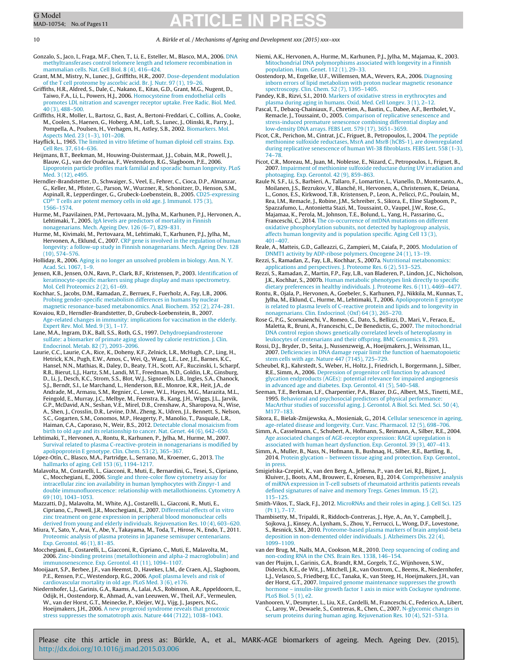#### 10 A. Bürkle et al. / Mechanisms of Ageing and Development xxx (2015) xxx–xxx

Gonzalo, S., Jaco, I., Fraga, M.F., Chen, T., Li, E., Esteller, M., Blasco, M.A., 2006. [DNA](http://refhub.elsevier.com/S0047-6374(15)00031-7/sbref0180) [methyltransferases](http://refhub.elsevier.com/S0047-6374(15)00031-7/sbref0180) [control](http://refhub.elsevier.com/S0047-6374(15)00031-7/sbref0180) [telomere](http://refhub.elsevier.com/S0047-6374(15)00031-7/sbref0180) [length](http://refhub.elsevier.com/S0047-6374(15)00031-7/sbref0180) [and](http://refhub.elsevier.com/S0047-6374(15)00031-7/sbref0180) [telomere](http://refhub.elsevier.com/S0047-6374(15)00031-7/sbref0180) [recombination](http://refhub.elsevier.com/S0047-6374(15)00031-7/sbref0180) [in](http://refhub.elsevier.com/S0047-6374(15)00031-7/sbref0180) [mammalian](http://refhub.elsevier.com/S0047-6374(15)00031-7/sbref0180) [cells.](http://refhub.elsevier.com/S0047-6374(15)00031-7/sbref0180) [Nat.](http://refhub.elsevier.com/S0047-6374(15)00031-7/sbref0180) [Cell](http://refhub.elsevier.com/S0047-6374(15)00031-7/sbref0180) [Biol.](http://refhub.elsevier.com/S0047-6374(15)00031-7/sbref0180) [8](http://refhub.elsevier.com/S0047-6374(15)00031-7/sbref0180) [\(4\),](http://refhub.elsevier.com/S0047-6374(15)00031-7/sbref0180) [416](http://refhub.elsevier.com/S0047-6374(15)00031-7/sbref0180)–[424.](http://refhub.elsevier.com/S0047-6374(15)00031-7/sbref0180)

Grant, M.M., Mistry, N., Lunec, J., Griffiths, H.R., 2007. [Dose-dependent](http://refhub.elsevier.com/S0047-6374(15)00031-7/sbref0185) [modulation](http://refhub.elsevier.com/S0047-6374(15)00031-7/sbref0185) [of](http://refhub.elsevier.com/S0047-6374(15)00031-7/sbref0185) [the](http://refhub.elsevier.com/S0047-6374(15)00031-7/sbref0185) [T](http://refhub.elsevier.com/S0047-6374(15)00031-7/sbref0185) [cell](http://refhub.elsevier.com/S0047-6374(15)00031-7/sbref0185) [proteome](http://refhub.elsevier.com/S0047-6374(15)00031-7/sbref0185) [by](http://refhub.elsevier.com/S0047-6374(15)00031-7/sbref0185) [ascorbic](http://refhub.elsevier.com/S0047-6374(15)00031-7/sbref0185) [acid.](http://refhub.elsevier.com/S0047-6374(15)00031-7/sbref0185) [Br.](http://refhub.elsevier.com/S0047-6374(15)00031-7/sbref0185) [J.](http://refhub.elsevier.com/S0047-6374(15)00031-7/sbref0185) [Nutr.](http://refhub.elsevier.com/S0047-6374(15)00031-7/sbref0185) [97](http://refhub.elsevier.com/S0047-6374(15)00031-7/sbref0185) [\(1\),](http://refhub.elsevier.com/S0047-6374(15)00031-7/sbref0185) [19–26.](http://refhub.elsevier.com/S0047-6374(15)00031-7/sbref0185)

Griffiths, H.R., Aldred, S., Dale, C., Nakano, E., Kitas, G.D., Grant, M.G., Nugent, D., Taiwo, F.A., Li, L., Powers, H.J., 2006. [Homocysteine](http://refhub.elsevier.com/S0047-6374(15)00031-7/sbref0190) [from](http://refhub.elsevier.com/S0047-6374(15)00031-7/sbref0190) [endothelial](http://refhub.elsevier.com/S0047-6374(15)00031-7/sbref0190) [cells](http://refhub.elsevier.com/S0047-6374(15)00031-7/sbref0190) [promotes](http://refhub.elsevier.com/S0047-6374(15)00031-7/sbref0190) [LDL](http://refhub.elsevier.com/S0047-6374(15)00031-7/sbref0190) [nitration](http://refhub.elsevier.com/S0047-6374(15)00031-7/sbref0190) [and](http://refhub.elsevier.com/S0047-6374(15)00031-7/sbref0190) [scavenger](http://refhub.elsevier.com/S0047-6374(15)00031-7/sbref0190) [receptor](http://refhub.elsevier.com/S0047-6374(15)00031-7/sbref0190) [uptake.](http://refhub.elsevier.com/S0047-6374(15)00031-7/sbref0190) [Free](http://refhub.elsevier.com/S0047-6374(15)00031-7/sbref0190) [Radic.](http://refhub.elsevier.com/S0047-6374(15)00031-7/sbref0190) [Biol.](http://refhub.elsevier.com/S0047-6374(15)00031-7/sbref0190) [Med.](http://refhub.elsevier.com/S0047-6374(15)00031-7/sbref0190) [40](http://refhub.elsevier.com/S0047-6374(15)00031-7/sbref0190) [\(3\),](http://refhub.elsevier.com/S0047-6374(15)00031-7/sbref0190) [488](http://refhub.elsevier.com/S0047-6374(15)00031-7/sbref0190)–[500.](http://refhub.elsevier.com/S0047-6374(15)00031-7/sbref0190)

Griffiths, H.R., Moller, L., Bartosz, G., Bast, A., Bertoni-Freddari, C., Collins, A., Cooke, M., Coolen, S., Haenen, G., Hoberg, A.M., Loft, S., Lunec, J., Olinski, R., Parry, J., Pompella, A., Poulsen, H., Verhagen, H., Astley, S.B., 2002. [Biomarkers.](http://refhub.elsevier.com/S0047-6374(15)00031-7/sbref0195) Mo [Aspects](http://refhub.elsevier.com/S0047-6374(15)00031-7/sbref0195) [Med.](http://refhub.elsevier.com/S0047-6374(15)00031-7/sbref0195) [23](http://refhub.elsevier.com/S0047-6374(15)00031-7/sbref0195) [\(1–3\),](http://refhub.elsevier.com/S0047-6374(15)00031-7/sbref0195) [101–208.](http://refhub.elsevier.com/S0047-6374(15)00031-7/sbref0195)

Hayflick, L., 1965. [The](http://refhub.elsevier.com/S0047-6374(15)00031-7/sbref0200) [limited](http://refhub.elsevier.com/S0047-6374(15)00031-7/sbref0200) [in](http://refhub.elsevier.com/S0047-6374(15)00031-7/sbref0200) [vitro](http://refhub.elsevier.com/S0047-6374(15)00031-7/sbref0200) [lifetime](http://refhub.elsevier.com/S0047-6374(15)00031-7/sbref0200) [of](http://refhub.elsevier.com/S0047-6374(15)00031-7/sbref0200) [human](http://refhub.elsevier.com/S0047-6374(15)00031-7/sbref0200) [diploid](http://refhub.elsevier.com/S0047-6374(15)00031-7/sbref0200) [cell](http://refhub.elsevier.com/S0047-6374(15)00031-7/sbref0200) [strains.](http://refhub.elsevier.com/S0047-6374(15)00031-7/sbref0200) [Exp.](http://refhub.elsevier.com/S0047-6374(15)00031-7/sbref0200) [Cell](http://refhub.elsevier.com/S0047-6374(15)00031-7/sbref0200) [Res.](http://refhub.elsevier.com/S0047-6374(15)00031-7/sbref0200) [37,](http://refhub.elsevier.com/S0047-6374(15)00031-7/sbref0200) [614–636.](http://refhub.elsevier.com/S0047-6374(15)00031-7/sbref0200)

Heijmans, B.T., Beekman, M., Houwing-Duistermaat, J.J., Cobain, M.R., Powell, J., Blauw, G.J., van der Ouderaa, F., Westendorp, R.G., Slagboom, P.E., 2006. [Lipoprotein](http://refhub.elsevier.com/S0047-6374(15)00031-7/sbref0205) [particle](http://refhub.elsevier.com/S0047-6374(15)00031-7/sbref0205) [profiles](http://refhub.elsevier.com/S0047-6374(15)00031-7/sbref0205) [mark](http://refhub.elsevier.com/S0047-6374(15)00031-7/sbref0205) [familial](http://refhub.elsevier.com/S0047-6374(15)00031-7/sbref0205) [and](http://refhub.elsevier.com/S0047-6374(15)00031-7/sbref0205) [sporadic](http://refhub.elsevier.com/S0047-6374(15)00031-7/sbref0205) [human](http://refhub.elsevier.com/S0047-6374(15)00031-7/sbref0205) [longevity.](http://refhub.elsevier.com/S0047-6374(15)00031-7/sbref0205) [PLoS](http://refhub.elsevier.com/S0047-6374(15)00031-7/sbref0205) [Med.](http://refhub.elsevier.com/S0047-6374(15)00031-7/sbref0205) [3](http://refhub.elsevier.com/S0047-6374(15)00031-7/sbref0205) [\(12\),](http://refhub.elsevier.com/S0047-6374(15)00031-7/sbref0205) [e495.](http://refhub.elsevier.com/S0047-6374(15)00031-7/sbref0205)

Herndler-Brandstetter, D., Schwaiger, S., Veel, E., Fehrer, C., Cioca, D.P., Almanzar, G., Keller, M., Pfister, G., Parson, W., Wurzner, R., Schonitzer, D., Henson, S.M., Aspinall, R., Lepperdinger, G., Grubeck-Loebenstein, B., 2005. [CD25-expressing](http://refhub.elsevier.com/S0047-6374(15)00031-7/sbref0210) [CD](http://refhub.elsevier.com/S0047-6374(15)00031-7/sbref0210)[8+](http://refhub.elsevier.com/S0047-6374(15)00031-7/sbref0210) [T](http://refhub.elsevier.com/S0047-6374(15)00031-7/sbref0210) [cells](http://refhub.elsevier.com/S0047-6374(15)00031-7/sbref0210) [are](http://refhub.elsevier.com/S0047-6374(15)00031-7/sbref0210) [potent](http://refhub.elsevier.com/S0047-6374(15)00031-7/sbref0210) [memory](http://refhub.elsevier.com/S0047-6374(15)00031-7/sbref0210) [cells](http://refhub.elsevier.com/S0047-6374(15)00031-7/sbref0210) [in](http://refhub.elsevier.com/S0047-6374(15)00031-7/sbref0210) [old](http://refhub.elsevier.com/S0047-6374(15)00031-7/sbref0210) [age.](http://refhub.elsevier.com/S0047-6374(15)00031-7/sbref0210) [J.](http://refhub.elsevier.com/S0047-6374(15)00031-7/sbref0210) [Immunol.](http://refhub.elsevier.com/S0047-6374(15)00031-7/sbref0210) [175](http://refhub.elsevier.com/S0047-6374(15)00031-7/sbref0210) [\(3\),](http://refhub.elsevier.com/S0047-6374(15)00031-7/sbref0210) [1566–1574.](http://refhub.elsevier.com/S0047-6374(15)00031-7/sbref0210)

Hurme, M., Paavilainen, P.M., Pertovaara, M., Jylha, M., Karhunen, P.J., Hervonen, A., Lehtimaki, T., 2005. [IgA](http://refhub.elsevier.com/S0047-6374(15)00031-7/sbref0215) [levels](http://refhub.elsevier.com/S0047-6374(15)00031-7/sbref0215) [are](http://refhub.elsevier.com/S0047-6374(15)00031-7/sbref0215) [predictors](http://refhub.elsevier.com/S0047-6374(15)00031-7/sbref0215) [of](http://refhub.elsevier.com/S0047-6374(15)00031-7/sbref0215) [mortality](http://refhub.elsevier.com/S0047-6374(15)00031-7/sbref0215) [in](http://refhub.elsevier.com/S0047-6374(15)00031-7/sbref0215) [Finnish](http://refhub.elsevier.com/S0047-6374(15)00031-7/sbref0215) [nonagenarians.](http://refhub.elsevier.com/S0047-6374(15)00031-7/sbref0215) [Mech.](http://refhub.elsevier.com/S0047-6374(15)00031-7/sbref0215) [Ageing](http://refhub.elsevier.com/S0047-6374(15)00031-7/sbref0215) [Dev.](http://refhub.elsevier.com/S0047-6374(15)00031-7/sbref0215) [126](http://refhub.elsevier.com/S0047-6374(15)00031-7/sbref0215) [\(6](http://refhub.elsevier.com/S0047-6374(15)00031-7/sbref0215)–[7\),](http://refhub.elsevier.com/S0047-6374(15)00031-7/sbref0215) [829](http://refhub.elsevier.com/S0047-6374(15)00031-7/sbref0215)–[831.](http://refhub.elsevier.com/S0047-6374(15)00031-7/sbref0215)

Hurme, M., Kivimaki, M., Pertovaara, M., Lehtimaki, T., Karhunen, P.J., Jylha, M., Hervonen, A., Eklund, C., 2007. [CRP](http://refhub.elsevier.com/S0047-6374(15)00031-7/sbref0220) [gene](http://refhub.elsevier.com/S0047-6374(15)00031-7/sbref0220) [is](http://refhub.elsevier.com/S0047-6374(15)00031-7/sbref0220) [involved](http://refhub.elsevier.com/S0047-6374(15)00031-7/sbref0220) [in](http://refhub.elsevier.com/S0047-6374(15)00031-7/sbref0220) [the](http://refhub.elsevier.com/S0047-6374(15)00031-7/sbref0220) [regulation](http://refhub.elsevier.com/S0047-6374(15)00031-7/sbref0220) [of](http://refhub.elsevier.com/S0047-6374(15)00031-7/sbref0220) [human](http://refhub.elsevier.com/S0047-6374(15)00031-7/sbref0220) [longevity:](http://refhub.elsevier.com/S0047-6374(15)00031-7/sbref0220) [a](http://refhub.elsevier.com/S0047-6374(15)00031-7/sbref0220) [follow-up](http://refhub.elsevier.com/S0047-6374(15)00031-7/sbref0220) [study](http://refhub.elsevier.com/S0047-6374(15)00031-7/sbref0220) [in](http://refhub.elsevier.com/S0047-6374(15)00031-7/sbref0220) [Finnish](http://refhub.elsevier.com/S0047-6374(15)00031-7/sbref0220) [nonagenarians.](http://refhub.elsevier.com/S0047-6374(15)00031-7/sbref0220) [Mech.](http://refhub.elsevier.com/S0047-6374(15)00031-7/sbref0220) [Ageing](http://refhub.elsevier.com/S0047-6374(15)00031-7/sbref0220) [Dev.](http://refhub.elsevier.com/S0047-6374(15)00031-7/sbref0220) [128](http://refhub.elsevier.com/S0047-6374(15)00031-7/sbref0220) [\(10\),](http://refhub.elsevier.com/S0047-6374(15)00031-7/sbref0220) [574–576.](http://refhub.elsevier.com/S0047-6374(15)00031-7/sbref0220)

Holliday, R., 2006. [Aging](http://refhub.elsevier.com/S0047-6374(15)00031-7/sbref0225) [is](http://refhub.elsevier.com/S0047-6374(15)00031-7/sbref0225) [no](http://refhub.elsevier.com/S0047-6374(15)00031-7/sbref0225) [longer](http://refhub.elsevier.com/S0047-6374(15)00031-7/sbref0225) [an](http://refhub.elsevier.com/S0047-6374(15)00031-7/sbref0225) [unsolved](http://refhub.elsevier.com/S0047-6374(15)00031-7/sbref0225) [problem](http://refhub.elsevier.com/S0047-6374(15)00031-7/sbref0225) [in](http://refhub.elsevier.com/S0047-6374(15)00031-7/sbref0225) [biology.](http://refhub.elsevier.com/S0047-6374(15)00031-7/sbref0225) [Ann.](http://refhub.elsevier.com/S0047-6374(15)00031-7/sbref0225) [N.](http://refhub.elsevier.com/S0047-6374(15)00031-7/sbref0225) [Y.](http://refhub.elsevier.com/S0047-6374(15)00031-7/sbref0225) [Acad.](http://refhub.elsevier.com/S0047-6374(15)00031-7/sbref0225) [Sci.](http://refhub.elsevier.com/S0047-6374(15)00031-7/sbref0225) [1067,](http://refhub.elsevier.com/S0047-6374(15)00031-7/sbref0225) [1–9.](http://refhub.elsevier.com/S0047-6374(15)00031-7/sbref0225)

Jensen, K.B., Jensen, O.N., Ravn, P., Clark, B.F., Kristensen, P., 2003. [Identification](http://refhub.elsevier.com/S0047-6374(15)00031-7/sbref0230) [of](http://refhub.elsevier.com/S0047-6374(15)00031-7/sbref0230) [keratinocyte-specific](http://refhub.elsevier.com/S0047-6374(15)00031-7/sbref0230) [markers](http://refhub.elsevier.com/S0047-6374(15)00031-7/sbref0230) [using](http://refhub.elsevier.com/S0047-6374(15)00031-7/sbref0230) [phage](http://refhub.elsevier.com/S0047-6374(15)00031-7/sbref0230) [display](http://refhub.elsevier.com/S0047-6374(15)00031-7/sbref0230) [and](http://refhub.elsevier.com/S0047-6374(15)00031-7/sbref0230) [mass](http://refhub.elsevier.com/S0047-6374(15)00031-7/sbref0230) [spectrometry.](http://refhub.elsevier.com/S0047-6374(15)00031-7/sbref0230) [Mol.](http://refhub.elsevier.com/S0047-6374(15)00031-7/sbref0230) [Cell](http://refhub.elsevier.com/S0047-6374(15)00031-7/sbref0230) [Proteomics](http://refhub.elsevier.com/S0047-6374(15)00031-7/sbref0230) [2](http://refhub.elsevier.com/S0047-6374(15)00031-7/sbref0230) [\(2\),](http://refhub.elsevier.com/S0047-6374(15)00031-7/sbref0230) [61](http://refhub.elsevier.com/S0047-6374(15)00031-7/sbref0230)–[69.](http://refhub.elsevier.com/S0047-6374(15)00031-7/sbref0230)

Kochhar, S., Jacobs, D.M., Ramadan, Z., Berruex, F., Fuerholz, A., Fay, L.B., 2006. [Probing](http://refhub.elsevier.com/S0047-6374(15)00031-7/sbref0235) [gender-specific](http://refhub.elsevier.com/S0047-6374(15)00031-7/sbref0235) [metabolism](http://refhub.elsevier.com/S0047-6374(15)00031-7/sbref0235) [differences](http://refhub.elsevier.com/S0047-6374(15)00031-7/sbref0235) [in](http://refhub.elsevier.com/S0047-6374(15)00031-7/sbref0235) [humans](http://refhub.elsevier.com/S0047-6374(15)00031-7/sbref0235) [by](http://refhub.elsevier.com/S0047-6374(15)00031-7/sbref0235) [nuclear](http://refhub.elsevier.com/S0047-6374(15)00031-7/sbref0235) [magnetic](http://refhub.elsevier.com/S0047-6374(15)00031-7/sbref0235) [resonance-based](http://refhub.elsevier.com/S0047-6374(15)00031-7/sbref0235) [metabonomics.](http://refhub.elsevier.com/S0047-6374(15)00031-7/sbref0235) [Anal.](http://refhub.elsevier.com/S0047-6374(15)00031-7/sbref0235) [Biochem.](http://refhub.elsevier.com/S0047-6374(15)00031-7/sbref0235) [352](http://refhub.elsevier.com/S0047-6374(15)00031-7/sbref0235) [\(2\),](http://refhub.elsevier.com/S0047-6374(15)00031-7/sbref0235) [274–281.](http://refhub.elsevier.com/S0047-6374(15)00031-7/sbref0235)

Kovaiou, R.D., Herndler-Brandstetter, D., Grubeck-Loebenstein, B., 2007. [Age-related](http://refhub.elsevier.com/S0047-6374(15)00031-7/sbref0240) [changes](http://refhub.elsevier.com/S0047-6374(15)00031-7/sbref0240) [in](http://refhub.elsevier.com/S0047-6374(15)00031-7/sbref0240) [immunity:](http://refhub.elsevier.com/S0047-6374(15)00031-7/sbref0240) [implications](http://refhub.elsevier.com/S0047-6374(15)00031-7/sbref0240) [for](http://refhub.elsevier.com/S0047-6374(15)00031-7/sbref0240) [vaccination](http://refhub.elsevier.com/S0047-6374(15)00031-7/sbref0240) [in](http://refhub.elsevier.com/S0047-6374(15)00031-7/sbref0240) [the](http://refhub.elsevier.com/S0047-6374(15)00031-7/sbref0240) [elderly.](http://refhub.elsevier.com/S0047-6374(15)00031-7/sbref0240) [Expert](http://refhub.elsevier.com/S0047-6374(15)00031-7/sbref0240) [Rev.](http://refhub.elsevier.com/S0047-6374(15)00031-7/sbref0240) [Mol.](http://refhub.elsevier.com/S0047-6374(15)00031-7/sbref0240) [Med.](http://refhub.elsevier.com/S0047-6374(15)00031-7/sbref0240) [9](http://refhub.elsevier.com/S0047-6374(15)00031-7/sbref0240) [\(3\),](http://refhub.elsevier.com/S0047-6374(15)00031-7/sbref0240) [1](http://refhub.elsevier.com/S0047-6374(15)00031-7/sbref0240)–[17.](http://refhub.elsevier.com/S0047-6374(15)00031-7/sbref0240)

Lane, M.A., Ingram, D.K., Ball, S.S., Roth, G.S., 1997. [Dehydroepiandrosterone](http://refhub.elsevier.com/S0047-6374(15)00031-7/sbref0245) [sulfate:](http://refhub.elsevier.com/S0047-6374(15)00031-7/sbref0245) [a](http://refhub.elsevier.com/S0047-6374(15)00031-7/sbref0245) [biomarker](http://refhub.elsevier.com/S0047-6374(15)00031-7/sbref0245) [of](http://refhub.elsevier.com/S0047-6374(15)00031-7/sbref0245) [primate](http://refhub.elsevier.com/S0047-6374(15)00031-7/sbref0245) [aging](http://refhub.elsevier.com/S0047-6374(15)00031-7/sbref0245) [slowed](http://refhub.elsevier.com/S0047-6374(15)00031-7/sbref0245) [by](http://refhub.elsevier.com/S0047-6374(15)00031-7/sbref0245) [calorie](http://refhub.elsevier.com/S0047-6374(15)00031-7/sbref0245) [restriction.](http://refhub.elsevier.com/S0047-6374(15)00031-7/sbref0245) [J.](http://refhub.elsevier.com/S0047-6374(15)00031-7/sbref0245) [Clin.](http://refhub.elsevier.com/S0047-6374(15)00031-7/sbref0245) [Endocrinol.](http://refhub.elsevier.com/S0047-6374(15)00031-7/sbref0245) [Metab.](http://refhub.elsevier.com/S0047-6374(15)00031-7/sbref0245) [82](http://refhub.elsevier.com/S0047-6374(15)00031-7/sbref0245) [\(7\),](http://refhub.elsevier.com/S0047-6374(15)00031-7/sbref0245) [2093–2096.](http://refhub.elsevier.com/S0047-6374(15)00031-7/sbref0245)

Laurie, C.C., Laurie, C.A., Rice, K., Doheny, K.F., Zelnick, L.R., McHugh, C.P., Ling, H.,<br>. Hetrick, K.N., Pugh, E.W., Amos, C., Wei, Q., Wang, L.E., Lee, J.E., Barnes, K.C Hansel, N.N., Mathias, R., Daley, D., Beaty, T.H., Scott, A.F., Ruczinski, I., Scharpf, R.B., Bierut, L.J., Hartz, S.M., Landi, M.T., Freedman, N.D., Goldin, L.R., Ginsburg, D., Li, J., Desch, K.C., Strom, S.S., Blot, W.J., Signorello, L.B., Ingles, S.A., Chanock, S.J., Berndt, S.I., Le Marchand, L., Henderson, B.E., Monroe, K.R., Heit, J.A., de Andrade, M., Armasu, S.M., Regnier, C., Lowe, W.L., Hayes, M.G., Marazita, M.L., Feingold, E., Murray, J.C., Melbye, M., Feenstra, B., Kang, J.H., Wiggs, J.L., Jarvik, G.P., McDavid, A.N., Seshan, V.E., Mirel, D.B., Crenshaw, A., Sharopova, N., Wise, A., Shen, J., Crosslin, D.R., Levine, D.M., Zheng, X., Udren, J.I., Bennett, S., Nelson, S.C., Gogarten, S.M., Conomos, M.P., Heagerty, P., Manolio, T., Pasquale, L.R., Haiman, C.A., Caporaso, N., Weir, B.S., 2012. [Detectable](http://refhub.elsevier.com/S0047-6374(15)00031-7/sbref0250) [clonal](http://refhub.elsevier.com/S0047-6374(15)00031-7/sbref0250) [mosaicism](http://refhub.elsevier.com/S0047-6374(15)00031-7/sbref0250) [from](http://refhub.elsevier.com/S0047-6374(15)00031-7/sbref0250) [birth](http://refhub.elsevier.com/S0047-6374(15)00031-7/sbref0250) [to](http://refhub.elsevier.com/S0047-6374(15)00031-7/sbref0250) [old](http://refhub.elsevier.com/S0047-6374(15)00031-7/sbref0250) [age](http://refhub.elsevier.com/S0047-6374(15)00031-7/sbref0250) [and](http://refhub.elsevier.com/S0047-6374(15)00031-7/sbref0250) [its](http://refhub.elsevier.com/S0047-6374(15)00031-7/sbref0250) [relationship](http://refhub.elsevier.com/S0047-6374(15)00031-7/sbref0250) [to](http://refhub.elsevier.com/S0047-6374(15)00031-7/sbref0250) [cancer.](http://refhub.elsevier.com/S0047-6374(15)00031-7/sbref0250) [Nat.](http://refhub.elsevier.com/S0047-6374(15)00031-7/sbref0250) [Genet.](http://refhub.elsevier.com/S0047-6374(15)00031-7/sbref0250) [44](http://refhub.elsevier.com/S0047-6374(15)00031-7/sbref0250) [\(6\),](http://refhub.elsevier.com/S0047-6374(15)00031-7/sbref0250) [642–650.](http://refhub.elsevier.com/S0047-6374(15)00031-7/sbref0250)

Lehtimaki, T., Hervonen, A., Rontu, R., Karhunen, P., Jylha, M., Hurme, M., 2007. [Survival](http://refhub.elsevier.com/S0047-6374(15)00031-7/sbref0255) [related](http://refhub.elsevier.com/S0047-6374(15)00031-7/sbref0255) [to](http://refhub.elsevier.com/S0047-6374(15)00031-7/sbref0255) [plasma](http://refhub.elsevier.com/S0047-6374(15)00031-7/sbref0255) [C-reactive-protein](http://refhub.elsevier.com/S0047-6374(15)00031-7/sbref0255) [in](http://refhub.elsevier.com/S0047-6374(15)00031-7/sbref0255) [nonagenarians](http://refhub.elsevier.com/S0047-6374(15)00031-7/sbref0255) [is](http://refhub.elsevier.com/S0047-6374(15)00031-7/sbref0255) [modified](http://refhub.elsevier.com/S0047-6374(15)00031-7/sbref0255) [by](http://refhub.elsevier.com/S0047-6374(15)00031-7/sbref0255) [apolipoprotein](http://refhub.elsevier.com/S0047-6374(15)00031-7/sbref0255) [E](http://refhub.elsevier.com/S0047-6374(15)00031-7/sbref0255) [genotype.](http://refhub.elsevier.com/S0047-6374(15)00031-7/sbref0255) [Clin.](http://refhub.elsevier.com/S0047-6374(15)00031-7/sbref0255) [Chem.](http://refhub.elsevier.com/S0047-6374(15)00031-7/sbref0255) [53](http://refhub.elsevier.com/S0047-6374(15)00031-7/sbref0255) [\(2\),](http://refhub.elsevier.com/S0047-6374(15)00031-7/sbref0255) [365](http://refhub.elsevier.com/S0047-6374(15)00031-7/sbref0255)–[367.](http://refhub.elsevier.com/S0047-6374(15)00031-7/sbref0255)

López-Otín, C., Blasco, M.A., Partridge, L., Serrano, M., Kroemer, G., 2013. [The](http://refhub.elsevier.com/S0047-6374(15)00031-7/sbref0260) [hallmarks](http://refhub.elsevier.com/S0047-6374(15)00031-7/sbref0260) [of](http://refhub.elsevier.com/S0047-6374(15)00031-7/sbref0260) [aging.](http://refhub.elsevier.com/S0047-6374(15)00031-7/sbref0260) [Cell](http://refhub.elsevier.com/S0047-6374(15)00031-7/sbref0260) [153](http://refhub.elsevier.com/S0047-6374(15)00031-7/sbref0260) [\(6\),](http://refhub.elsevier.com/S0047-6374(15)00031-7/sbref0260) [1194–1217.](http://refhub.elsevier.com/S0047-6374(15)00031-7/sbref0260)

Malavolta, M., Costarelli, L., Giacconi, R., Muti, E., Bernardini, G., Tesei, S., Cipriano, C., Mocchegiani, E., 2006. [Single](http://refhub.elsevier.com/S0047-6374(15)00031-7/sbref0265) [and](http://refhub.elsevier.com/S0047-6374(15)00031-7/sbref0265) [three-color](http://refhub.elsevier.com/S0047-6374(15)00031-7/sbref0265) [flow](http://refhub.elsevier.com/S0047-6374(15)00031-7/sbref0265) [cytometry](http://refhub.elsevier.com/S0047-6374(15)00031-7/sbref0265) [assay](http://refhub.elsevier.com/S0047-6374(15)00031-7/sbref0265) [for](http://refhub.elsevier.com/S0047-6374(15)00031-7/sbref0265) [intracellular](http://refhub.elsevier.com/S0047-6374(15)00031-7/sbref0265) [zinc](http://refhub.elsevier.com/S0047-6374(15)00031-7/sbref0265) [ion](http://refhub.elsevier.com/S0047-6374(15)00031-7/sbref0265) [availability](http://refhub.elsevier.com/S0047-6374(15)00031-7/sbref0265) [in](http://refhub.elsevier.com/S0047-6374(15)00031-7/sbref0265) [human](http://refhub.elsevier.com/S0047-6374(15)00031-7/sbref0265) [lymphocytes](http://refhub.elsevier.com/S0047-6374(15)00031-7/sbref0265) [with](http://refhub.elsevier.com/S0047-6374(15)00031-7/sbref0265) [Zinpyr-1](http://refhub.elsevier.com/S0047-6374(15)00031-7/sbref0265) [and](http://refhub.elsevier.com/S0047-6374(15)00031-7/sbref0265) [double](http://refhub.elsevier.com/S0047-6374(15)00031-7/sbref0265) [immunofluorescence:](http://refhub.elsevier.com/S0047-6374(15)00031-7/sbref0265) [relationship](http://refhub.elsevier.com/S0047-6374(15)00031-7/sbref0265) [with](http://refhub.elsevier.com/S0047-6374(15)00031-7/sbref0265) [metallothioneins.](http://refhub.elsevier.com/S0047-6374(15)00031-7/sbref0265) [Cytometry](http://refhub.elsevier.com/S0047-6374(15)00031-7/sbref0265) [A](http://refhub.elsevier.com/S0047-6374(15)00031-7/sbref0265) [69](http://refhub.elsevier.com/S0047-6374(15)00031-7/sbref0265) [\(10\),](http://refhub.elsevier.com/S0047-6374(15)00031-7/sbref0265) [1043](http://refhub.elsevier.com/S0047-6374(15)00031-7/sbref0265)–[1053.](http://refhub.elsevier.com/S0047-6374(15)00031-7/sbref0265)

Mazzatti, D.J., Malavolta, M., White, A.J., Costarelli, L., Giacconi, R., Muti, E., Cipriano, C., Powell, J.R., Mocchegiani, E., 2007. [Differential](http://refhub.elsevier.com/S0047-6374(15)00031-7/sbref0270) [effects](http://refhub.elsevier.com/S0047-6374(15)00031-7/sbref0270) [of](http://refhub.elsevier.com/S0047-6374(15)00031-7/sbref0270) [in](http://refhub.elsevier.com/S0047-6374(15)00031-7/sbref0270) [vitro](http://refhub.elsevier.com/S0047-6374(15)00031-7/sbref0270) [zinc](http://refhub.elsevier.com/S0047-6374(15)00031-7/sbref0270) [treatment](http://refhub.elsevier.com/S0047-6374(15)00031-7/sbref0270) [on](http://refhub.elsevier.com/S0047-6374(15)00031-7/sbref0270) [gene](http://refhub.elsevier.com/S0047-6374(15)00031-7/sbref0270) [expression](http://refhub.elsevier.com/S0047-6374(15)00031-7/sbref0270) [in](http://refhub.elsevier.com/S0047-6374(15)00031-7/sbref0270) [peripheral](http://refhub.elsevier.com/S0047-6374(15)00031-7/sbref0270) [blood](http://refhub.elsevier.com/S0047-6374(15)00031-7/sbref0270) [mononuclear](http://refhub.elsevier.com/S0047-6374(15)00031-7/sbref0270) [cells](http://refhub.elsevier.com/S0047-6374(15)00031-7/sbref0270) [derived](http://refhub.elsevier.com/S0047-6374(15)00031-7/sbref0270) [from](http://refhub.elsevier.com/S0047-6374(15)00031-7/sbref0270) [young](http://refhub.elsevier.com/S0047-6374(15)00031-7/sbref0270) [and](http://refhub.elsevier.com/S0047-6374(15)00031-7/sbref0270) [elderly](http://refhub.elsevier.com/S0047-6374(15)00031-7/sbref0270) [individuals.](http://refhub.elsevier.com/S0047-6374(15)00031-7/sbref0270) [Rejuvenation](http://refhub.elsevier.com/S0047-6374(15)00031-7/sbref0270) [Res.](http://refhub.elsevier.com/S0047-6374(15)00031-7/sbref0270) [10](http://refhub.elsevier.com/S0047-6374(15)00031-7/sbref0270) [\(4\),](http://refhub.elsevier.com/S0047-6374(15)00031-7/sbref0270) [603](http://refhub.elsevier.com/S0047-6374(15)00031-7/sbref0270)–[620.](http://refhub.elsevier.com/S0047-6374(15)00031-7/sbref0270)

Miura, Y., Sato, Y., Arai, Y., Abe, Y., Takayama, M., Toda, T., Hirose, N., Endo, T., 2011. [Proteomic](http://refhub.elsevier.com/S0047-6374(15)00031-7/sbref0275) [analysis](http://refhub.elsevier.com/S0047-6374(15)00031-7/sbref0275) [of](http://refhub.elsevier.com/S0047-6374(15)00031-7/sbref0275) [plasma](http://refhub.elsevier.com/S0047-6374(15)00031-7/sbref0275) [proteins](http://refhub.elsevier.com/S0047-6374(15)00031-7/sbref0275) [in](http://refhub.elsevier.com/S0047-6374(15)00031-7/sbref0275) [Japanese](http://refhub.elsevier.com/S0047-6374(15)00031-7/sbref0275) [semisuper](http://refhub.elsevier.com/S0047-6374(15)00031-7/sbref0275) [centenarians.](http://refhub.elsevier.com/S0047-6374(15)00031-7/sbref0275) [Exp.](http://refhub.elsevier.com/S0047-6374(15)00031-7/sbref0275) [Gerontol.](http://refhub.elsevier.com/S0047-6374(15)00031-7/sbref0275) [46](http://refhub.elsevier.com/S0047-6374(15)00031-7/sbref0275) [\(1\),](http://refhub.elsevier.com/S0047-6374(15)00031-7/sbref0275) [81](http://refhub.elsevier.com/S0047-6374(15)00031-7/sbref0275)–[85.](http://refhub.elsevier.com/S0047-6374(15)00031-7/sbref0275)

Mocchegiani, E., Costarelli, L., Giacconi, R., Cipriano, C., Muti, E., Malavolta, M., 2006. [Zinc-binding](http://refhub.elsevier.com/S0047-6374(15)00031-7/sbref0280) [proteins](http://refhub.elsevier.com/S0047-6374(15)00031-7/sbref0280) [\(metallothionein](http://refhub.elsevier.com/S0047-6374(15)00031-7/sbref0280) [and](http://refhub.elsevier.com/S0047-6374(15)00031-7/sbref0280) [alpha-2](http://refhub.elsevier.com/S0047-6374(15)00031-7/sbref0280) [macroglobulin\)](http://refhub.elsevier.com/S0047-6374(15)00031-7/sbref0280) [and](http://refhub.elsevier.com/S0047-6374(15)00031-7/sbref0280) [immunosenescence.](http://refhub.elsevier.com/S0047-6374(15)00031-7/sbref0280) [Exp.](http://refhub.elsevier.com/S0047-6374(15)00031-7/sbref0280) [Gerontol.](http://refhub.elsevier.com/S0047-6374(15)00031-7/sbref0280) [41](http://refhub.elsevier.com/S0047-6374(15)00031-7/sbref0280) [\(11\),](http://refhub.elsevier.com/S0047-6374(15)00031-7/sbref0280) [1094–1107.](http://refhub.elsevier.com/S0047-6374(15)00031-7/sbref0280)

Mooijaart, S.P., Berbee, J.F., van Heemst, D., Havekes, L.M., de Craen, A.J., Slagboom, P.E., Rensen, P.C., Westendorp, R.G., 2006. [ApoE](http://refhub.elsevier.com/S0047-6374(15)00031-7/sbref0285) [plasma](http://refhub.elsevier.com/S0047-6374(15)00031-7/sbref0285) [levels](http://refhub.elsevier.com/S0047-6374(15)00031-7/sbref0285) [and](http://refhub.elsevier.com/S0047-6374(15)00031-7/sbref0285) [risk](http://refhub.elsevier.com/S0047-6374(15)00031-7/sbref0285) [of](http://refhub.elsevier.com/S0047-6374(15)00031-7/sbref0285) [cardiovascular](http://refhub.elsevier.com/S0047-6374(15)00031-7/sbref0285) [mortality](http://refhub.elsevier.com/S0047-6374(15)00031-7/sbref0285) [in](http://refhub.elsevier.com/S0047-6374(15)00031-7/sbref0285) [old](http://refhub.elsevier.com/S0047-6374(15)00031-7/sbref0285) [age.](http://refhub.elsevier.com/S0047-6374(15)00031-7/sbref0285) [PLoS](http://refhub.elsevier.com/S0047-6374(15)00031-7/sbref0285) [Med.](http://refhub.elsevier.com/S0047-6374(15)00031-7/sbref0285) [3](http://refhub.elsevier.com/S0047-6374(15)00031-7/sbref0285) [\(6\),](http://refhub.elsevier.com/S0047-6374(15)00031-7/sbref0285) [e176.](http://refhub.elsevier.com/S0047-6374(15)00031-7/sbref0285)

Niedernhofer, L.J., Garinis, G.A., Raams, A., Lalai, A.S., Robinson, A.R., Appeldoorn, E., Odijk, H., Oostendorp, R., Ahmad, A., van Leeuwen, W., Theil, A.F., Vermeulen, W., van der Horst, G.T., Meinecke, P., Kleijer, W.J., Vijg, J., Jaspers, N.G., Hoeijmakers, J.H., 2006. [A](http://refhub.elsevier.com/S0047-6374(15)00031-7/sbref0290) [new](http://refhub.elsevier.com/S0047-6374(15)00031-7/sbref0290) [progeroid](http://refhub.elsevier.com/S0047-6374(15)00031-7/sbref0290) [syndrome](http://refhub.elsevier.com/S0047-6374(15)00031-7/sbref0290) [reveals](http://refhub.elsevier.com/S0047-6374(15)00031-7/sbref0290) [that](http://refhub.elsevier.com/S0047-6374(15)00031-7/sbref0290) [genotoxic](http://refhub.elsevier.com/S0047-6374(15)00031-7/sbref0290) [stress](http://refhub.elsevier.com/S0047-6374(15)00031-7/sbref0290) [suppresses](http://refhub.elsevier.com/S0047-6374(15)00031-7/sbref0290) [the](http://refhub.elsevier.com/S0047-6374(15)00031-7/sbref0290) [somatotroph](http://refhub.elsevier.com/S0047-6374(15)00031-7/sbref0290) [axis.](http://refhub.elsevier.com/S0047-6374(15)00031-7/sbref0290) [Nature](http://refhub.elsevier.com/S0047-6374(15)00031-7/sbref0290) [444](http://refhub.elsevier.com/S0047-6374(15)00031-7/sbref0290) [\(7122\),](http://refhub.elsevier.com/S0047-6374(15)00031-7/sbref0290) [1038–1043.](http://refhub.elsevier.com/S0047-6374(15)00031-7/sbref0290)

Niemi, A.K., Hervonen, A., Hurme, M., Karhunen, P.J., Jylha, M., Majamaa, K., 2003. [Mitochondrial](http://refhub.elsevier.com/S0047-6374(15)00031-7/sbref0295) [DNA](http://refhub.elsevier.com/S0047-6374(15)00031-7/sbref0295) [polymorphisms](http://refhub.elsevier.com/S0047-6374(15)00031-7/sbref0295) [associated](http://refhub.elsevier.com/S0047-6374(15)00031-7/sbref0295) [with](http://refhub.elsevier.com/S0047-6374(15)00031-7/sbref0295) [longevity](http://refhub.elsevier.com/S0047-6374(15)00031-7/sbref0295) [in](http://refhub.elsevier.com/S0047-6374(15)00031-7/sbref0295) [a](http://refhub.elsevier.com/S0047-6374(15)00031-7/sbref0295) [Finnish](http://refhub.elsevier.com/S0047-6374(15)00031-7/sbref0295) [population.](http://refhub.elsevier.com/S0047-6374(15)00031-7/sbref0295) [Hum.](http://refhub.elsevier.com/S0047-6374(15)00031-7/sbref0295) [Genet.](http://refhub.elsevier.com/S0047-6374(15)00031-7/sbref0295) [112](http://refhub.elsevier.com/S0047-6374(15)00031-7/sbref0295) [\(1\),](http://refhub.elsevier.com/S0047-6374(15)00031-7/sbref0295) [29–33.](http://refhub.elsevier.com/S0047-6374(15)00031-7/sbref0295)

Oostendorp, M., Engelke, U.F., Willemsen, M.A., Wevers, R.A., 2006. [Diagnosing](http://refhub.elsevier.com/S0047-6374(15)00031-7/sbref0300) [inborn](http://refhub.elsevier.com/S0047-6374(15)00031-7/sbref0300) [errors](http://refhub.elsevier.com/S0047-6374(15)00031-7/sbref0300) [of](http://refhub.elsevier.com/S0047-6374(15)00031-7/sbref0300) [lipid](http://refhub.elsevier.com/S0047-6374(15)00031-7/sbref0300) [metabolism](http://refhub.elsevier.com/S0047-6374(15)00031-7/sbref0300) [with](http://refhub.elsevier.com/S0047-6374(15)00031-7/sbref0300) [proton](http://refhub.elsevier.com/S0047-6374(15)00031-7/sbref0300) [nuclear](http://refhub.elsevier.com/S0047-6374(15)00031-7/sbref0300) [magnetic](http://refhub.elsevier.com/S0047-6374(15)00031-7/sbref0300) [resonance](http://refhub.elsevier.com/S0047-6374(15)00031-7/sbref0300) [spectroscopy.](http://refhub.elsevier.com/S0047-6374(15)00031-7/sbref0300) [Clin.](http://refhub.elsevier.com/S0047-6374(15)00031-7/sbref0300) [Chem.](http://refhub.elsevier.com/S0047-6374(15)00031-7/sbref0300) [52](http://refhub.elsevier.com/S0047-6374(15)00031-7/sbref0300) [\(7\),](http://refhub.elsevier.com/S0047-6374(15)00031-7/sbref0300) [1395](http://refhub.elsevier.com/S0047-6374(15)00031-7/sbref0300)–[1405.](http://refhub.elsevier.com/S0047-6374(15)00031-7/sbref0300)

Pandey, K.B., Rizvi, S.I., 2010. [Markers](http://refhub.elsevier.com/S0047-6374(15)00031-7/sbref0305) [of](http://refhub.elsevier.com/S0047-6374(15)00031-7/sbref0305) [oxidative](http://refhub.elsevier.com/S0047-6374(15)00031-7/sbref0305) [stress](http://refhub.elsevier.com/S0047-6374(15)00031-7/sbref0305) [in](http://refhub.elsevier.com/S0047-6374(15)00031-7/sbref0305) [erythrocytes](http://refhub.elsevier.com/S0047-6374(15)00031-7/sbref0305) [and](http://refhub.elsevier.com/S0047-6374(15)00031-7/sbref0305) [plasma](http://refhub.elsevier.com/S0047-6374(15)00031-7/sbref0305) [during](http://refhub.elsevier.com/S0047-6374(15)00031-7/sbref0305) [aging](http://refhub.elsevier.com/S0047-6374(15)00031-7/sbref0305) [in](http://refhub.elsevier.com/S0047-6374(15)00031-7/sbref0305) [humans.](http://refhub.elsevier.com/S0047-6374(15)00031-7/sbref0305) [Oxid.](http://refhub.elsevier.com/S0047-6374(15)00031-7/sbref0305) [Med.](http://refhub.elsevier.com/S0047-6374(15)00031-7/sbref0305) [Cell](http://refhub.elsevier.com/S0047-6374(15)00031-7/sbref0305) [Longev.](http://refhub.elsevier.com/S0047-6374(15)00031-7/sbref0305) [3](http://refhub.elsevier.com/S0047-6374(15)00031-7/sbref0305) [\(1\),](http://refhub.elsevier.com/S0047-6374(15)00031-7/sbref0305) [2](http://refhub.elsevier.com/S0047-6374(15)00031-7/sbref0305)–[12.](http://refhub.elsevier.com/S0047-6374(15)00031-7/sbref0305)

Pascal, T., Debacq-Chainiaux, F., Chretien, A., Bastin, C., Dabee, A.F., Bertholet, V., Remacle, J., Toussaint, O., 2005. [Comparison](http://refhub.elsevier.com/S0047-6374(15)00031-7/sbref0310) [of](http://refhub.elsevier.com/S0047-6374(15)00031-7/sbref0310) [replicative](http://refhub.elsevier.com/S0047-6374(15)00031-7/sbref0310) [senescence](http://refhub.elsevier.com/S0047-6374(15)00031-7/sbref0310) [and](http://refhub.elsevier.com/S0047-6374(15)00031-7/sbref0310) [stress-induced](http://refhub.elsevier.com/S0047-6374(15)00031-7/sbref0310) [premature](http://refhub.elsevier.com/S0047-6374(15)00031-7/sbref0310) [senescence](http://refhub.elsevier.com/S0047-6374(15)00031-7/sbref0310) [combining](http://refhub.elsevier.com/S0047-6374(15)00031-7/sbref0310) [differential](http://refhub.elsevier.com/S0047-6374(15)00031-7/sbref0310) [display](http://refhub.elsevier.com/S0047-6374(15)00031-7/sbref0310) [and](http://refhub.elsevier.com/S0047-6374(15)00031-7/sbref0310) [low-density](http://refhub.elsevier.com/S0047-6374(15)00031-7/sbref0310) [DNA](http://refhub.elsevier.com/S0047-6374(15)00031-7/sbref0310) [arrays.](http://refhub.elsevier.com/S0047-6374(15)00031-7/sbref0310) [FEBS](http://refhub.elsevier.com/S0047-6374(15)00031-7/sbref0310) [Lett.](http://refhub.elsevier.com/S0047-6374(15)00031-7/sbref0310) [579](http://refhub.elsevier.com/S0047-6374(15)00031-7/sbref0310) [\(17\),](http://refhub.elsevier.com/S0047-6374(15)00031-7/sbref0310) [3651–3659.](http://refhub.elsevier.com/S0047-6374(15)00031-7/sbref0310)

Picot, C.R., Perichon, M., Cintrat, J.C., Friguet, B., Petropoulos, I., 2004. [The](http://refhub.elsevier.com/S0047-6374(15)00031-7/sbref0315) [peptide](http://refhub.elsevier.com/S0047-6374(15)00031-7/sbref0315) [methionine](http://refhub.elsevier.com/S0047-6374(15)00031-7/sbref0315) [sulfoxide](http://refhub.elsevier.com/S0047-6374(15)00031-7/sbref0315) [reductases,](http://refhub.elsevier.com/S0047-6374(15)00031-7/sbref0315) [MsrA](http://refhub.elsevier.com/S0047-6374(15)00031-7/sbref0315) [and](http://refhub.elsevier.com/S0047-6374(15)00031-7/sbref0315) [MsrB](http://refhub.elsevier.com/S0047-6374(15)00031-7/sbref0315) [\(hCBS-1\),](http://refhub.elsevier.com/S0047-6374(15)00031-7/sbref0315) [are](http://refhub.elsevier.com/S0047-6374(15)00031-7/sbref0315) [downregulated](http://refhub.elsevier.com/S0047-6374(15)00031-7/sbref0315) [during](http://refhub.elsevier.com/S0047-6374(15)00031-7/sbref0315) [replicative](http://refhub.elsevier.com/S0047-6374(15)00031-7/sbref0315) [senescence](http://refhub.elsevier.com/S0047-6374(15)00031-7/sbref0315) [of](http://refhub.elsevier.com/S0047-6374(15)00031-7/sbref0315) [human](http://refhub.elsevier.com/S0047-6374(15)00031-7/sbref0315) [WI-38](http://refhub.elsevier.com/S0047-6374(15)00031-7/sbref0315) [fibroblasts.](http://refhub.elsevier.com/S0047-6374(15)00031-7/sbref0315) [FEBS](http://refhub.elsevier.com/S0047-6374(15)00031-7/sbref0315) [Lett.](http://refhub.elsevier.com/S0047-6374(15)00031-7/sbref0315) [558](http://refhub.elsevier.com/S0047-6374(15)00031-7/sbref0315) [\(1-3\),](http://refhub.elsevier.com/S0047-6374(15)00031-7/sbref0315) [74–78.](http://refhub.elsevier.com/S0047-6374(15)00031-7/sbref0315)

Picot, C.R., Moreau, M., Juan, M., Noblesse, E., Nizard, C., Petropoulos, I., Friguet, B., 2007. [Impairment](http://refhub.elsevier.com/S0047-6374(15)00031-7/sbref0320) [of](http://refhub.elsevier.com/S0047-6374(15)00031-7/sbref0320) [methionine](http://refhub.elsevier.com/S0047-6374(15)00031-7/sbref0320) [sulfoxide](http://refhub.elsevier.com/S0047-6374(15)00031-7/sbref0320) [reductase](http://refhub.elsevier.com/S0047-6374(15)00031-7/sbref0320) [during](http://refhub.elsevier.com/S0047-6374(15)00031-7/sbref0320) [UV](http://refhub.elsevier.com/S0047-6374(15)00031-7/sbref0320) [irradiation](http://refhub.elsevier.com/S0047-6374(15)00031-7/sbref0320) [and](http://refhub.elsevier.com/S0047-6374(15)00031-7/sbref0320) [photoaging.](http://refhub.elsevier.com/S0047-6374(15)00031-7/sbref0320) [Exp.](http://refhub.elsevier.com/S0047-6374(15)00031-7/sbref0320) [Gerontol.](http://refhub.elsevier.com/S0047-6374(15)00031-7/sbref0320) [42](http://refhub.elsevier.com/S0047-6374(15)00031-7/sbref0320) [\(9\),](http://refhub.elsevier.com/S0047-6374(15)00031-7/sbref0320) [859–863.](http://refhub.elsevier.com/S0047-6374(15)00031-7/sbref0320)

Raule N, S.F., Li, S., Barbieri, A., Tallaro, F., Lomartire, L., Vianello, D., Montesanto, A., Moilanen, J.S., Bezrukov, V., Blanché, H., Hervonen, A., Christensen, K., Deiana, L., Gonos, E.S., Kirkwood, T.B., Kristensen, P., Leon, A., Pelicci, P.G., Poulain, M., Rea, I.M., Remacle, J., Robine, J.M., Schreiber, S., Sikora, E., Eline Slagboom, P., Spazzafumo, L., Antonietta Stazi, M., Toussaint, O., Vaupel, J.W., Rose, G., Majamaa, K., Perola, M., Johnson, T.E., Bolund, L., Yang, H., Passarino, G., Franceschi, C., 2014. [The](http://refhub.elsevier.com/S0047-6374(15)00031-7/sbref0325) [co-occurrence](http://refhub.elsevier.com/S0047-6374(15)00031-7/sbref0325) [of](http://refhub.elsevier.com/S0047-6374(15)00031-7/sbref0325) [mtDNA](http://refhub.elsevier.com/S0047-6374(15)00031-7/sbref0325) [mutations](http://refhub.elsevier.com/S0047-6374(15)00031-7/sbref0325) [on](http://refhub.elsevier.com/S0047-6374(15)00031-7/sbref0325) [different](http://refhub.elsevier.com/S0047-6374(15)00031-7/sbref0325) [oxidative](http://refhub.elsevier.com/S0047-6374(15)00031-7/sbref0325) [phosphorylation](http://refhub.elsevier.com/S0047-6374(15)00031-7/sbref0325) [subunits,](http://refhub.elsevier.com/S0047-6374(15)00031-7/sbref0325) [not](http://refhub.elsevier.com/S0047-6374(15)00031-7/sbref0325) [detected](http://refhub.elsevier.com/S0047-6374(15)00031-7/sbref0325) [by](http://refhub.elsevier.com/S0047-6374(15)00031-7/sbref0325) [haplogroup](http://refhub.elsevier.com/S0047-6374(15)00031-7/sbref0325) [analysis,](http://refhub.elsevier.com/S0047-6374(15)00031-7/sbref0325) [affects](http://refhub.elsevier.com/S0047-6374(15)00031-7/sbref0325) [human](http://refhub.elsevier.com/S0047-6374(15)00031-7/sbref0325) [longevity](http://refhub.elsevier.com/S0047-6374(15)00031-7/sbref0325) [and](http://refhub.elsevier.com/S0047-6374(15)00031-7/sbref0325) [is](http://refhub.elsevier.com/S0047-6374(15)00031-7/sbref0325) [population](http://refhub.elsevier.com/S0047-6374(15)00031-7/sbref0325) [specific.](http://refhub.elsevier.com/S0047-6374(15)00031-7/sbref0325) [Aging](http://refhub.elsevier.com/S0047-6374(15)00031-7/sbref0325) [Cell](http://refhub.elsevier.com/S0047-6374(15)00031-7/sbref0325) [13](http://refhub.elsevier.com/S0047-6374(15)00031-7/sbref0325) [\(3\),](http://refhub.elsevier.com/S0047-6374(15)00031-7/sbref0325) [401](http://refhub.elsevier.com/S0047-6374(15)00031-7/sbref0325)–[407.](http://refhub.elsevier.com/S0047-6374(15)00031-7/sbref0325)

Reale, A., Matteis, G.D., Galleazzi, G., Zampieri, M., Caiafa, P., 2005. [Modulation](http://refhub.elsevier.com/S0047-6374(15)00031-7/sbref0330) [of](http://refhub.elsevier.com/S0047-6374(15)00031-7/sbref0330) [DNMT1](http://refhub.elsevier.com/S0047-6374(15)00031-7/sbref0330) [activity](http://refhub.elsevier.com/S0047-6374(15)00031-7/sbref0330) [by](http://refhub.elsevier.com/S0047-6374(15)00031-7/sbref0330) [ADP-ribose](http://refhub.elsevier.com/S0047-6374(15)00031-7/sbref0330) [polymers.](http://refhub.elsevier.com/S0047-6374(15)00031-7/sbref0330) [Oncogene](http://refhub.elsevier.com/S0047-6374(15)00031-7/sbref0330) [24](http://refhub.elsevier.com/S0047-6374(15)00031-7/sbref0330) [\(1\),](http://refhub.elsevier.com/S0047-6374(15)00031-7/sbref0330) [13](http://refhub.elsevier.com/S0047-6374(15)00031-7/sbref0330)–[19.](http://refhub.elsevier.com/S0047-6374(15)00031-7/sbref0330)

Rezzi, S., Ramadan, Z., Fay, L.B., Kochhar, S., 2007a. [Nutritional](http://refhub.elsevier.com/S0047-6374(15)00031-7/sbref0335) [metabonomics:](http://refhub.elsevier.com/S0047-6374(15)00031-7/sbref0335) [applications](http://refhub.elsevier.com/S0047-6374(15)00031-7/sbref0335) [and](http://refhub.elsevier.com/S0047-6374(15)00031-7/sbref0335) [perspectives.](http://refhub.elsevier.com/S0047-6374(15)00031-7/sbref0335) [J.](http://refhub.elsevier.com/S0047-6374(15)00031-7/sbref0335) [Proteome](http://refhub.elsevier.com/S0047-6374(15)00031-7/sbref0335) [Res.](http://refhub.elsevier.com/S0047-6374(15)00031-7/sbref0335) [6](http://refhub.elsevier.com/S0047-6374(15)00031-7/sbref0335) [\(2\),](http://refhub.elsevier.com/S0047-6374(15)00031-7/sbref0335) [513](http://refhub.elsevier.com/S0047-6374(15)00031-7/sbref0335)–[525.](http://refhub.elsevier.com/S0047-6374(15)00031-7/sbref0335)

Rezzi, S., Ramadan, Z., Martin, F.P., Fay, L.B., van Bladeren, P., Lindon, J.C., Nicholson, J.K., Kochhar, S., 2007b. [Human](http://refhub.elsevier.com/S0047-6374(15)00031-7/sbref0340) [metabolic](http://refhub.elsevier.com/S0047-6374(15)00031-7/sbref0340) [phenotypes](http://refhub.elsevier.com/S0047-6374(15)00031-7/sbref0340) [link](http://refhub.elsevier.com/S0047-6374(15)00031-7/sbref0340) [directly](http://refhub.elsevier.com/S0047-6374(15)00031-7/sbref0340) [to](http://refhub.elsevier.com/S0047-6374(15)00031-7/sbref0340) [specific](http://refhub.elsevier.com/S0047-6374(15)00031-7/sbref0340) [dietary](http://refhub.elsevier.com/S0047-6374(15)00031-7/sbref0340) [preferences](http://refhub.elsevier.com/S0047-6374(15)00031-7/sbref0340) [in](http://refhub.elsevier.com/S0047-6374(15)00031-7/sbref0340) [healthy](http://refhub.elsevier.com/S0047-6374(15)00031-7/sbref0340) [individuals.](http://refhub.elsevier.com/S0047-6374(15)00031-7/sbref0340) [J.](http://refhub.elsevier.com/S0047-6374(15)00031-7/sbref0340) [Proteome](http://refhub.elsevier.com/S0047-6374(15)00031-7/sbref0340) [Res.](http://refhub.elsevier.com/S0047-6374(15)00031-7/sbref0340) [6](http://refhub.elsevier.com/S0047-6374(15)00031-7/sbref0340) [\(11\),](http://refhub.elsevier.com/S0047-6374(15)00031-7/sbref0340) [4469–4477.](http://refhub.elsevier.com/S0047-6374(15)00031-7/sbref0340)

Rontu, R., Ojala, P., Hervonen, A., Goebeler, S., Karhunen, P.J., Nikkila, M., Kunnas, T., Jylha, M., Eklund, C., Hurme, M., Lehtimaki, T., 2006. [Apolipoprotein](http://refhub.elsevier.com/S0047-6374(15)00031-7/sbref0345) [E](http://refhub.elsevier.com/S0047-6374(15)00031-7/sbref0345) [genotype](http://refhub.elsevier.com/S0047-6374(15)00031-7/sbref0345) [is](http://refhub.elsevier.com/S0047-6374(15)00031-7/sbref0345) [related](http://refhub.elsevier.com/S0047-6374(15)00031-7/sbref0345) [to](http://refhub.elsevier.com/S0047-6374(15)00031-7/sbref0345) [plasma](http://refhub.elsevier.com/S0047-6374(15)00031-7/sbref0345) [levels](http://refhub.elsevier.com/S0047-6374(15)00031-7/sbref0345) [of](http://refhub.elsevier.com/S0047-6374(15)00031-7/sbref0345) [C-reactive](http://refhub.elsevier.com/S0047-6374(15)00031-7/sbref0345) [protein](http://refhub.elsevier.com/S0047-6374(15)00031-7/sbref0345) [and](http://refhub.elsevier.com/S0047-6374(15)00031-7/sbref0345) [lipids](http://refhub.elsevier.com/S0047-6374(15)00031-7/sbref0345) [and](http://refhub.elsevier.com/S0047-6374(15)00031-7/sbref0345) [to](http://refhub.elsevier.com/S0047-6374(15)00031-7/sbref0345) [longevity](http://refhub.elsevier.com/S0047-6374(15)00031-7/sbref0345) [in](http://refhub.elsevier.com/S0047-6374(15)00031-7/sbref0345) [nonagenarians.](http://refhub.elsevier.com/S0047-6374(15)00031-7/sbref0345) [Clin.](http://refhub.elsevier.com/S0047-6374(15)00031-7/sbref0345) [Endocrinol.](http://refhub.elsevier.com/S0047-6374(15)00031-7/sbref0345) [\(Oxf\)](http://refhub.elsevier.com/S0047-6374(15)00031-7/sbref0345) [64](http://refhub.elsevier.com/S0047-6374(15)00031-7/sbref0345) [\(3\),](http://refhub.elsevier.com/S0047-6374(15)00031-7/sbref0345) [265–270.](http://refhub.elsevier.com/S0047-6374(15)00031-7/sbref0345)

Rose G, P.G., Scornaienchi, V., Romeo, G., Dato, S., Bellizzi, D., Mari, V., Feraco, E., Maletta, R., Bruni, A., Franceschi, C., De Benedictis, G., 2007. [The](http://refhub.elsevier.com/S0047-6374(15)00031-7/sbref0350) [mitochondrial](http://refhub.elsevier.com/S0047-6374(15)00031-7/sbref0350) [DNA](http://refhub.elsevier.com/S0047-6374(15)00031-7/sbref0350) [control](http://refhub.elsevier.com/S0047-6374(15)00031-7/sbref0350) [region](http://refhub.elsevier.com/S0047-6374(15)00031-7/sbref0350) [shows](http://refhub.elsevier.com/S0047-6374(15)00031-7/sbref0350) [genetically](http://refhub.elsevier.com/S0047-6374(15)00031-7/sbref0350) [correlated](http://refhub.elsevier.com/S0047-6374(15)00031-7/sbref0350) [levels](http://refhub.elsevier.com/S0047-6374(15)00031-7/sbref0350) [of](http://refhub.elsevier.com/S0047-6374(15)00031-7/sbref0350) [heteroplasmy](http://refhub.elsevier.com/S0047-6374(15)00031-7/sbref0350) [in](http://refhub.elsevier.com/S0047-6374(15)00031-7/sbref0350) [leukocytes](http://refhub.elsevier.com/S0047-6374(15)00031-7/sbref0350) [of](http://refhub.elsevier.com/S0047-6374(15)00031-7/sbref0350) [centenarians](http://refhub.elsevier.com/S0047-6374(15)00031-7/sbref0350) [and](http://refhub.elsevier.com/S0047-6374(15)00031-7/sbref0350) [their](http://refhub.elsevier.com/S0047-6374(15)00031-7/sbref0350) [offspring.](http://refhub.elsevier.com/S0047-6374(15)00031-7/sbref0350) [BMC](http://refhub.elsevier.com/S0047-6374(15)00031-7/sbref0350) [Genomics](http://refhub.elsevier.com/S0047-6374(15)00031-7/sbref0350) [8,](http://refhub.elsevier.com/S0047-6374(15)00031-7/sbref0350) [293.](http://refhub.elsevier.com/S0047-6374(15)00031-7/sbref0350)

Rossi, D.J., Bryder, D., Seita, J., Nussenzweig, A., Hoeijmakers, J., Weissman, I.L., 2007. [Deficiencies](http://refhub.elsevier.com/S0047-6374(15)00031-7/sbref0355) [in](http://refhub.elsevier.com/S0047-6374(15)00031-7/sbref0355) [DNA](http://refhub.elsevier.com/S0047-6374(15)00031-7/sbref0355) [damage](http://refhub.elsevier.com/S0047-6374(15)00031-7/sbref0355) [repair](http://refhub.elsevier.com/S0047-6374(15)00031-7/sbref0355) [limit](http://refhub.elsevier.com/S0047-6374(15)00031-7/sbref0355) [the](http://refhub.elsevier.com/S0047-6374(15)00031-7/sbref0355) [function](http://refhub.elsevier.com/S0047-6374(15)00031-7/sbref0355) [of](http://refhub.elsevier.com/S0047-6374(15)00031-7/sbref0355) [haematopoietic](http://refhub.elsevier.com/S0047-6374(15)00031-7/sbref0355) [stem](http://refhub.elsevier.com/S0047-6374(15)00031-7/sbref0355) [cells](http://refhub.elsevier.com/S0047-6374(15)00031-7/sbref0355) [with](http://refhub.elsevier.com/S0047-6374(15)00031-7/sbref0355) [age.](http://refhub.elsevier.com/S0047-6374(15)00031-7/sbref0355) [Nature](http://refhub.elsevier.com/S0047-6374(15)00031-7/sbref0355) [447](http://refhub.elsevier.com/S0047-6374(15)00031-7/sbref0355) [\(7145\),](http://refhub.elsevier.com/S0047-6374(15)00031-7/sbref0355) [725–729.](http://refhub.elsevier.com/S0047-6374(15)00031-7/sbref0355)

Scheubel, R.J., Kahrstedt, S., Weber, H., Holtz, J., Friedrich, I., Borgermann, J., Silber, R.E., Simm, A., 2006. [Depression](http://refhub.elsevier.com/S0047-6374(15)00031-7/sbref0360) [of](http://refhub.elsevier.com/S0047-6374(15)00031-7/sbref0360) [progenitor](http://refhub.elsevier.com/S0047-6374(15)00031-7/sbref0360) [cell](http://refhub.elsevier.com/S0047-6374(15)00031-7/sbref0360) [function](http://refhub.elsevier.com/S0047-6374(15)00031-7/sbref0360) [by](http://refhub.elsevier.com/S0047-6374(15)00031-7/sbref0360) [advanced](http://refhub.elsevier.com/S0047-6374(15)00031-7/sbref0360) [glycation](http://refhub.elsevier.com/S0047-6374(15)00031-7/sbref0360) [endproducts](http://refhub.elsevier.com/S0047-6374(15)00031-7/sbref0360) [\(AGEs\):](http://refhub.elsevier.com/S0047-6374(15)00031-7/sbref0360) [potential](http://refhub.elsevier.com/S0047-6374(15)00031-7/sbref0360) [relevance](http://refhub.elsevier.com/S0047-6374(15)00031-7/sbref0360) [for](http://refhub.elsevier.com/S0047-6374(15)00031-7/sbref0360) [impaired](http://refhub.elsevier.com/S0047-6374(15)00031-7/sbref0360) [angiogenesis](http://refhub.elsevier.com/S0047-6374(15)00031-7/sbref0360) [in](http://refhub.elsevier.com/S0047-6374(15)00031-7/sbref0360) [advanced](http://refhub.elsevier.com/S0047-6374(15)00031-7/sbref0360) [age](http://refhub.elsevier.com/S0047-6374(15)00031-7/sbref0360) [and](http://refhub.elsevier.com/S0047-6374(15)00031-7/sbref0360) [diabetes.](http://refhub.elsevier.com/S0047-6374(15)00031-7/sbref0360) [Exp.](http://refhub.elsevier.com/S0047-6374(15)00031-7/sbref0360) [Gerontol.](http://refhub.elsevier.com/S0047-6374(15)00031-7/sbref0360) [41](http://refhub.elsevier.com/S0047-6374(15)00031-7/sbref0360) [\(5\),](http://refhub.elsevier.com/S0047-6374(15)00031-7/sbref0360) [540–548.](http://refhub.elsevier.com/S0047-6374(15)00031-7/sbref0360)

Seeman, T.E., Berkman, L.F., Charpentier, P.A., Blazer, D.G., Albert, M.S., Tinetti, M.E., 1995. [Behavioral](http://refhub.elsevier.com/S0047-6374(15)00031-7/sbref0365) [and](http://refhub.elsevier.com/S0047-6374(15)00031-7/sbref0365) [psychosocial](http://refhub.elsevier.com/S0047-6374(15)00031-7/sbref0365) [predictors](http://refhub.elsevier.com/S0047-6374(15)00031-7/sbref0365) [of](http://refhub.elsevier.com/S0047-6374(15)00031-7/sbref0365) [physical](http://refhub.elsevier.com/S0047-6374(15)00031-7/sbref0365) [performance:](http://refhub.elsevier.com/S0047-6374(15)00031-7/sbref0365) [MacArthur](http://refhub.elsevier.com/S0047-6374(15)00031-7/sbref0365) [studies](http://refhub.elsevier.com/S0047-6374(15)00031-7/sbref0365) [of](http://refhub.elsevier.com/S0047-6374(15)00031-7/sbref0365) [successful](http://refhub.elsevier.com/S0047-6374(15)00031-7/sbref0365) [aging.](http://refhub.elsevier.com/S0047-6374(15)00031-7/sbref0365) [J.](http://refhub.elsevier.com/S0047-6374(15)00031-7/sbref0365) [Gerontol.](http://refhub.elsevier.com/S0047-6374(15)00031-7/sbref0365) [A](http://refhub.elsevier.com/S0047-6374(15)00031-7/sbref0365) [Biol.](http://refhub.elsevier.com/S0047-6374(15)00031-7/sbref0365) [Sci.](http://refhub.elsevier.com/S0047-6374(15)00031-7/sbref0365) [Med.](http://refhub.elsevier.com/S0047-6374(15)00031-7/sbref0365) [Sci.](http://refhub.elsevier.com/S0047-6374(15)00031-7/sbref0365) [50](http://refhub.elsevier.com/S0047-6374(15)00031-7/sbref0365) [\(4\),](http://refhub.elsevier.com/S0047-6374(15)00031-7/sbref0365) [M177–183.](http://refhub.elsevier.com/S0047-6374(15)00031-7/sbref0365)

Sikora, E., Bielak-Zmijewska, A., Mosieniak, G., 2014. [Cellular](http://refhub.elsevier.com/S0047-6374(15)00031-7/sbref0370) [senescence](http://refhub.elsevier.com/S0047-6374(15)00031-7/sbref0370) [in](http://refhub.elsevier.com/S0047-6374(15)00031-7/sbref0370) [ageing,](http://refhub.elsevier.com/S0047-6374(15)00031-7/sbref0370) [age-related](http://refhub.elsevier.com/S0047-6374(15)00031-7/sbref0370) [disease](http://refhub.elsevier.com/S0047-6374(15)00031-7/sbref0370) [and](http://refhub.elsevier.com/S0047-6374(15)00031-7/sbref0370) [longevity.](http://refhub.elsevier.com/S0047-6374(15)00031-7/sbref0370) [Curr.](http://refhub.elsevier.com/S0047-6374(15)00031-7/sbref0370) [Vasc.](http://refhub.elsevier.com/S0047-6374(15)00031-7/sbref0370) [Pharmacol.](http://refhub.elsevier.com/S0047-6374(15)00031-7/sbref0370) [12](http://refhub.elsevier.com/S0047-6374(15)00031-7/sbref0370) [\(5\),](http://refhub.elsevier.com/S0047-6374(15)00031-7/sbref0370) [698–706.](http://refhub.elsevier.com/S0047-6374(15)00031-7/sbref0370)

Simm, A., Casselmann, C., Schubert, A., Hofmann, S., Reimann, A., Silber, R.E., 2004. [Age](http://refhub.elsevier.com/S0047-6374(15)00031-7/sbref0375) [associated](http://refhub.elsevier.com/S0047-6374(15)00031-7/sbref0375) [changes](http://refhub.elsevier.com/S0047-6374(15)00031-7/sbref0375) [of](http://refhub.elsevier.com/S0047-6374(15)00031-7/sbref0375) [AGE-receptor](http://refhub.elsevier.com/S0047-6374(15)00031-7/sbref0375) [expression:](http://refhub.elsevier.com/S0047-6374(15)00031-7/sbref0375) [RAGE](http://refhub.elsevier.com/S0047-6374(15)00031-7/sbref0375) [upregulation](http://refhub.elsevier.com/S0047-6374(15)00031-7/sbref0375) [is](http://refhub.elsevier.com/S0047-6374(15)00031-7/sbref0375) [associated](http://refhub.elsevier.com/S0047-6374(15)00031-7/sbref0375) [with](http://refhub.elsevier.com/S0047-6374(15)00031-7/sbref0375) [human](http://refhub.elsevier.com/S0047-6374(15)00031-7/sbref0375) [heart](http://refhub.elsevier.com/S0047-6374(15)00031-7/sbref0375) [dysfunction.](http://refhub.elsevier.com/S0047-6374(15)00031-7/sbref0375) [Exp.](http://refhub.elsevier.com/S0047-6374(15)00031-7/sbref0375) [Gerontol.](http://refhub.elsevier.com/S0047-6374(15)00031-7/sbref0375) [39](http://refhub.elsevier.com/S0047-6374(15)00031-7/sbref0375) [\(3\),](http://refhub.elsevier.com/S0047-6374(15)00031-7/sbref0375) [407–413.](http://refhub.elsevier.com/S0047-6374(15)00031-7/sbref0375)

Simm, A., Muller, B., Nass, N., Hofmann, B., Bushnaq, H., Silber, R.E., Bartling, B., 2014. [Protein](http://refhub.elsevier.com/S0047-6374(15)00031-7/sbref0380) [glycation](http://refhub.elsevier.com/S0047-6374(15)00031-7/sbref0380) – [between](http://refhub.elsevier.com/S0047-6374(15)00031-7/sbref0380) [tissue](http://refhub.elsevier.com/S0047-6374(15)00031-7/sbref0380) [aging](http://refhub.elsevier.com/S0047-6374(15)00031-7/sbref0380) [and](http://refhub.elsevier.com/S0047-6374(15)00031-7/sbref0380) [protection.](http://refhub.elsevier.com/S0047-6374(15)00031-7/sbref0380) [Exp.](http://refhub.elsevier.com/S0047-6374(15)00031-7/sbref0380) [Gerontol.,](http://refhub.elsevier.com/S0047-6374(15)00031-7/sbref0380) [in](http://refhub.elsevier.com/S0047-6374(15)00031-7/sbref0380) [press.](http://refhub.elsevier.com/S0047-6374(15)00031-7/sbref0380)

Smigielska-Czepiel, K., van den Berg, A., Jellema, P., van der Lei, R.J., Bijzet, J., Kluiver, J., Boots, A.M., Brouwer, E., Kroesen, B.J., 2014. [Comprehensive](http://refhub.elsevier.com/S0047-6374(15)00031-7/sbref0385) [analysis](http://refhub.elsevier.com/S0047-6374(15)00031-7/sbref0385) [of](http://refhub.elsevier.com/S0047-6374(15)00031-7/sbref0385) [miRNA](http://refhub.elsevier.com/S0047-6374(15)00031-7/sbref0385) [expression](http://refhub.elsevier.com/S0047-6374(15)00031-7/sbref0385) [in](http://refhub.elsevier.com/S0047-6374(15)00031-7/sbref0385) [T-cell](http://refhub.elsevier.com/S0047-6374(15)00031-7/sbref0385) [subsets](http://refhub.elsevier.com/S0047-6374(15)00031-7/sbref0385) [of](http://refhub.elsevier.com/S0047-6374(15)00031-7/sbref0385) [rheumatoid](http://refhub.elsevier.com/S0047-6374(15)00031-7/sbref0385) [arthritis](http://refhub.elsevier.com/S0047-6374(15)00031-7/sbref0385) [patients](http://refhub.elsevier.com/S0047-6374(15)00031-7/sbref0385) [reveals](http://refhub.elsevier.com/S0047-6374(15)00031-7/sbref0385) [defined](http://refhub.elsevier.com/S0047-6374(15)00031-7/sbref0385) [signatures](http://refhub.elsevier.com/S0047-6374(15)00031-7/sbref0385) [of](http://refhub.elsevier.com/S0047-6374(15)00031-7/sbref0385) [naive](http://refhub.elsevier.com/S0047-6374(15)00031-7/sbref0385) [and](http://refhub.elsevier.com/S0047-6374(15)00031-7/sbref0385) [memory](http://refhub.elsevier.com/S0047-6374(15)00031-7/sbref0385) [Tregs.](http://refhub.elsevier.com/S0047-6374(15)00031-7/sbref0385) [Genes](http://refhub.elsevier.com/S0047-6374(15)00031-7/sbref0385) [Immun.](http://refhub.elsevier.com/S0047-6374(15)00031-7/sbref0385) [15](http://refhub.elsevier.com/S0047-6374(15)00031-7/sbref0385) [\(2\),](http://refhub.elsevier.com/S0047-6374(15)00031-7/sbref0385) [115](http://refhub.elsevier.com/S0047-6374(15)00031-7/sbref0385)–[125.](http://refhub.elsevier.com/S0047-6374(15)00031-7/sbref0385)

Smith-Vikos, T., Slack, F.J., 2012. [MicroRNAs](http://refhub.elsevier.com/S0047-6374(15)00031-7/sbref0390) [and](http://refhub.elsevier.com/S0047-6374(15)00031-7/sbref0390) [their](http://refhub.elsevier.com/S0047-6374(15)00031-7/sbref0390) [roles](http://refhub.elsevier.com/S0047-6374(15)00031-7/sbref0390) [in](http://refhub.elsevier.com/S0047-6374(15)00031-7/sbref0390) [aging.](http://refhub.elsevier.com/S0047-6374(15)00031-7/sbref0390) [J.](http://refhub.elsevier.com/S0047-6374(15)00031-7/sbref0390) [Cell](http://refhub.elsevier.com/S0047-6374(15)00031-7/sbref0390) [Sci.](http://refhub.elsevier.com/S0047-6374(15)00031-7/sbref0390) [125](http://refhub.elsevier.com/S0047-6374(15)00031-7/sbref0390) [\(Pt](http://refhub.elsevier.com/S0047-6374(15)00031-7/sbref0390) [1\),](http://refhub.elsevier.com/S0047-6374(15)00031-7/sbref0390) [7](http://refhub.elsevier.com/S0047-6374(15)00031-7/sbref0390)–[17.](http://refhub.elsevier.com/S0047-6374(15)00031-7/sbref0390)

Thambisetty, M., Tripaldi, R., Riddoch-Contreras, J., Hye, A., An, Y., Campbell, J., Sojkova, J., Kinsey, A., Lynham, S., Zhou, Y., Ferrucci, L., Wong, D.F., Lovestone, S., Resnick, S.M., 2010. [Proteome-based](http://refhub.elsevier.com/S0047-6374(15)00031-7/sbref0395) [plasma](http://refhub.elsevier.com/S0047-6374(15)00031-7/sbref0395) [markers](http://refhub.elsevier.com/S0047-6374(15)00031-7/sbref0395) [of](http://refhub.elsevier.com/S0047-6374(15)00031-7/sbref0395) [brain](http://refhub.elsevier.com/S0047-6374(15)00031-7/sbref0395) [amyloid-beta](http://refhub.elsevier.com/S0047-6374(15)00031-7/sbref0395) [deposition](http://refhub.elsevier.com/S0047-6374(15)00031-7/sbref0395) [in](http://refhub.elsevier.com/S0047-6374(15)00031-7/sbref0395) [non-demented](http://refhub.elsevier.com/S0047-6374(15)00031-7/sbref0395) [older](http://refhub.elsevier.com/S0047-6374(15)00031-7/sbref0395) [individuals.](http://refhub.elsevier.com/S0047-6374(15)00031-7/sbref0395) [J.](http://refhub.elsevier.com/S0047-6374(15)00031-7/sbref0395) [Alzheimers](http://refhub.elsevier.com/S0047-6374(15)00031-7/sbref0395) [Dis.](http://refhub.elsevier.com/S0047-6374(15)00031-7/sbref0395) [22](http://refhub.elsevier.com/S0047-6374(15)00031-7/sbref0395) [\(4\),](http://refhub.elsevier.com/S0047-6374(15)00031-7/sbref0395) [1099](http://refhub.elsevier.com/S0047-6374(15)00031-7/sbref0395)–[1109.](http://refhub.elsevier.com/S0047-6374(15)00031-7/sbref0395)

van der Brug, M., Nalls, M.A., Cookson, M.R., 2010. [Deep](http://refhub.elsevier.com/S0047-6374(15)00031-7/sbref0400) [sequencing](http://refhub.elsevier.com/S0047-6374(15)00031-7/sbref0400) [of](http://refhub.elsevier.com/S0047-6374(15)00031-7/sbref0400) [coding](http://refhub.elsevier.com/S0047-6374(15)00031-7/sbref0400) [and](http://refhub.elsevier.com/S0047-6374(15)00031-7/sbref0400) [non-coding](http://refhub.elsevier.com/S0047-6374(15)00031-7/sbref0400) [RNA](http://refhub.elsevier.com/S0047-6374(15)00031-7/sbref0400) [in](http://refhub.elsevier.com/S0047-6374(15)00031-7/sbref0400) [the](http://refhub.elsevier.com/S0047-6374(15)00031-7/sbref0400) [CNS.](http://refhub.elsevier.com/S0047-6374(15)00031-7/sbref0400) [Brain](http://refhub.elsevier.com/S0047-6374(15)00031-7/sbref0400) [Res.](http://refhub.elsevier.com/S0047-6374(15)00031-7/sbref0400) [1338,](http://refhub.elsevier.com/S0047-6374(15)00031-7/sbref0400) [146](http://refhub.elsevier.com/S0047-6374(15)00031-7/sbref0400)–[154.](http://refhub.elsevier.com/S0047-6374(15)00031-7/sbref0400)

van der Pluijm, I., Garinis, G.A., Brandt, R.M., Gorgels, T.G., Wijnhoven, S.W., Diderich, K.E., de Wit, J., Mitchell, J.R., van Oostrom, C., Beems, R., Niedernhofer, L.J., Velasco, S., Friedberg, E.C., Tanaka, K., van Steeg, H., Hoeijmakers, J.H., van der Horst, G.T., 2007. [Impaired](http://refhub.elsevier.com/S0047-6374(15)00031-7/sbref0405) [genome](http://refhub.elsevier.com/S0047-6374(15)00031-7/sbref0405) [maintenance](http://refhub.elsevier.com/S0047-6374(15)00031-7/sbref0405) [suppresses](http://refhub.elsevier.com/S0047-6374(15)00031-7/sbref0405) [the](http://refhub.elsevier.com/S0047-6374(15)00031-7/sbref0405) [growth](http://refhub.elsevier.com/S0047-6374(15)00031-7/sbref0405) [hormone](http://refhub.elsevier.com/S0047-6374(15)00031-7/sbref0405) [–](http://refhub.elsevier.com/S0047-6374(15)00031-7/sbref0405) [insulin-like](http://refhub.elsevier.com/S0047-6374(15)00031-7/sbref0405) [growth](http://refhub.elsevier.com/S0047-6374(15)00031-7/sbref0405) [factor](http://refhub.elsevier.com/S0047-6374(15)00031-7/sbref0405) [1](http://refhub.elsevier.com/S0047-6374(15)00031-7/sbref0405) [axis](http://refhub.elsevier.com/S0047-6374(15)00031-7/sbref0405) [in](http://refhub.elsevier.com/S0047-6374(15)00031-7/sbref0405) [mice](http://refhub.elsevier.com/S0047-6374(15)00031-7/sbref0405) [with](http://refhub.elsevier.com/S0047-6374(15)00031-7/sbref0405) [Cockayne](http://refhub.elsevier.com/S0047-6374(15)00031-7/sbref0405) [syndrome.](http://refhub.elsevier.com/S0047-6374(15)00031-7/sbref0405) [PLoS](http://refhub.elsevier.com/S0047-6374(15)00031-7/sbref0405) [Biol.](http://refhub.elsevier.com/S0047-6374(15)00031-7/sbref0405) [5](http://refhub.elsevier.com/S0047-6374(15)00031-7/sbref0405) [\(1\),](http://refhub.elsevier.com/S0047-6374(15)00031-7/sbref0405) [e2.](http://refhub.elsevier.com/S0047-6374(15)00031-7/sbref0405)

Vanhooren, V., Desmyter, L., Liu, X.E., Cardelli, M., Franceschi, C., Federico, A., Libert, C., Laroy, W., Dewaele, S., Contreras, R., Chen, C., 2007. [N-glycomic](http://refhub.elsevier.com/S0047-6374(15)00031-7/sbref0410) [changes](http://refhub.elsevier.com/S0047-6374(15)00031-7/sbref0410) [in](http://refhub.elsevier.com/S0047-6374(15)00031-7/sbref0410) [serum](http://refhub.elsevier.com/S0047-6374(15)00031-7/sbref0410) [proteins](http://refhub.elsevier.com/S0047-6374(15)00031-7/sbref0410) [during](http://refhub.elsevier.com/S0047-6374(15)00031-7/sbref0410) [human](http://refhub.elsevier.com/S0047-6374(15)00031-7/sbref0410) [aging.](http://refhub.elsevier.com/S0047-6374(15)00031-7/sbref0410) [Rejuvenation](http://refhub.elsevier.com/S0047-6374(15)00031-7/sbref0410) [Res.](http://refhub.elsevier.com/S0047-6374(15)00031-7/sbref0410) [10](http://refhub.elsevier.com/S0047-6374(15)00031-7/sbref0410) [\(4\),](http://refhub.elsevier.com/S0047-6374(15)00031-7/sbref0410) [521–531a.](http://refhub.elsevier.com/S0047-6374(15)00031-7/sbref0410)

<span id="page-9-0"></span>